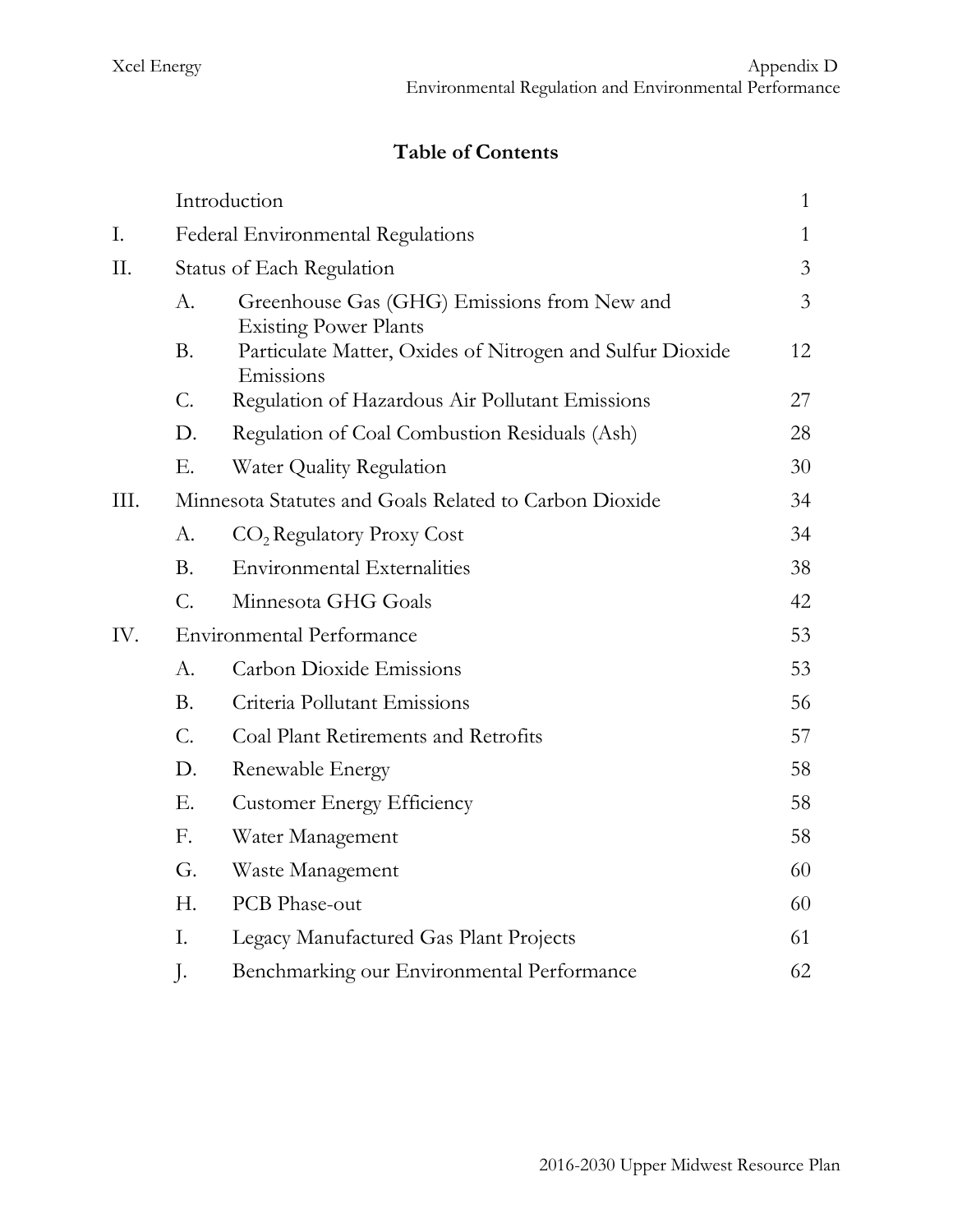# **Table of Contents**

|      |                                  | Introduction                                                                | $\mathbf{1}$   |
|------|----------------------------------|-----------------------------------------------------------------------------|----------------|
| Ι.   |                                  | Federal Environmental Regulations                                           | $\mathbf{1}$   |
| II.  |                                  | Status of Each Regulation                                                   |                |
|      | А.                               | Greenhouse Gas (GHG) Emissions from New and<br><b>Existing Power Plants</b> | $\overline{3}$ |
|      | <b>B.</b>                        | Particulate Matter, Oxides of Nitrogen and Sulfur Dioxide<br>Emissions      | 12             |
|      | $\mathcal{C}$ .                  | Regulation of Hazardous Air Pollutant Emissions                             | 27             |
|      | D.                               | Regulation of Coal Combustion Residuals (Ash)                               | 28             |
|      | Ε.                               | Water Quality Regulation                                                    | 30             |
| III. |                                  | Minnesota Statutes and Goals Related to Carbon Dioxide                      | 34             |
|      | А.                               | CO <sub>2</sub> Regulatory Proxy Cost                                       | 34             |
|      | <b>B.</b>                        | <b>Environmental Externalities</b>                                          | 38             |
|      | C.                               | Minnesota GHG Goals                                                         | 42             |
| IV.  | <b>Environmental Performance</b> |                                                                             | 53             |
|      | А.                               | <b>Carbon Dioxide Emissions</b>                                             | 53             |
|      | <b>B.</b>                        | Criteria Pollutant Emissions                                                | 56             |
|      | $\mathcal{C}$ .                  | Coal Plant Retirements and Retrofits                                        | 57             |
|      | D.                               | Renewable Energy                                                            | 58             |
|      | Ε.                               | <b>Customer Energy Efficiency</b>                                           | 58             |
|      | F.                               | Water Management                                                            | 58             |
|      | G.                               | Waste Management                                                            | 60             |
|      | Н.                               | PCB Phase-out                                                               | 60             |
|      | I.                               | Legacy Manufactured Gas Plant Projects                                      | 61             |
|      | J.                               | Benchmarking our Environmental Performance                                  | 62             |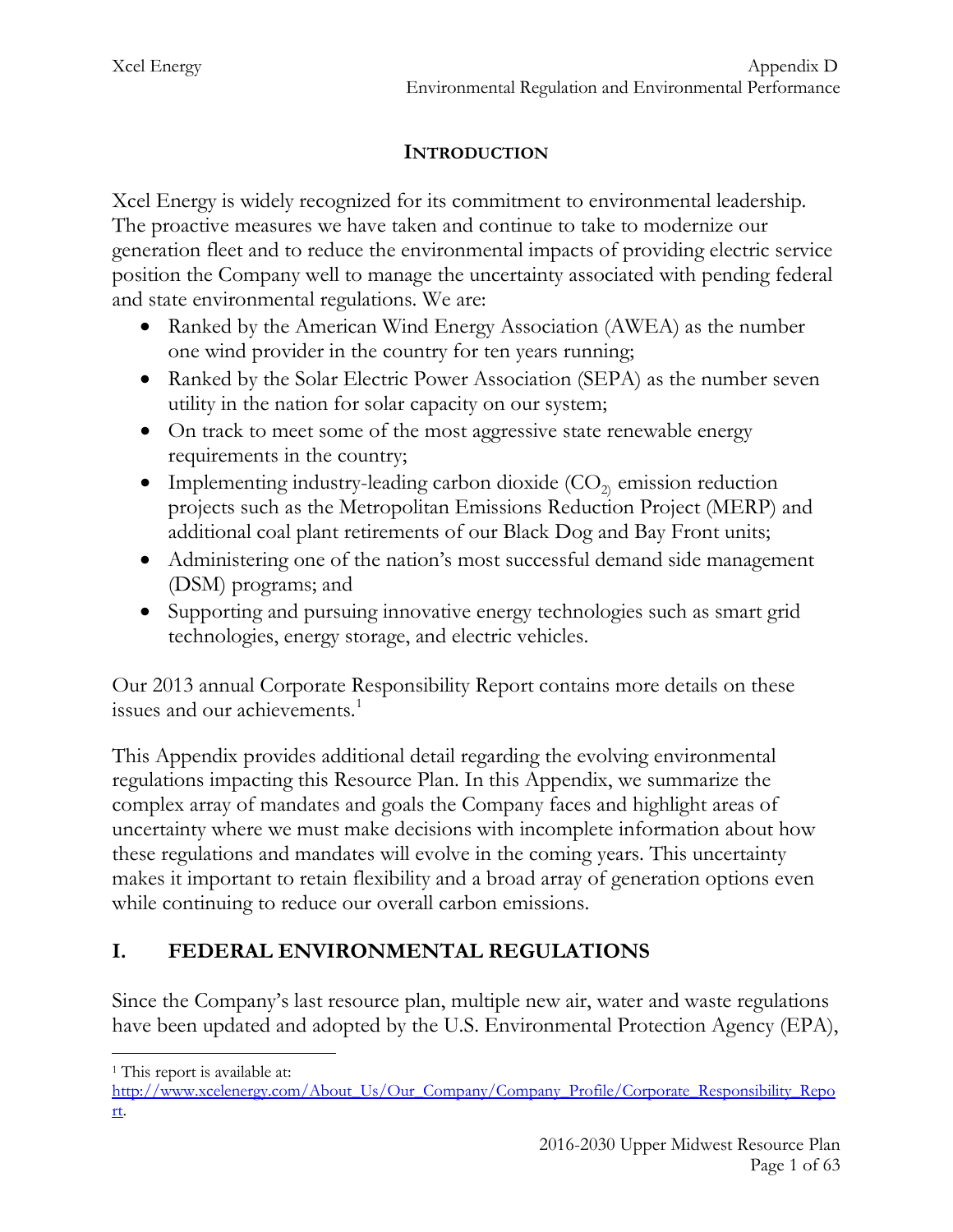## **INTRODUCTION**

Xcel Energy is widely recognized for its commitment to environmental leadership. The proactive measures we have taken and continue to take to modernize our generation fleet and to reduce the environmental impacts of providing electric service position the Company well to manage the uncertainty associated with pending federal and state environmental regulations. We are:

- Ranked by the American Wind Energy Association (AWEA) as the number one wind provider in the country for ten years running;
- Ranked by the Solar Electric Power Association (SEPA) as the number seven utility in the nation for solar capacity on our system;
- On track to meet some of the most aggressive state renewable energy requirements in the country;
- Implementing industry-leading carbon dioxide  $(CO_2)$  emission reduction projects such as the Metropolitan Emissions Reduction Project (MERP) and additional coal plant retirements of our Black Dog and Bay Front units;
- Administering one of the nation's most successful demand side management (DSM) programs; and
- Supporting and pursuing innovative energy technologies such as smart grid technologies, energy storage, and electric vehicles.

Our 2013 annual Corporate Responsibility Report contains more details on these issues and our achievements.<sup>[1](#page-1-0)</sup>

This Appendix provides additional detail regarding the evolving environmental regulations impacting this Resource Plan. In this Appendix, we summarize the complex array of mandates and goals the Company faces and highlight areas of uncertainty where we must make decisions with incomplete information about how these regulations and mandates will evolve in the coming years. This uncertainty makes it important to retain flexibility and a broad array of generation options even while continuing to reduce our overall carbon emissions.

# **I. FEDERAL ENVIRONMENTAL REGULATIONS**

Since the Company's last resource plan, multiple new air, water and waste regulations have been updated and adopted by the U.S. Environmental Protection Agency (EPA),

<sup>&</sup>lt;sup>1</sup> This report is available at:  $\overline{a}$ 

<span id="page-1-0"></span>[http://www.xcelenergy.com/About\\_Us/Our\\_Company/Company\\_Profile/Corporate\\_Responsibility\\_Repo](http://www.xcelenergy.com/About_Us/Our_Company/Company_Profile/Corporate_Responsibility_Report) [rt.](http://www.xcelenergy.com/About_Us/Our_Company/Company_Profile/Corporate_Responsibility_Report)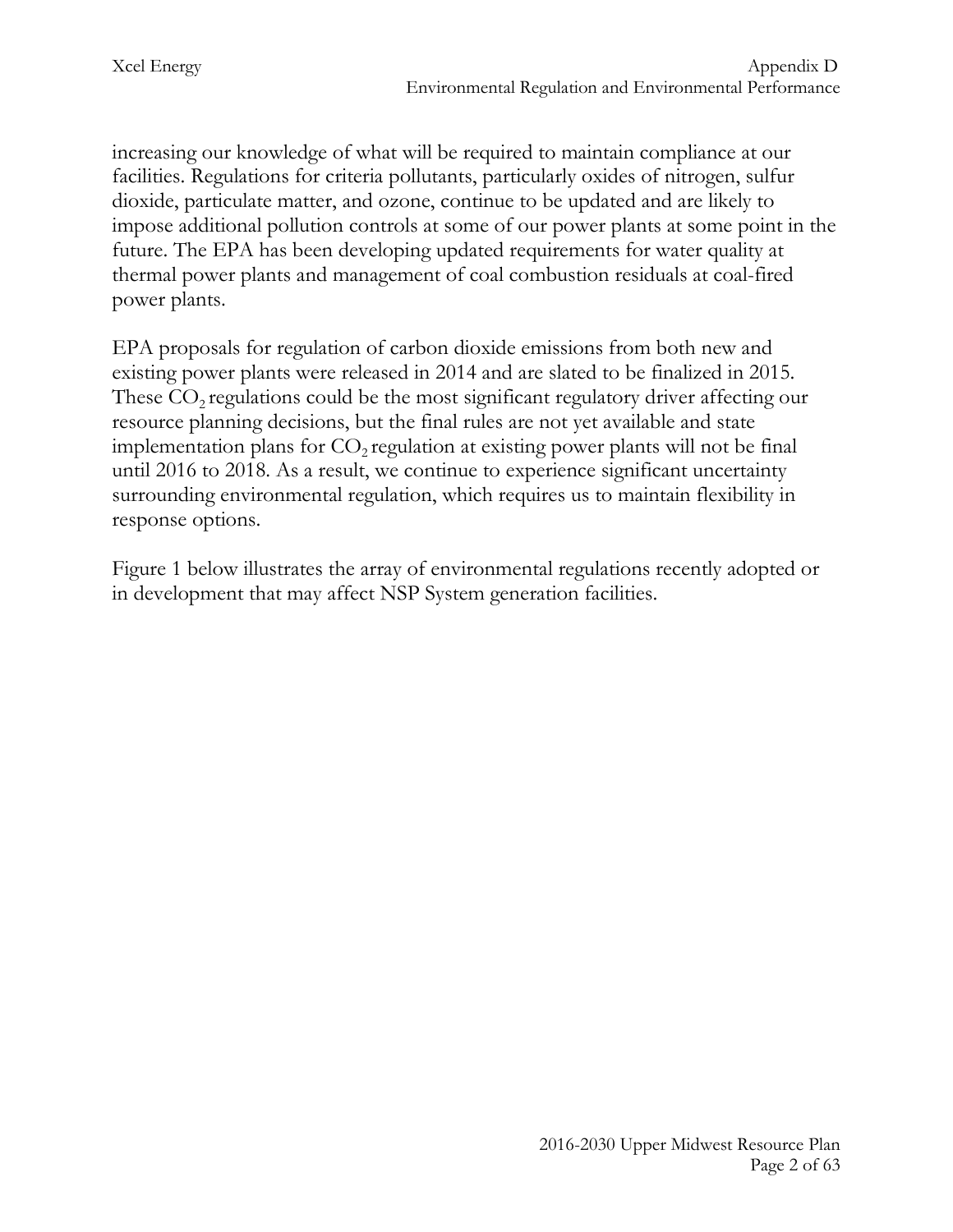increasing our knowledge of what will be required to maintain compliance at our facilities. Regulations for criteria pollutants, particularly oxides of nitrogen, sulfur dioxide, particulate matter, and ozone, continue to be updated and are likely to impose additional pollution controls at some of our power plants at some point in the future. The EPA has been developing updated requirements for water quality at thermal power plants and management of coal combustion residuals at coal-fired power plants.

EPA proposals for regulation of carbon dioxide emissions from both new and existing power plants were released in 2014 and are slated to be finalized in 2015. These  $CO<sub>2</sub>$  regulations could be the most significant regulatory driver affecting our resource planning decisions, but the final rules are not yet available and state implementation plans for  $CO<sub>2</sub>$  regulation at existing power plants will not be final until 2016 to 2018. As a result, we continue to experience significant uncertainty surrounding environmental regulation, which requires us to maintain flexibility in response options.

Figure 1 below illustrates the array of environmental regulations recently adopted or in development that may affect NSP System generation facilities.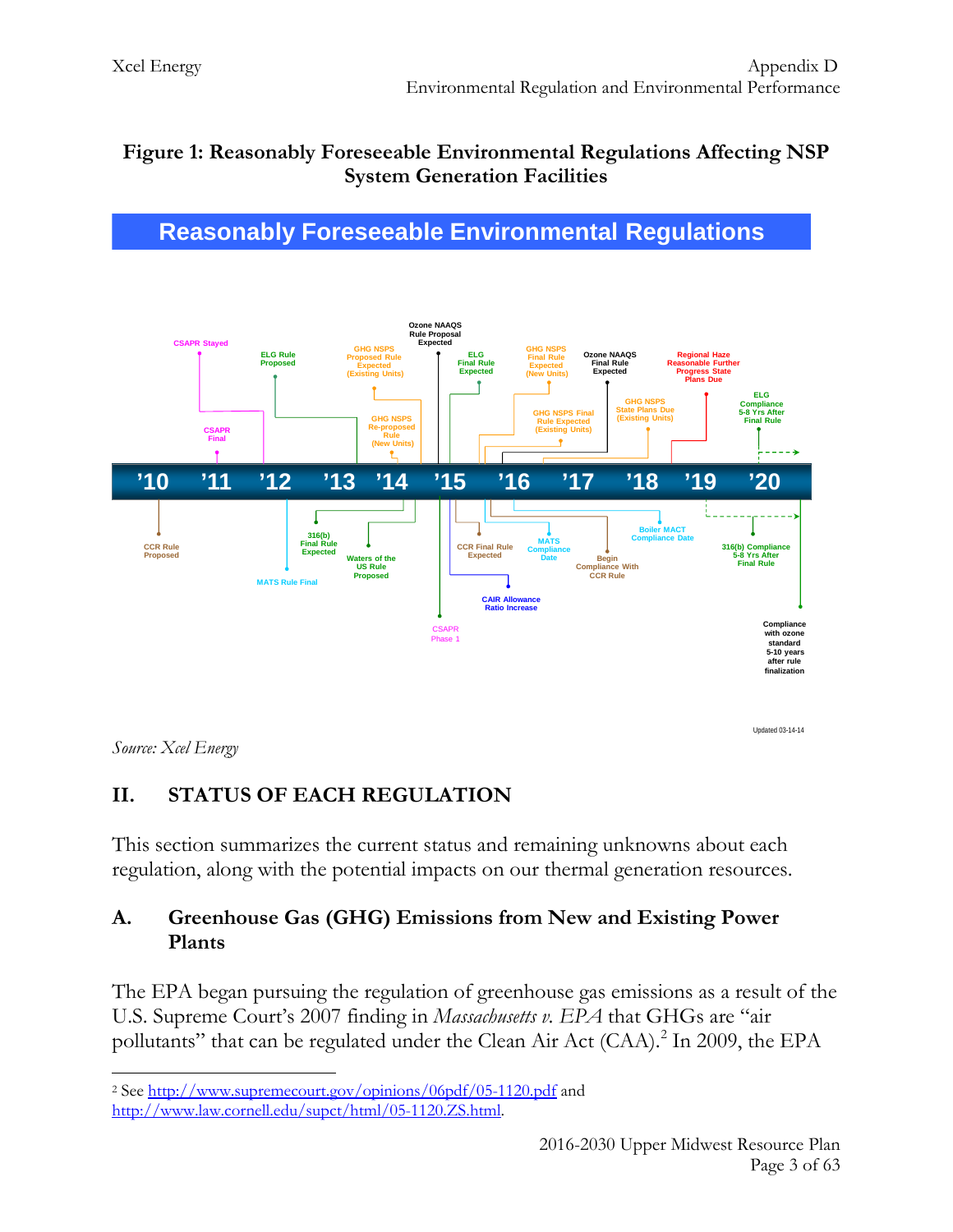## **Figure 1: Reasonably Foreseeable Environmental Regulations Affecting NSP System Generation Facilities**





Updated 03-14-14

*Source: Xcel Energy*

## **II. STATUS OF EACH REGULATION**

This section summarizes the current status and remaining unknowns about each regulation, along with the potential impacts on our thermal generation resources.

#### **A. Greenhouse Gas (GHG) Emissions from New and Existing Power Plants**

The EPA began pursuing the regulation of greenhouse gas emissions as a result of the U.S. Supreme Court's 2007 finding in *Massachusetts v. EPA* that GHGs are "air pollutants" that can be regulated under the Clean Air Act (CAA).<sup>[2](#page-3-0)</sup> In 2009, the EPA

<span id="page-3-0"></span><sup>2</sup> See<http://www.supremecourt.gov/opinions/06pdf/05-1120.pdf> and [http://www.law.cornell.edu/supct/html/05-1120.ZS.html.](http://www.law.cornell.edu/supct/html/05-1120.ZS.html)  $\overline{a}$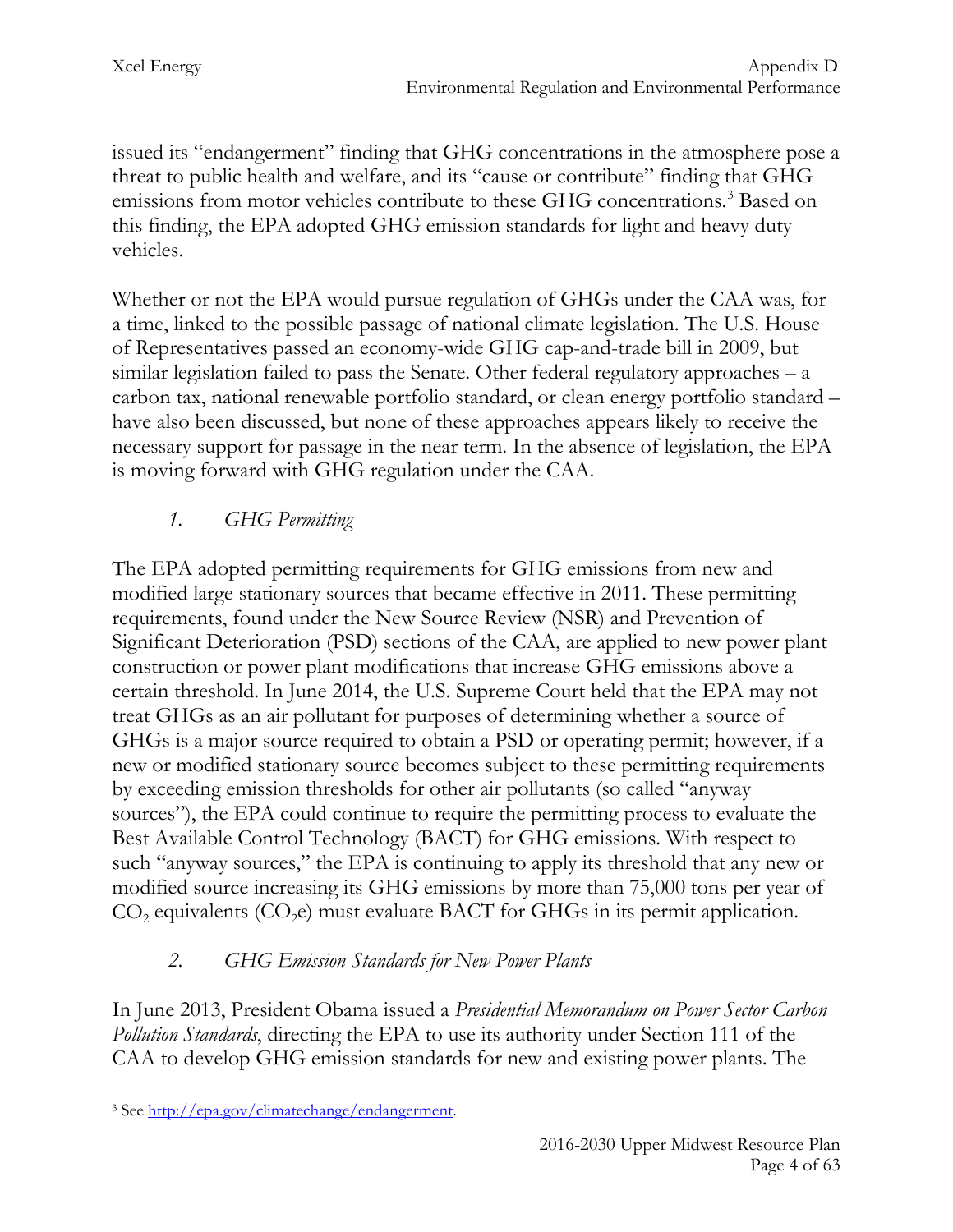issued its "endangerment" finding that GHG concentrations in the atmosphere pose a threat to public health and welfare, and its "cause or contribute" finding that GHG emissions from motor vehicles contribute to these GHG concentrations. [3](#page-4-0) Based on this finding, the EPA adopted GHG emission standards for light and heavy duty vehicles.

Whether or not the EPA would pursue regulation of GHGs under the CAA was, for a time, linked to the possible passage of national climate legislation. The U.S. House of Representatives passed an economy-wide GHG cap-and-trade bill in 2009, but similar legislation failed to pass the Senate. Other federal regulatory approaches – a carbon tax, national renewable portfolio standard, or clean energy portfolio standard – have also been discussed, but none of these approaches appears likely to receive the necessary support for passage in the near term. In the absence of legislation, the EPA is moving forward with GHG regulation under the CAA.

# *1. GHG Permitting*

The EPA adopted permitting requirements for GHG emissions from new and modified large stationary sources that became effective in 2011. These permitting requirements, found under the New Source Review (NSR) and Prevention of Significant Deterioration (PSD) sections of the CAA, are applied to new power plant construction or power plant modifications that increase GHG emissions above a certain threshold. In June 2014, the U.S. Supreme Court held that the EPA may not treat GHGs as an air pollutant for purposes of determining whether a source of GHGs is a major source required to obtain a PSD or operating permit; however, if a new or modified stationary source becomes subject to these permitting requirements by exceeding emission thresholds for other air pollutants (so called "anyway sources"), the EPA could continue to require the permitting process to evaluate the Best Available Control Technology (BACT) for GHG emissions. With respect to such "anyway sources," the EPA is continuing to apply its threshold that any new or modified source increasing its GHG emissions by more than 75,000 tons per year of  $CO<sub>2</sub>$  equivalents  $(CO<sub>2</sub>e)$  must evaluate BACT for GHGs in its permit application.

# *2. GHG Emission Standards for New Power Plants*

In June 2013, President Obama issued a *Presidential Memorandum on Power Sector Carbon Pollution Standards*, directing the EPA to use its authority under Section 111 of the CAA to develop GHG emission standards for new and existing power plants. The

<span id="page-4-0"></span><sup>3</sup> See [http://epa.gov/climatechange/endangerment.](http://epa.gov/climatechange/endangerment)  $\overline{a}$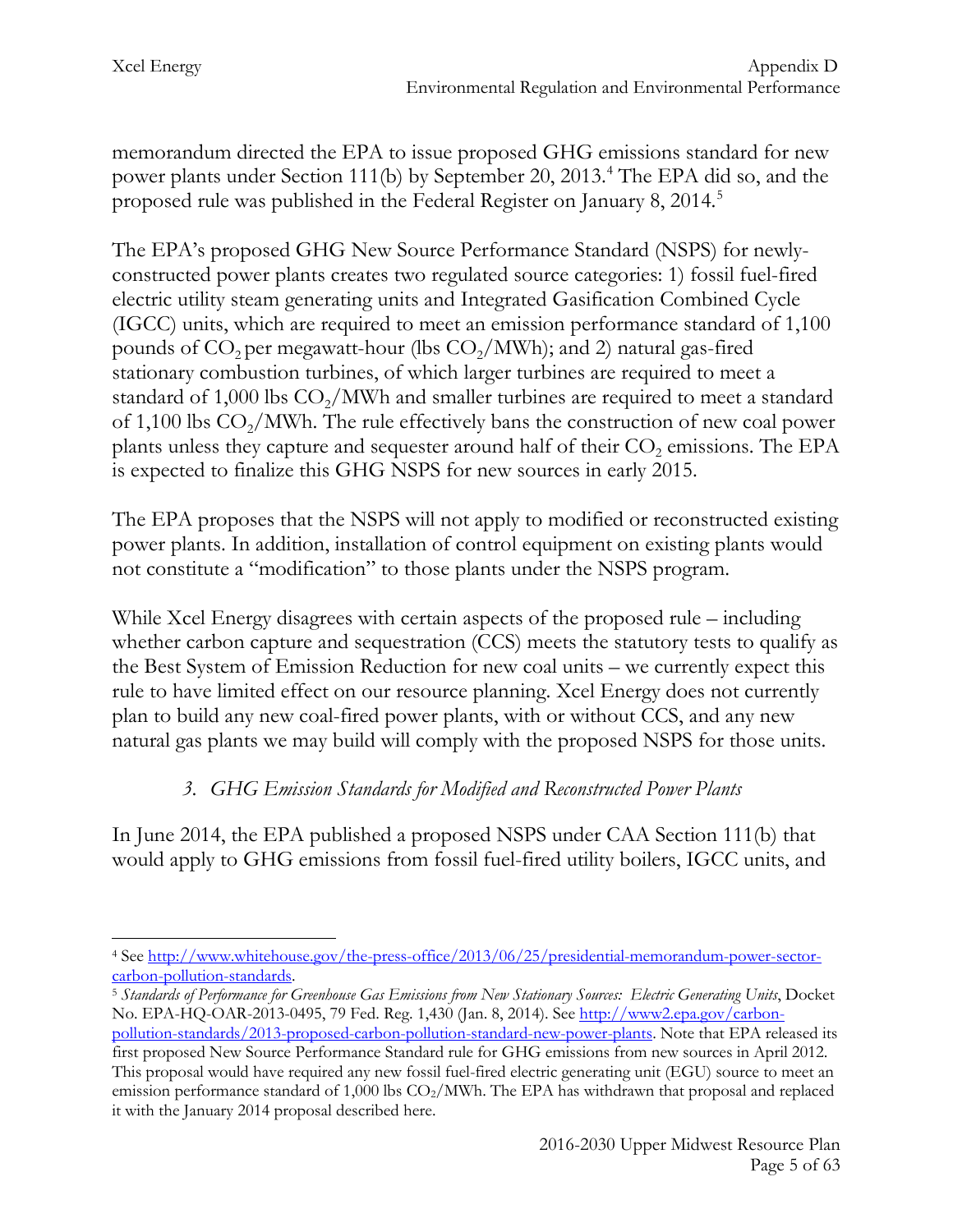memorandum directed the EPA to issue proposed GHG emissions standard for new power plants under Section 111(b) by September 20, 2013. [4](#page-5-0) The EPA did so, and the proposed rule was published in the Federal Register on January 8, 2014.<sup>[5](#page-5-1)</sup>

The EPA's proposed GHG New Source Performance Standard (NSPS) for newlyconstructed power plants creates two regulated source categories: 1) fossil fuel-fired electric utility steam generating units and Integrated Gasification Combined Cycle (IGCC) units, which are required to meet an emission performance standard of 1,100 pounds of  $CO<sub>2</sub>$  per megawatt-hour (lbs  $CO<sub>2</sub>/MWh$ ); and 2) natural gas-fired stationary combustion turbines, of which larger turbines are required to meet a standard of 1,000 lbs  $CO<sub>2</sub>/MWh$  and smaller turbines are required to meet a standard of 1,100 lbs  $CO<sub>2</sub>/MWh$ . The rule effectively bans the construction of new coal power plants unless they capture and sequester around half of their  $CO<sub>2</sub>$  emissions. The EPA is expected to finalize this GHG NSPS for new sources in early 2015.

The EPA proposes that the NSPS will not apply to modified or reconstructed existing power plants. In addition, installation of control equipment on existing plants would not constitute a "modification" to those plants under the NSPS program.

While Xcel Energy disagrees with certain aspects of the proposed rule – including whether carbon capture and sequestration (CCS) meets the statutory tests to qualify as the Best System of Emission Reduction for new coal units – we currently expect this rule to have limited effect on our resource planning. Xcel Energy does not currently plan to build any new coal-fired power plants, with or without CCS, and any new natural gas plants we may build will comply with the proposed NSPS for those units.

## *3. GHG Emission Standards for Modified and Reconstructed Power Plants*

In June 2014, the EPA published a proposed NSPS under CAA Section 111(b) that would apply to GHG emissions from fossil fuel-fired utility boilers, IGCC units, and

it with the January 2014 proposal described here.

<span id="page-5-0"></span><sup>4</sup> See [http://www.whitehouse.gov/the-press-office/2013/06/25/presidential-memorandum-power-sector](http://www.whitehouse.gov/the-press-office/2013/06/25/presidential-memorandum-power-sector-carbon-pollution-standards)[carbon-pollution-standards.](http://www.whitehouse.gov/the-press-office/2013/06/25/presidential-memorandum-power-sector-carbon-pollution-standards) 5 *Standards of Performance for Greenhouse Gas Emissions from New Stationary Sources: Electric Generating Units*, Docket  $\overline{a}$ 

<span id="page-5-1"></span>No. EPA-HQ-OAR-2013-0495, 79 Fed. Reg. 1,430 (Jan. 8, 2014). See [http://www2.epa.gov/carbon-](http://www2.epa.gov/carbon-pollution-standards/2013-proposed-carbon-pollution-standard-new-power-plants)

[pollution-standards/2013-proposed-carbon-pollution-standard-new-power-plants.](http://www2.epa.gov/carbon-pollution-standards/2013-proposed-carbon-pollution-standard-new-power-plants) Note that EPA released its first proposed New Source Performance Standard rule for GHG emissions from new sources in April 2012. This proposal would have required any new fossil fuel-fired electric generating unit (EGU) source to meet an emission performance standard of 1,000 lbs  $CO_2/MWh$ . The EPA has withdrawn that proposal and replaced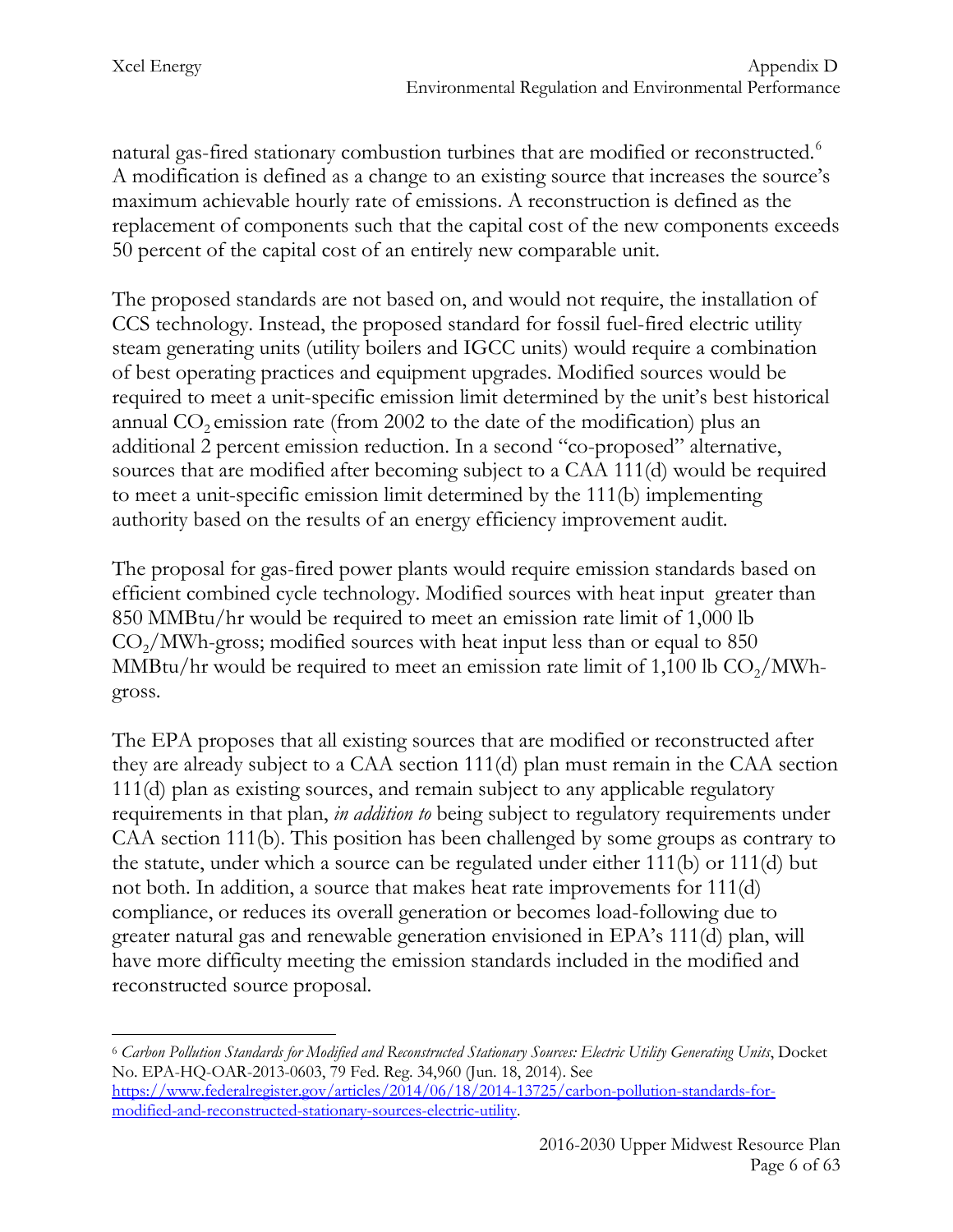natural gas-fired stationary combustion turbines that are modified or reconstructed.<sup>[6](#page-6-0)</sup> A modification is defined as a change to an existing source that increases the source's maximum achievable hourly rate of emissions. A reconstruction is defined as the replacement of components such that the capital cost of the new components exceeds 50 percent of the capital cost of an entirely new comparable unit.

The proposed standards are not based on, and would not require, the installation of CCS technology. Instead, the proposed standard for fossil fuel-fired electric utility steam generating units (utility boilers and IGCC units) would require a combination of best operating practices and equipment upgrades. Modified sources would be required to meet a unit-specific emission limit determined by the unit's best historical annual  $CO<sub>2</sub>$  emission rate (from 2002 to the date of the modification) plus an additional 2 percent emission reduction. In a second "co-proposed" alternative, sources that are modified after becoming subject to a CAA 111(d) would be required to meet a unit-specific emission limit determined by the 111(b) implementing authority based on the results of an energy efficiency improvement audit.

The proposal for gas-fired power plants would require emission standards based on efficient combined cycle technology. Modified sources with heat input greater than 850 MMBtu/hr would be required to meet an emission rate limit of 1,000 lb  $CO<sub>2</sub>/MWh-gross$ ; modified sources with heat input less than or equal to 850 MMBtu/hr would be required to meet an emission rate limit of  $1,100$  lb  $CO<sub>2</sub>/MWh$ gross.

The EPA proposes that all existing sources that are modified or reconstructed after they are already subject to a CAA section 111(d) plan must remain in the CAA section 111(d) plan as existing sources, and remain subject to any applicable regulatory requirements in that plan, *in addition to* being subject to regulatory requirements under CAA section 111(b). This position has been challenged by some groups as contrary to the statute, under which a source can be regulated under either 111(b) or 111(d) but not both. In addition, a source that makes heat rate improvements for 111(d) compliance, or reduces its overall generation or becomes load-following due to greater natural gas and renewable generation envisioned in EPA's 111(d) plan, will have more difficulty meeting the emission standards included in the modified and reconstructed source proposal.

<span id="page-6-0"></span><sup>6</sup> *Carbon Pollution Standards for Modified and Reconstructed Stationary Sources: Electric Utility Generating Units*, Docket No. EPA-HQ-OAR-2013-0603, 79 Fed. Reg. 34,960 (Jun. 18, 2014). See [https://www.federalregister.gov/articles/2014/06/18/2014-13725/carbon-pollution-standards-for](https://www.federalregister.gov/articles/2014/06/18/2014-13725/carbon-pollution-standards-for-modified-and-reconstructed-stationary-sources-electric-utility)[modified-and-reconstructed-stationary-sources-electric-utility.](https://www.federalregister.gov/articles/2014/06/18/2014-13725/carbon-pollution-standards-for-modified-and-reconstructed-stationary-sources-electric-utility)  $\overline{a}$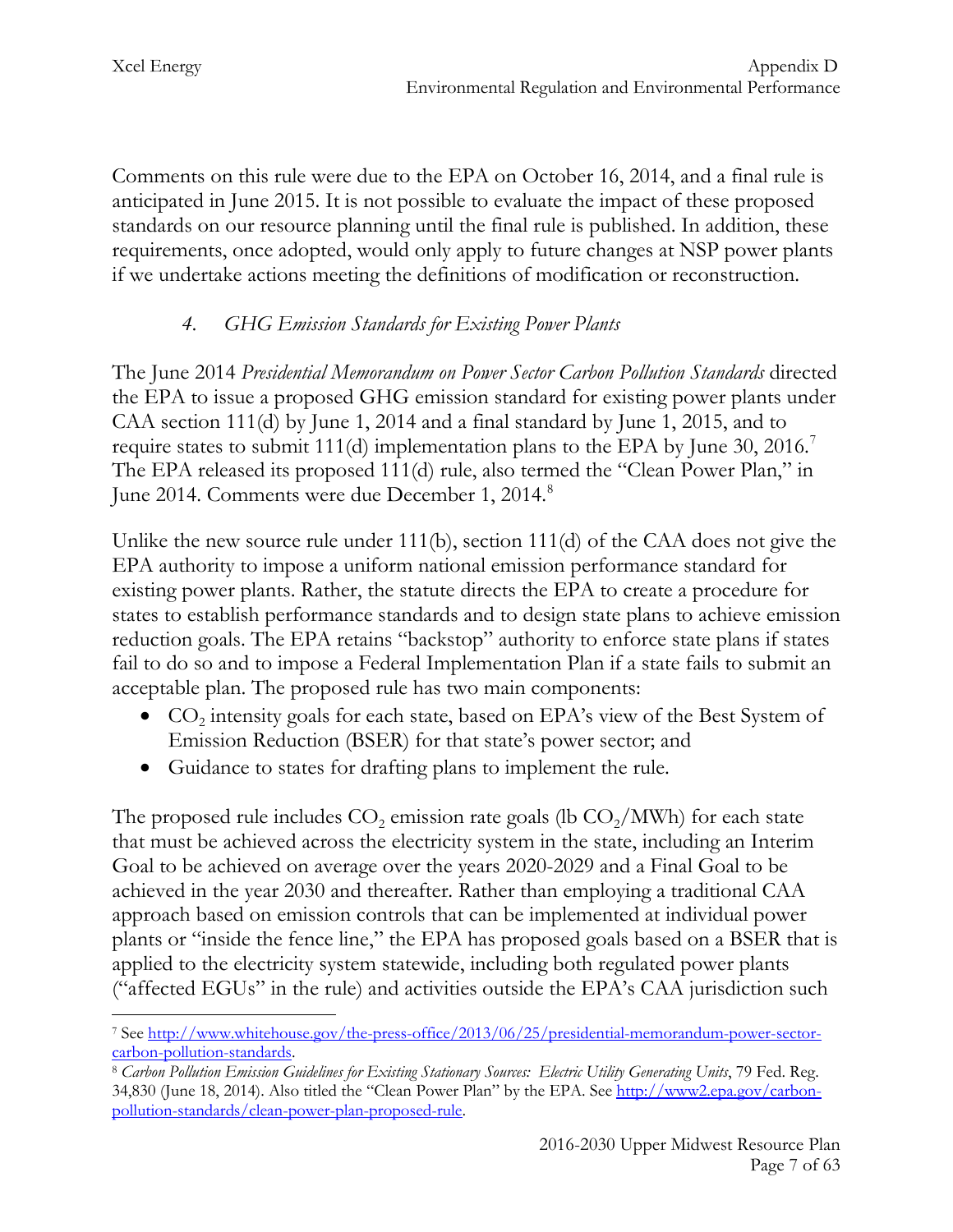Comments on this rule were due to the EPA on October 16, 2014, and a final rule is anticipated in June 2015. It is not possible to evaluate the impact of these proposed standards on our resource planning until the final rule is published. In addition, these requirements, once adopted, would only apply to future changes at NSP power plants if we undertake actions meeting the definitions of modification or reconstruction.

# *4. GHG Emission Standards for Existing Power Plants*

The June 2014 *Presidential Memorandum on Power Sector Carbon Pollution Standards* directed the EPA to issue a proposed GHG emission standard for existing power plants under CAA section 111(d) by June 1, 2014 and a final standard by June 1, 2015, and to require states to submit 111(d) implementation plans to the EPA by June 30, 2016.<sup>[7](#page-7-0)</sup> The EPA released its proposed 111(d) rule, also termed the "Clean Power Plan," in June 2014. Comments were due December 1, 2014.<sup>[8](#page-7-1)</sup>

Unlike the new source rule under 111(b), section 111(d) of the CAA does not give the EPA authority to impose a uniform national emission performance standard for existing power plants. Rather, the statute directs the EPA to create a procedure for states to establish performance standards and to design state plans to achieve emission reduction goals. The EPA retains "backstop" authority to enforce state plans if states fail to do so and to impose a Federal Implementation Plan if a state fails to submit an acceptable plan. The proposed rule has two main components:

- $CO<sub>2</sub>$  intensity goals for each state, based on EPA's view of the Best System of Emission Reduction (BSER) for that state's power sector; and
- Guidance to states for drafting plans to implement the rule.

The proposed rule includes  $CO<sub>2</sub>$  emission rate goals (lb  $CO<sub>2</sub>/MWh$ ) for each state that must be achieved across the electricity system in the state, including an Interim Goal to be achieved on average over the years 2020-2029 and a Final Goal to be achieved in the year 2030 and thereafter. Rather than employing a traditional CAA approach based on emission controls that can be implemented at individual power plants or "inside the fence line," the EPA has proposed goals based on a BSER that is applied to the electricity system statewide, including both regulated power plants ("affected EGUs" in the rule) and activities outside the EPA's CAA jurisdiction such

<span id="page-7-0"></span><sup>7</sup> See [http://www.whitehouse.gov/the-press-office/2013/06/25/presidential-memorandum-power-sector-](http://www.whitehouse.gov/the-press-office/2013/06/25/presidential-memorandum-power-sector-carbon-pollution-standards) $\overline{a}$ 

<span id="page-7-1"></span>[carbon-pollution-standards.](http://www.whitehouse.gov/the-press-office/2013/06/25/presidential-memorandum-power-sector-carbon-pollution-standards) 8 *Carbon Pollution Emission Guidelines for Existing Stationary Sources: Electric Utility Generating Units*, 79 Fed. Reg. 34,830 (June 18, 2014). Also titled the "Clean Power Plan" by the EPA. See [http://www2.epa.gov/carbon](http://www2.epa.gov/carbon-pollution-standards/clean-power-plan-proposed-rule)[pollution-standards/clean-power-plan-proposed-rule.](http://www2.epa.gov/carbon-pollution-standards/clean-power-plan-proposed-rule)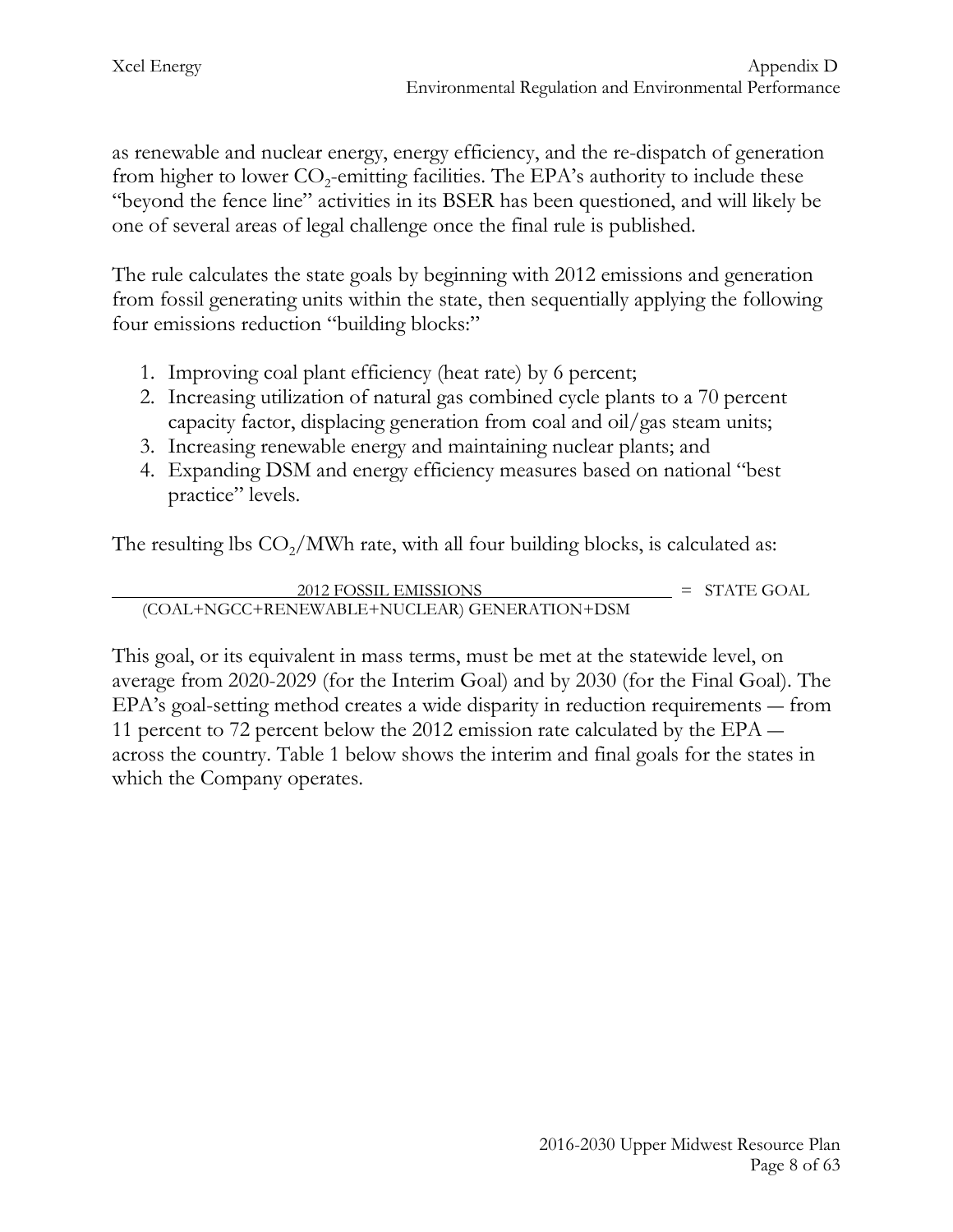as renewable and nuclear energy, energy efficiency, and the re-dispatch of generation from higher to lower  $CO<sub>2</sub>$ -emitting facilities. The EPA's authority to include these "beyond the fence line" activities in its BSER has been questioned, and will likely be one of several areas of legal challenge once the final rule is published.

The rule calculates the state goals by beginning with 2012 emissions and generation from fossil generating units within the state, then sequentially applying the following four emissions reduction "building blocks:"

- 1. Improving coal plant efficiency (heat rate) by 6 percent;
- 2. Increasing utilization of natural gas combined cycle plants to a 70 percent capacity factor, displacing generation from coal and oil/gas steam units;
- 3. Increasing renewable energy and maintaining nuclear plants; and
- 4. Expanding DSM and energy efficiency measures based on national "best practice" levels.

The resulting lbs  $CO<sub>2</sub>/MWh$  rate, with all four building blocks, is calculated as:

$$
\frac{2012 \text{ FOSSIL EMISSIONS}}{2012 \text{ FOSSIL EMISSIONS}} = \text{STATE GOAL}
$$

This goal, or its equivalent in mass terms, must be met at the statewide level, on average from 2020-2029 (for the Interim Goal) and by 2030 (for the Final Goal). The EPA's goal-setting method creates a wide disparity in reduction requirements ― from 11 percent to 72 percent below the 2012 emission rate calculated by the EPA ― across the country. Table 1 below shows the interim and final goals for the states in which the Company operates.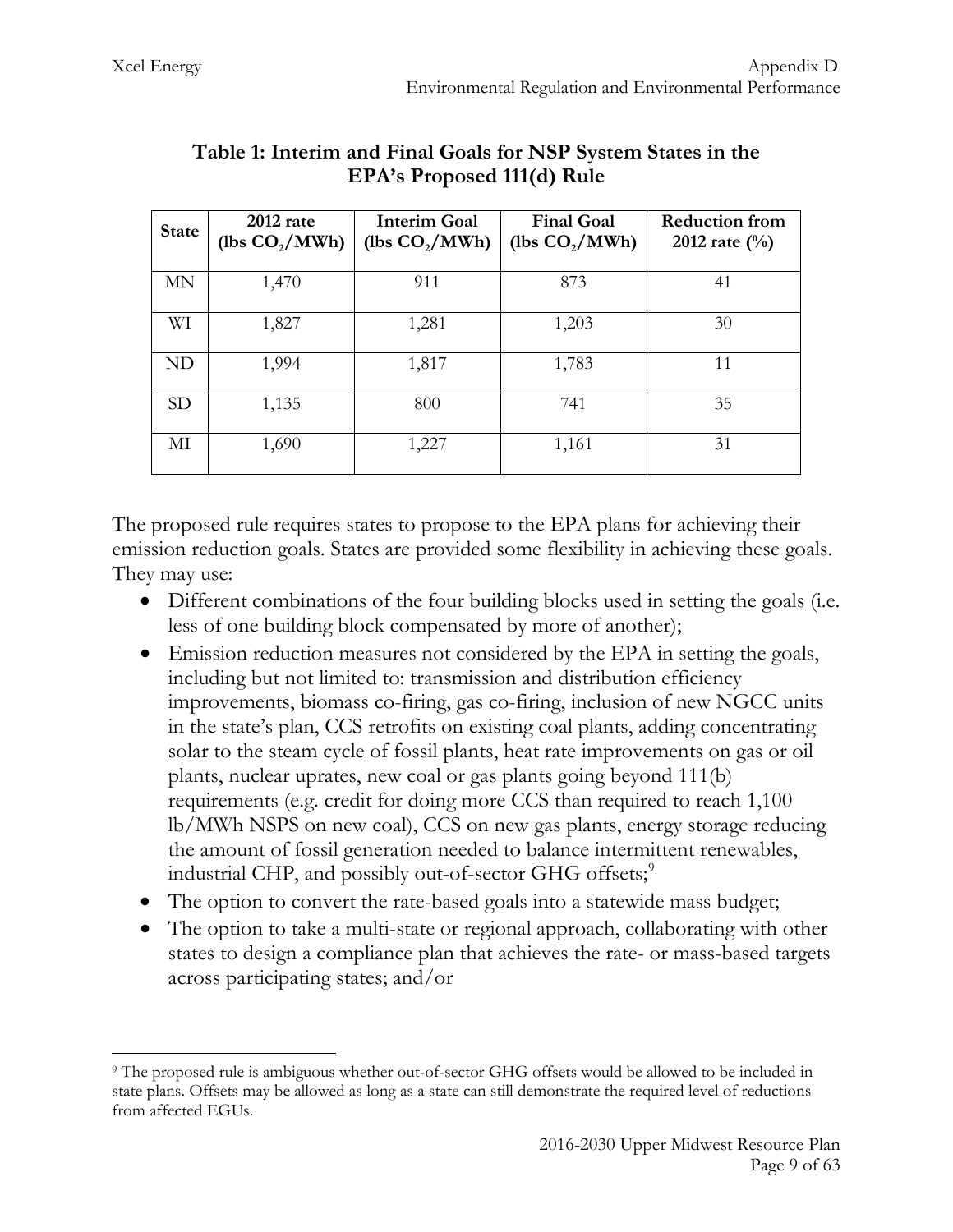| <b>State</b> | 2012 rate<br>(lbs $CO2/MWh$ ) | <b>Interim Goal</b><br>(lbs $CO2/MWh$ ) | <b>Final Goal</b><br>(lbs $CO2/MWh$ ) | <b>Reduction from</b><br>2012 rate $(\frac{0}{0})$ |
|--------------|-------------------------------|-----------------------------------------|---------------------------------------|----------------------------------------------------|
| MN           | 1,470                         | 911                                     | 873                                   | 41                                                 |
| WI           | 1,827                         | 1,281                                   | 1,203                                 | 30                                                 |
| ND           | 1,994                         | 1,817                                   | 1,783                                 | 11                                                 |
| <b>SD</b>    | 1,135                         | 800                                     | 741                                   | 35                                                 |
| МI           | 1,690                         | 1,227                                   | 1,161                                 | 31                                                 |

## **Table 1: Interim and Final Goals for NSP System States in the EPA's Proposed 111(d) Rule**

The proposed rule requires states to propose to the EPA plans for achieving their emission reduction goals. States are provided some flexibility in achieving these goals. They may use:

- Different combinations of the four building blocks used in setting the goals (i.e. less of one building block compensated by more of another);
- Emission reduction measures not considered by the EPA in setting the goals, including but not limited to: transmission and distribution efficiency improvements, biomass co-firing, gas co-firing, inclusion of new NGCC units in the state's plan, CCS retrofits on existing coal plants, adding concentrating solar to the steam cycle of fossil plants, heat rate improvements on gas or oil plants, nuclear uprates, new coal or gas plants going beyond 111(b) requirements (e.g. credit for doing more CCS than required to reach 1,100 lb/MWh NSPS on new coal), CCS on new gas plants, energy storage reducing the amount of fossil generation needed to balance intermittent renewables, industrial CHP, and possibly out-of-sector GHG offsets; $\degree$
- The option to convert the rate-based goals into a statewide mass budget;
- The option to take a multi-state or regional approach, collaborating with other states to design a compliance plan that achieves the rate- or mass-based targets across participating states; and/or

<span id="page-9-0"></span><sup>9</sup> The proposed rule is ambiguous whether out-of-sector GHG offsets would be allowed to be included in state plans. Offsets may be allowed as long as a state can still demonstrate the required level of reductions from affected EGUs.  $\overline{a}$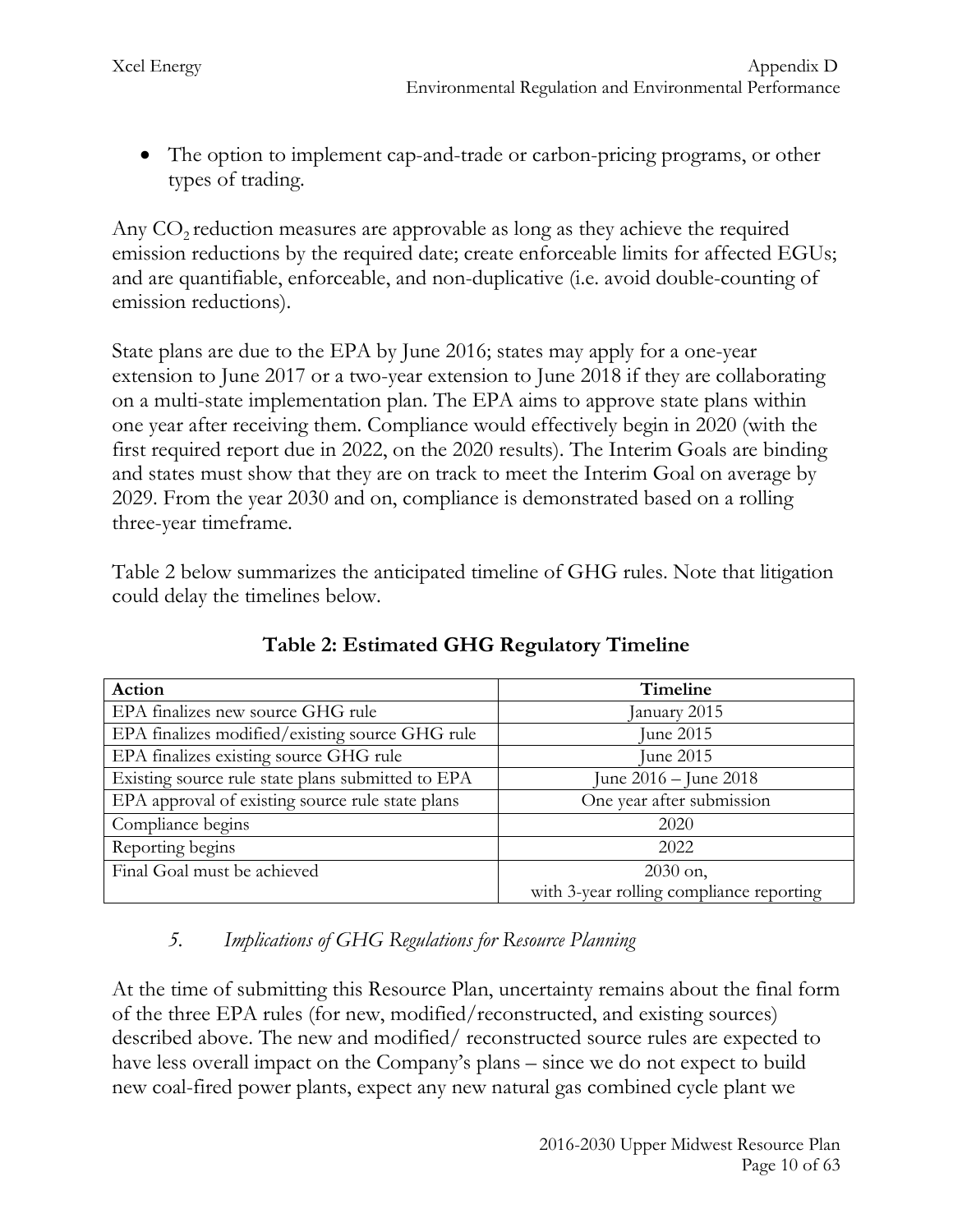• The option to implement cap-and-trade or carbon-pricing programs, or other types of trading.

Any  $CO<sub>2</sub>$  reduction measures are approvable as long as they achieve the required emission reductions by the required date; create enforceable limits for affected EGUs; and are quantifiable, enforceable, and non-duplicative (i.e. avoid double-counting of emission reductions).

State plans are due to the EPA by June 2016; states may apply for a one-year extension to June 2017 or a two-year extension to June 2018 if they are collaborating on a multi-state implementation plan. The EPA aims to approve state plans within one year after receiving them. Compliance would effectively begin in 2020 (with the first required report due in 2022, on the 2020 results). The Interim Goals are binding and states must show that they are on track to meet the Interim Goal on average by 2029. From the year 2030 and on, compliance is demonstrated based on a rolling three-year timeframe.

Table 2 below summarizes the anticipated timeline of GHG rules. Note that litigation could delay the timelines below.

| Action                                            | Timeline                                 |
|---------------------------------------------------|------------------------------------------|
| EPA finalizes new source GHG rule                 | January 2015                             |
| EPA finalizes modified/existing source GHG rule   | June 2015                                |
| EPA finalizes existing source GHG rule            | June 2015                                |
| Existing source rule state plans submitted to EPA | June 2016 – June 2018                    |
| EPA approval of existing source rule state plans  | One year after submission                |
| Compliance begins                                 | 2020                                     |
| Reporting begins                                  | 2022                                     |
| Final Goal must be achieved                       | $2030$ on,                               |
|                                                   | with 3-year rolling compliance reporting |

**Table 2: Estimated GHG Regulatory Timeline**

# *5. Implications of GHG Regulations for Resource Planning*

At the time of submitting this Resource Plan, uncertainty remains about the final form of the three EPA rules (for new, modified/reconstructed, and existing sources) described above. The new and modified/ reconstructed source rules are expected to have less overall impact on the Company's plans – since we do not expect to build new coal-fired power plants, expect any new natural gas combined cycle plant we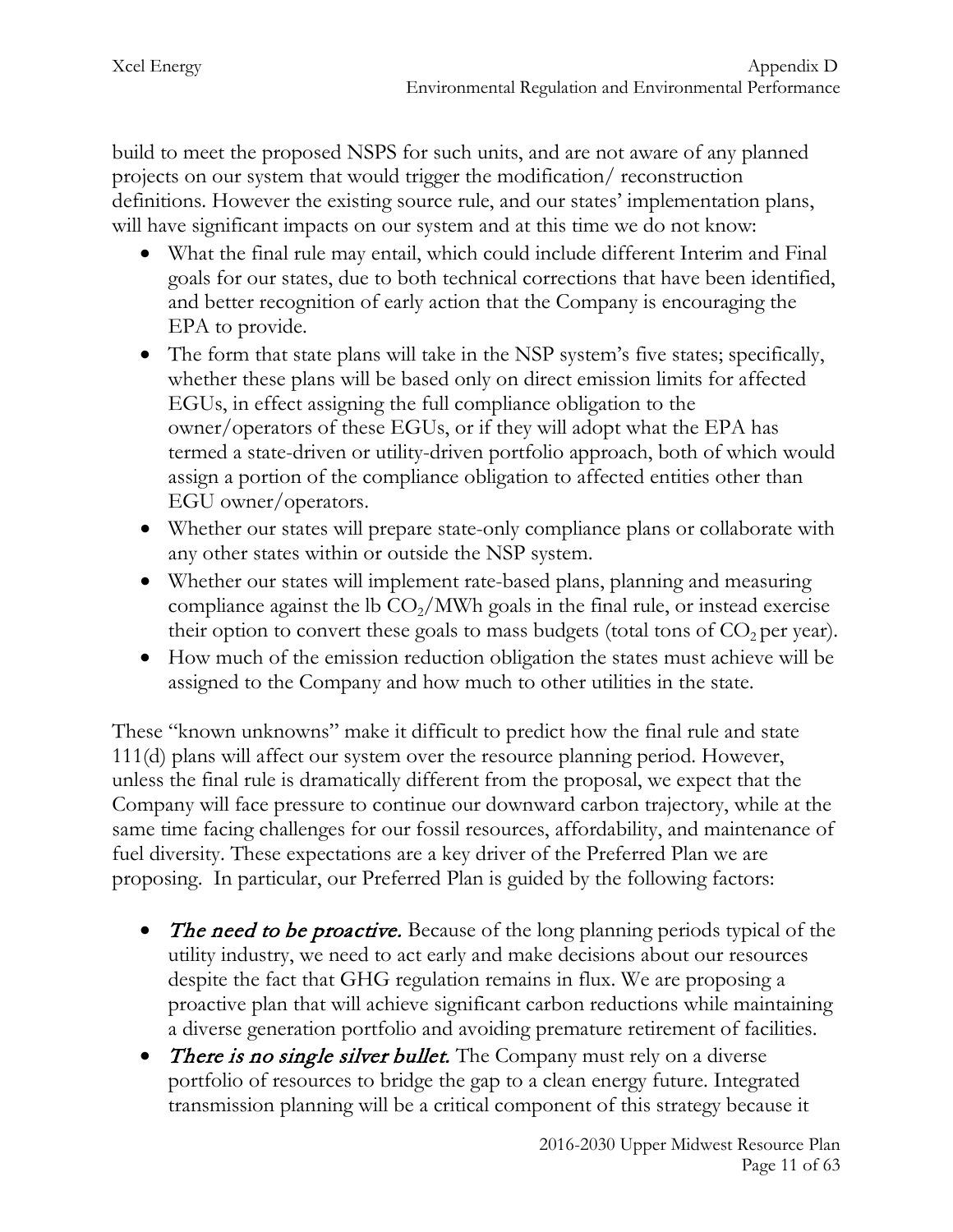build to meet the proposed NSPS for such units, and are not aware of any planned projects on our system that would trigger the modification/ reconstruction definitions. However the existing source rule, and our states' implementation plans, will have significant impacts on our system and at this time we do not know:

- What the final rule may entail, which could include different Interim and Final goals for our states, due to both technical corrections that have been identified, and better recognition of early action that the Company is encouraging the EPA to provide.
- The form that state plans will take in the NSP system's five states; specifically, whether these plans will be based only on direct emission limits for affected EGUs, in effect assigning the full compliance obligation to the owner/operators of these EGUs, or if they will adopt what the EPA has termed a state-driven or utility-driven portfolio approach, both of which would assign a portion of the compliance obligation to affected entities other than EGU owner/operators.
- Whether our states will prepare state-only compliance plans or collaborate with any other states within or outside the NSP system.
- Whether our states will implement rate-based plans, planning and measuring compliance against the lb  $CO<sub>2</sub>/MWh$  goals in the final rule, or instead exercise their option to convert these goals to mass budgets (total tons of  $CO<sub>2</sub>$  per year).
- How much of the emission reduction obligation the states must achieve will be assigned to the Company and how much to other utilities in the state.

These "known unknowns" make it difficult to predict how the final rule and state 111(d) plans will affect our system over the resource planning period. However, unless the final rule is dramatically different from the proposal, we expect that the Company will face pressure to continue our downward carbon trajectory, while at the same time facing challenges for our fossil resources, affordability, and maintenance of fuel diversity. These expectations are a key driver of the Preferred Plan we are proposing. In particular, our Preferred Plan is guided by the following factors:

- The need to be proactive. Because of the long planning periods typical of the utility industry, we need to act early and make decisions about our resources despite the fact that GHG regulation remains in flux. We are proposing a proactive plan that will achieve significant carbon reductions while maintaining a diverse generation portfolio and avoiding premature retirement of facilities.
- There is no single silver bullet. The Company must rely on a diverse portfolio of resources to bridge the gap to a clean energy future. Integrated transmission planning will be a critical component of this strategy because it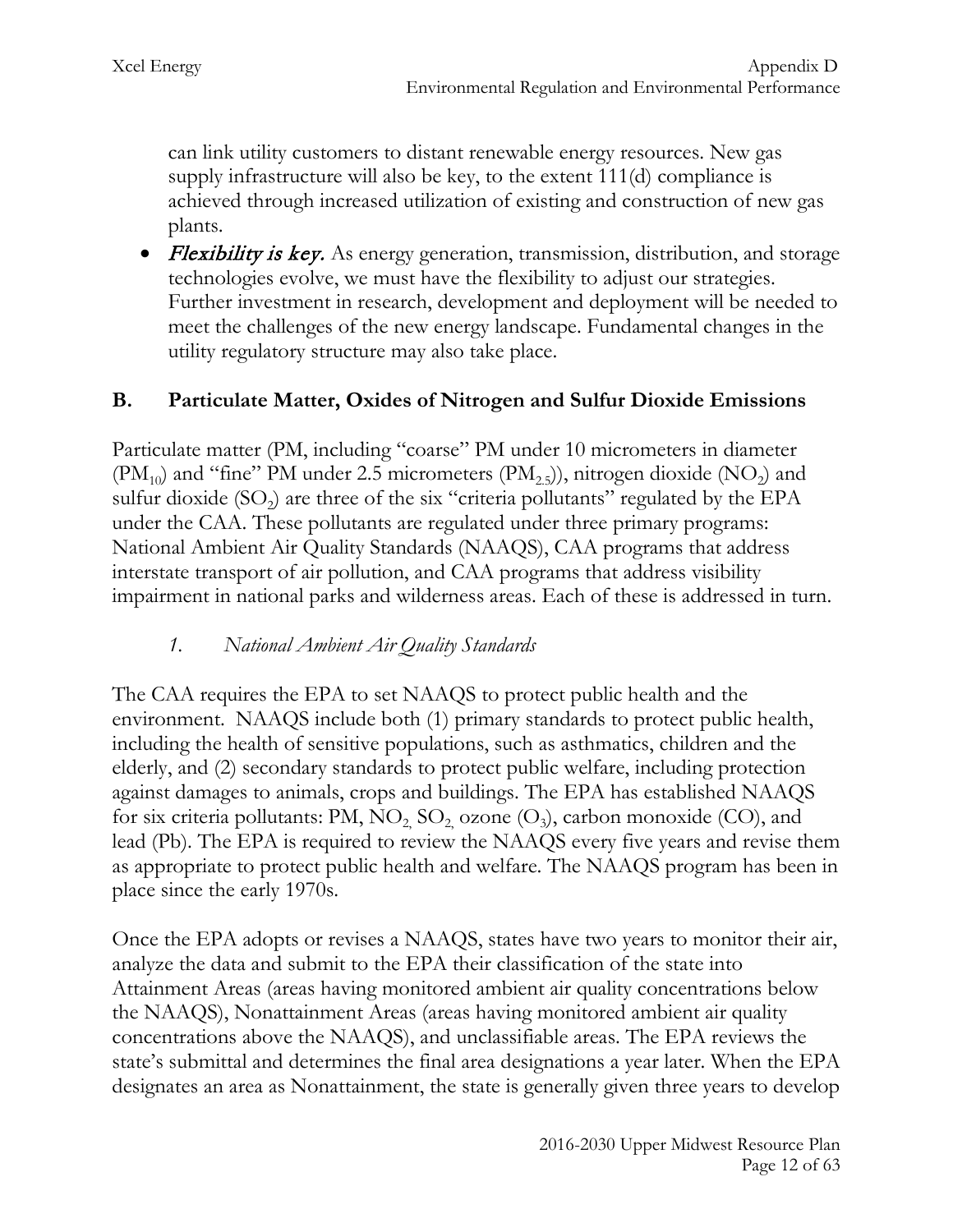can link utility customers to distant renewable energy resources. New gas supply infrastructure will also be key, to the extent 111(d) compliance is achieved through increased utilization of existing and construction of new gas plants.

• *Flexibility is key.* As energy generation, transmission, distribution, and storage technologies evolve, we must have the flexibility to adjust our strategies. Further investment in research, development and deployment will be needed to meet the challenges of the new energy landscape. Fundamental changes in the utility regulatory structure may also take place.

#### **B. Particulate Matter, Oxides of Nitrogen and Sulfur Dioxide Emissions**

Particulate matter (PM, including "coarse" PM under 10 micrometers in diameter  $(PM_{10})$  and "fine" PM under 2.5 micrometers  $(PM_{25})$ , nitrogen dioxide  $(NO_{2})$  and sulfur dioxide  $(SO<sub>2</sub>)$  are three of the six "criteria pollutants" regulated by the EPA under the CAA. These pollutants are regulated under three primary programs: National Ambient Air Quality Standards (NAAQS), CAA programs that address interstate transport of air pollution, and CAA programs that address visibility impairment in national parks and wilderness areas. Each of these is addressed in turn.

#### *1. National Ambient Air Quality Standards*

The CAA requires the EPA to set NAAQS to protect public health and the environment. NAAQS include both (1) primary standards to protect public health, including the health of sensitive populations, such as asthmatics, children and the elderly, and (2) secondary standards to protect public welfare, including protection against damages to animals, crops and buildings. The EPA has established NAAQS for six criteria pollutants: PM,  $NO_2$ ,  $SO_2$ , ozone  $(O_3)$ , carbon monoxide (CO), and lead (Pb). The EPA is required to review the NAAQS every five years and revise them as appropriate to protect public health and welfare. The NAAQS program has been in place since the early 1970s.

Once the EPA adopts or revises a NAAQS, states have two years to monitor their air, analyze the data and submit to the EPA their classification of the state into Attainment Areas (areas having monitored ambient air quality concentrations below the NAAQS), Nonattainment Areas (areas having monitored ambient air quality concentrations above the NAAQS), and unclassifiable areas. The EPA reviews the state's submittal and determines the final area designations a year later. When the EPA designates an area as Nonattainment, the state is generally given three years to develop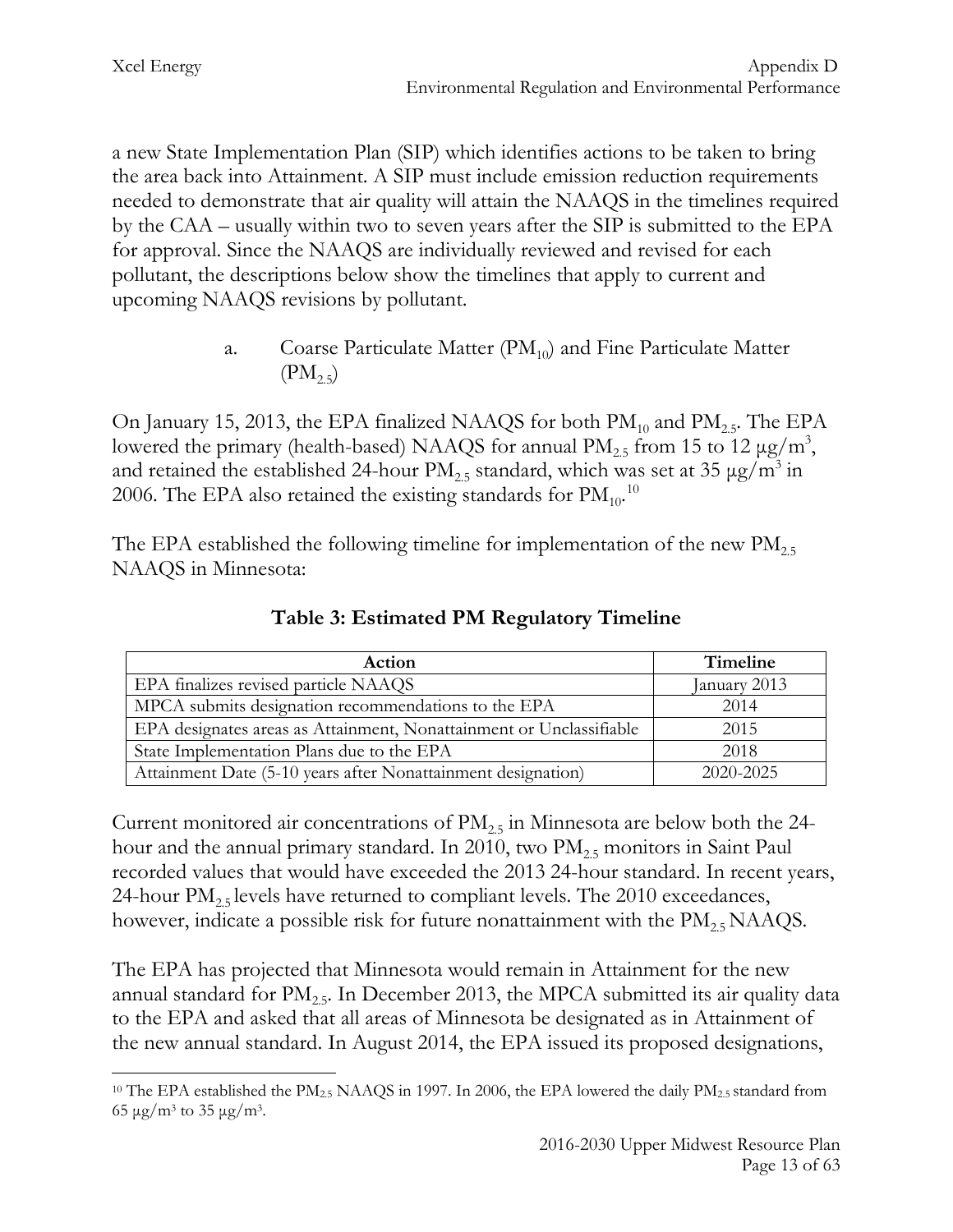a new State Implementation Plan (SIP) which identifies actions to be taken to bring the area back into Attainment. A SIP must include emission reduction requirements needed to demonstrate that air quality will attain the NAAQS in the timelines required by the CAA – usually within two to seven years after the SIP is submitted to the EPA for approval. Since the NAAQS are individually reviewed and revised for each pollutant, the descriptions below show the timelines that apply to current and upcoming NAAQS revisions by pollutant.

> a. Coarse Particulate Matter  $(PM_{10})$  and Fine Particulate Matter  $(PM_{2.5})$

On January 15, 2013, the EPA finalized NAAQS for both  $PM_{10}$  and  $PM_{2.5}$ . The EPA lowered the primary (health-based) NAAQS for annual PM<sub>2.5</sub> from 15 to 12  $\mu$ g/m<sup>3</sup>, and retained the established 24-hour  $PM_{2.5}$  standard, which was set at 35  $\mu$ g/m<sup>3</sup> in 2006. The EPA also retained the existing standards for  $\mathrm{PM_{10}}^{\mathrm{^{10}}}$  $\mathrm{PM_{10}}^{\mathrm{^{10}}}$  $\mathrm{PM_{10}}^{\mathrm{^{10}}}$ 

The EPA established the following timeline for implementation of the new  $\text{PM}_{2.5}$ NAAQS in Minnesota:

| Action                                                              | Timeline     |
|---------------------------------------------------------------------|--------------|
| EPA finalizes revised particle NAAQS                                | January 2013 |
| MPCA submits designation recommendations to the EPA                 | 2014         |
| EPA designates areas as Attainment, Nonattainment or Unclassifiable | 2015         |
| State Implementation Plans due to the EPA                           | 2018         |
| Attainment Date (5-10 years after Nonattainment designation)        | 2020-2025    |

**Table 3: Estimated PM Regulatory Timeline**

Current monitored air concentrations of  $PM_{2.5}$  in Minnesota are below both the 24hour and the annual primary standard. In 2010, two  $\text{PM}_{2.5}$  monitors in Saint Paul recorded values that would have exceeded the 2013 24-hour standard. In recent years, 24-hour  $PM_{2.5}$  levels have returned to compliant levels. The 2010 exceedances, however, indicate a possible risk for future nonattainment with the  $\text{PM}_{2.5}\text{NAAQS}$ .

The EPA has projected that Minnesota would remain in Attainment for the new annual standard for  $PM_{2.5}$ . In December 2013, the MPCA submitted its air quality data to the EPA and asked that all areas of Minnesota be designated as in Attainment of the new annual standard. In August 2014, the EPA issued its proposed designations,

<span id="page-13-0"></span><sup>&</sup>lt;sup>10</sup> The EPA established the PM<sub>2.5</sub> NAAQS in 1997. In 2006, the EPA lowered the daily PM<sub>2.5</sub> standard from 65 μg/m<sup>3</sup> to 35 μg/m<sup>3</sup>.  $\overline{a}$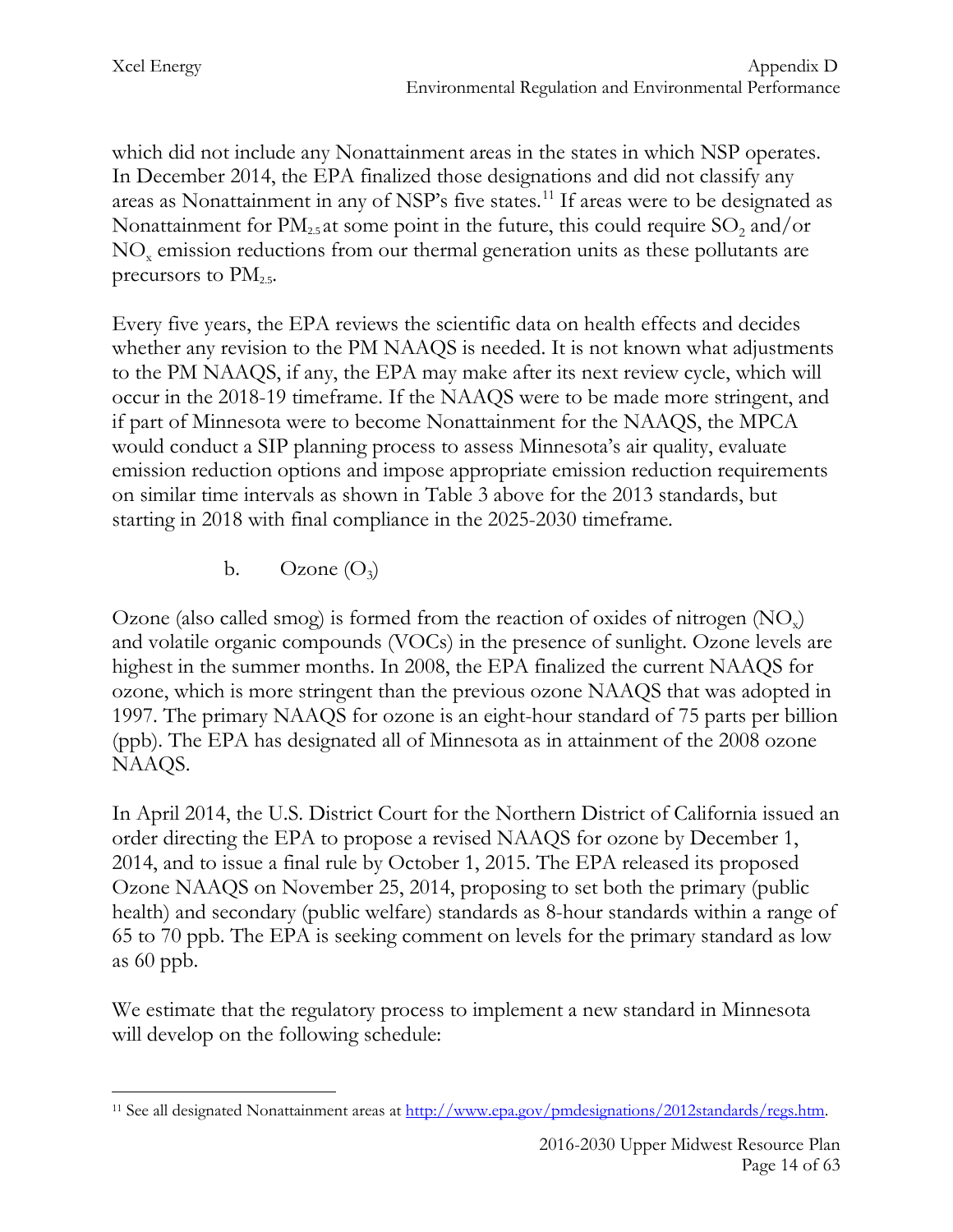which did not include any Nonattainment areas in the states in which NSP operates. In December 2014, the EPA finalized those designations and did not classify any areas as Nonattainment in any of NSP's five states.<sup>[11](#page-14-0)</sup> If areas were to be designated as Nonattainment for  $PM_{2.5}$  at some point in the future, this could require  $SO_2$  and/or NOx emission reductions from our thermal generation units as these pollutants are precursors to  $PM_{2.5}$ .

Every five years, the EPA reviews the scientific data on health effects and decides whether any revision to the PM NAAQS is needed. It is not known what adjustments to the PM NAAQS, if any, the EPA may make after its next review cycle, which will occur in the 2018-19 timeframe. If the NAAQS were to be made more stringent, and if part of Minnesota were to become Nonattainment for the NAAQS, the MPCA would conduct a SIP planning process to assess Minnesota's air quality, evaluate emission reduction options and impose appropriate emission reduction requirements on similar time intervals as shown in Table 3 above for the 2013 standards, but starting in 2018 with final compliance in the 2025-2030 timeframe.

b. Ozone  $(O_3)$ 

Ozone (also called smog) is formed from the reaction of oxides of nitrogen  $(NO_x)$ and volatile organic compounds (VOCs) in the presence of sunlight. Ozone levels are highest in the summer months. In 2008, the EPA finalized the current NAAQS for ozone, which is more stringent than the previous ozone NAAQS that was adopted in 1997. The primary NAAQS for ozone is an eight-hour standard of 75 parts per billion (ppb). The EPA has designated all of Minnesota as in attainment of the 2008 ozone NAAQS.

In April 2014, the U.S. District Court for the Northern District of California issued an order directing the EPA to propose a revised NAAQS for ozone by December 1, 2014, and to issue a final rule by October 1, 2015. The EPA released its proposed Ozone NAAQS on November 25, 2014, proposing to set both the primary (public health) and secondary (public welfare) standards as 8-hour standards within a range of 65 to 70 ppb. The EPA is seeking comment on levels for the primary standard as low as 60 ppb.

We estimate that the regulatory process to implement a new standard in Minnesota will develop on the following schedule:

<span id="page-14-0"></span><sup>11</sup> See all designated Nonattainment areas at [http://www.epa.gov/pmdesignations/2012standards/regs.htm.](http://www.epa.gov/pmdesignations/2012standards/regs.htm)  $\overline{a}$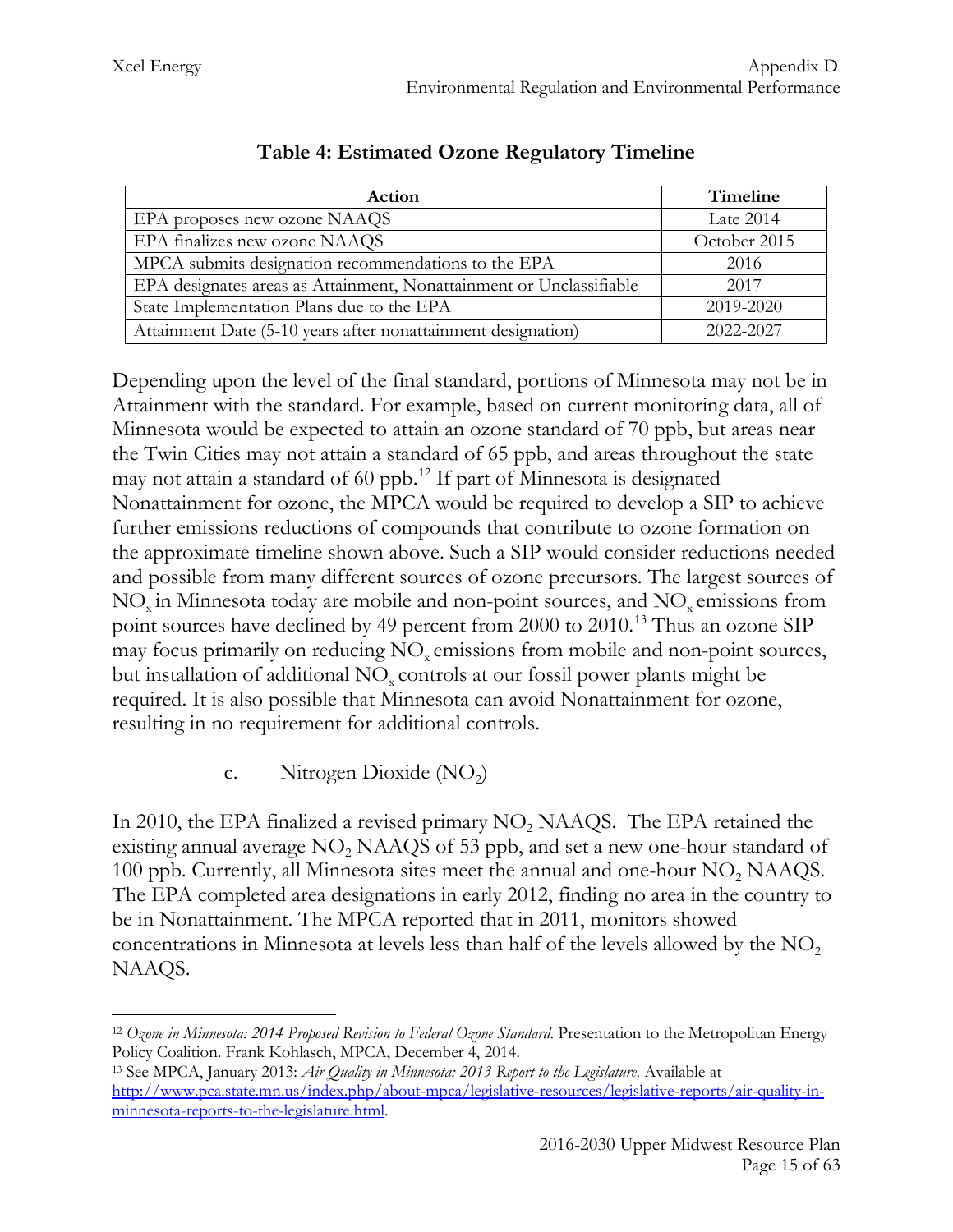| Action                                                              | Timeline     |  |
|---------------------------------------------------------------------|--------------|--|
| EPA proposes new ozone NAAQS                                        | Late 2014    |  |
| EPA finalizes new ozone NAAQS                                       | October 2015 |  |
| MPCA submits designation recommendations to the EPA                 | 2016         |  |
| EPA designates areas as Attainment, Nonattainment or Unclassifiable | 2017         |  |
| State Implementation Plans due to the EPA                           | 2019-2020    |  |
| Attainment Date (5-10 years after nonattainment designation)        | 2022-2027    |  |

## **Table 4: Estimated Ozone Regulatory Timeline**

Depending upon the level of the final standard, portions of Minnesota may not be in Attainment with the standard. For example, based on current monitoring data, all of Minnesota would be expected to attain an ozone standard of 70 ppb, but areas near the Twin Cities may not attain a standard of 65 ppb, and areas throughout the state may not attain a standard of 60 ppb. [12](#page-15-0) If part of Minnesota is designated Nonattainment for ozone, the MPCA would be required to develop a SIP to achieve further emissions reductions of compounds that contribute to ozone formation on the approximate timeline shown above. Such a SIP would consider reductions needed and possible from many different sources of ozone precursors. The largest sources of NO<sub>y</sub> in Minnesota today are mobile and non-point sources, and NO<sub>y</sub> emissions from point sources have declined by 49 percent from 2000 to 2010.<sup>[13](#page-15-1)</sup> Thus an ozone SIP may focus primarily on reducing NO<sub>x</sub> emissions from mobile and non-point sources, but installation of additional  $NO<sub>x</sub>$  controls at our fossil power plants might be required. It is also possible that Minnesota can avoid Nonattainment for ozone, resulting in no requirement for additional controls.

#### c. Nitrogen Dioxide  $(NO<sub>2</sub>)$

In 2010, the EPA finalized a revised primary  $NO<sub>2</sub> NAAQS$ . The EPA retained the existing annual average  $NO<sub>2</sub> NAAQS$  of 53 ppb, and set a new one-hour standard of 100 ppb. Currently, all Minnesota sites meet the annual and one-hour  $NO<sub>2</sub> NAAQS$ . The EPA completed area designations in early 2012, finding no area in the country to be in Nonattainment. The MPCA reported that in 2011, monitors showed concentrations in Minnesota at levels less than half of the levels allowed by the  $NO<sub>2</sub>$ NAAQS.

<span id="page-15-0"></span><sup>12</sup> *Ozone in Minnesota: 2014 Proposed Revision to Federal Ozone Standard*. Presentation to the Metropolitan Energy Policy Coalition. Frank Kohlasch, MPCA, December 4, 2014.  $\overline{a}$ 

<span id="page-15-1"></span><sup>13</sup> See MPCA, January 2013: *Air Quality in Minnesota: 2013 Report to the Legislature*. Available at [http://www.pca.state.mn.us/index.php/about-mpca/legislative-resources/legislative-reports/air-quality-in](http://www.pca.state.mn.us/index.php/about-mpca/legislative-resources/legislative-reports/air-quality-in-minnesota-reports-to-the-legislature.html)[minnesota-reports-to-the-legislature.html.](http://www.pca.state.mn.us/index.php/about-mpca/legislative-resources/legislative-reports/air-quality-in-minnesota-reports-to-the-legislature.html)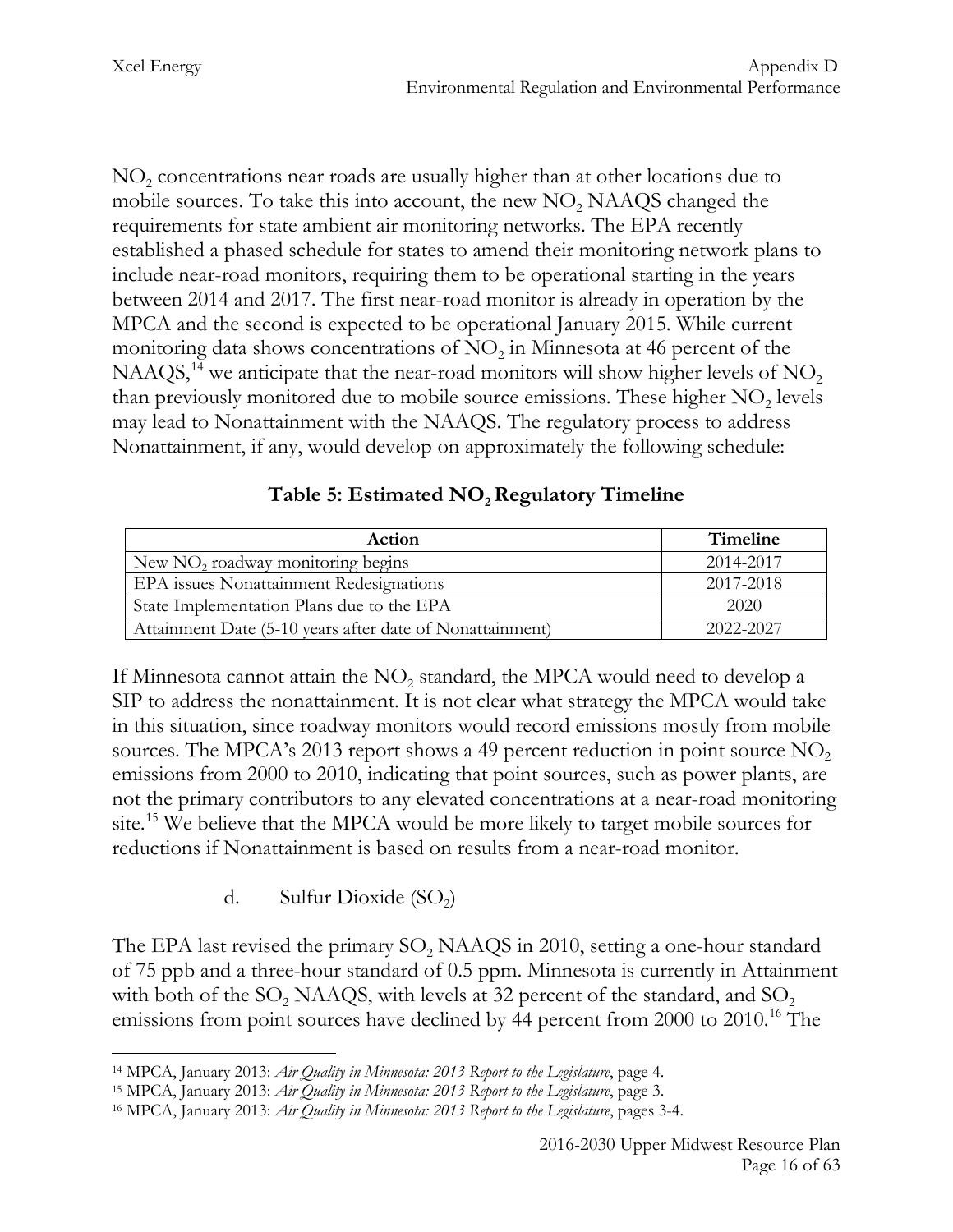$NO<sub>2</sub>$  concentrations near roads are usually higher than at other locations due to mobile sources. To take this into account, the new  $NO<sub>2</sub> NAAQS$  changed the requirements for state ambient air monitoring networks. The EPA recently established a phased schedule for states to amend their monitoring network plans to include near-road monitors, requiring them to be operational starting in the years between 2014 and 2017. The first near-road monitor is already in operation by the MPCA and the second is expected to be operational January 2015. While current monitoring data shows concentrations of  $NO<sub>2</sub>$  in Minnesota at 46 percent of the NAAQS,<sup>[14](#page-16-0)</sup> we anticipate that the near-road monitors will show higher levels of  $NO<sub>2</sub>$ than previously monitored due to mobile source emissions. These higher  $NO<sub>2</sub>$  levels may lead to Nonattainment with the NAAQS. The regulatory process to address Nonattainment, if any, would develop on approximately the following schedule:

#### Table 5: Estimated NO<sub>2</sub> Regulatory Timeline

| Action                                                   | <b>Timeline</b> |
|----------------------------------------------------------|-----------------|
| New NO <sub>2</sub> roadway monitoring begins            | 2014-2017       |
| EPA issues Nonattainment Redesignations                  | 2017-2018       |
| State Implementation Plans due to the EPA                | 2020            |
| Attainment Date (5-10 years after date of Nonattainment) | 2022-2027       |

If Minnesota cannot attain the  $NO<sub>2</sub>$  standard, the MPCA would need to develop a SIP to address the nonattainment. It is not clear what strategy the MPCA would take in this situation, since roadway monitors would record emissions mostly from mobile sources. The MPCA's 2013 report shows a 49 percent reduction in point source  $NO<sub>2</sub>$ emissions from 2000 to 2010, indicating that point sources, such as power plants, are not the primary contributors to any elevated concentrations at a near-road monitoring site.<sup>[15](#page-16-1)</sup> We believe that the MPCA would be more likely to target mobile sources for reductions if Nonattainment is based on results from a near-road monitor.

d. Sulfur Dioxide  $(SO<sub>2</sub>)$ 

The EPA last revised the primary  $SO<sub>2</sub>$  NAAQS in 2010, setting a one-hour standard of 75 ppb and a three-hour standard of 0.5 ppm. Minnesota is currently in Attainment with both of the SO<sub>2</sub> NAAQS, with levels at 32 percent of the standard, and SO<sub>2</sub> emissions from point sources have declined by 44 percent from 2000 to 2010.<sup>16</sup> The

<span id="page-16-0"></span><sup>14</sup> MPCA, January 2013: *Air Quality in Minnesota: 2013 Report to the Legislature*, page 4.  $\overline{a}$ 

<span id="page-16-1"></span><sup>15</sup> MPCA, January 2013: *Air Quality in Minnesota: 2013 Report to the Legislature*, page 3.

<span id="page-16-2"></span><sup>16</sup> MPCA, January 2013: *Air Quality in Minnesota: 2013 Report to the Legislature*, pages 3-4.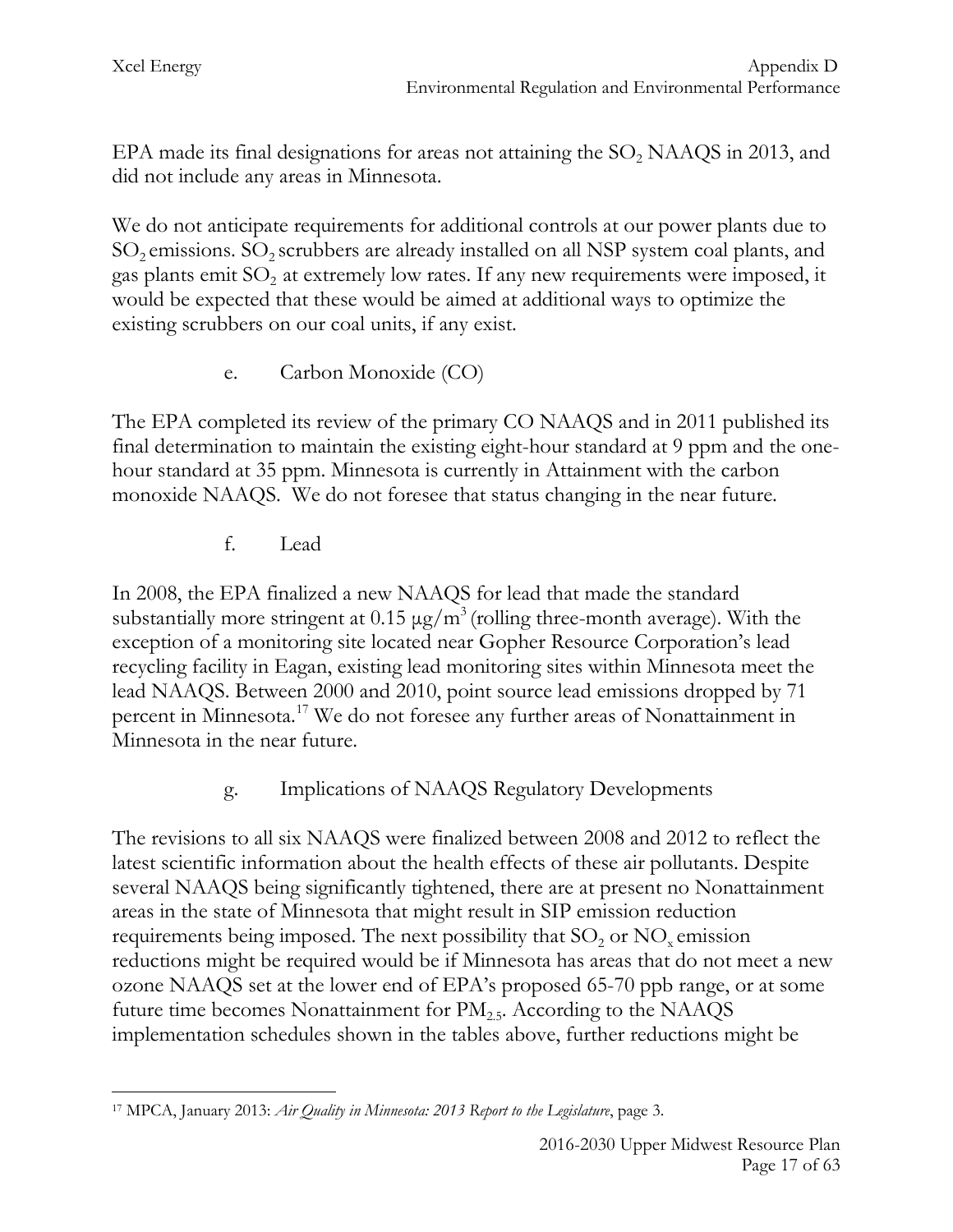EPA made its final designations for areas not attaining the  $SO_2$  NAAQS in 2013, and did not include any areas in Minnesota.

We do not anticipate requirements for additional controls at our power plants due to  $SO_2$  emissions.  $SO_2$  scrubbers are already installed on all NSP system coal plants, and gas plants emit  $SO_2$  at extremely low rates. If any new requirements were imposed, it would be expected that these would be aimed at additional ways to optimize the existing scrubbers on our coal units, if any exist.

e. Carbon Monoxide (CO)

The EPA completed its review of the primary CO NAAQS and in 2011 published its final determination to maintain the existing eight-hour standard at 9 ppm and the onehour standard at 35 ppm. Minnesota is currently in Attainment with the carbon monoxide NAAQS. We do not foresee that status changing in the near future.

f. Lead

In 2008, the EPA finalized a new NAAQS for lead that made the standard substantially more stringent at  $0.15 \mu g/m^3$  (rolling three-month average). With the exception of a monitoring site located near Gopher Resource Corporation's lead recycling facility in Eagan, existing lead monitoring sites within Minnesota meet the lead NAAQS. Between 2000 and 2010, point source lead emissions dropped by 71 percent in Minnesota[.17](#page-17-0) We do not foresee any further areas of Nonattainment in Minnesota in the near future.

g. Implications of NAAQS Regulatory Developments

The revisions to all six NAAQS were finalized between 2008 and 2012 to reflect the latest scientific information about the health effects of these air pollutants. Despite several NAAQS being significantly tightened, there are at present no Nonattainment areas in the state of Minnesota that might result in SIP emission reduction requirements being imposed. The next possibility that  $SO_2$  or  $NO<sub>x</sub>$  emission reductions might be required would be if Minnesota has areas that do not meet a new ozone NAAQS set at the lower end of EPA's proposed 65-70 ppb range, or at some future time becomes Nonattainment for  $PM_{2.5}$ . According to the NAAQS implementation schedules shown in the tables above, further reductions might be

<span id="page-17-0"></span><sup>17</sup> MPCA, January 2013: *Air Quality in Minnesota: 2013 Report to the Legislature*, page 3.  $\overline{a}$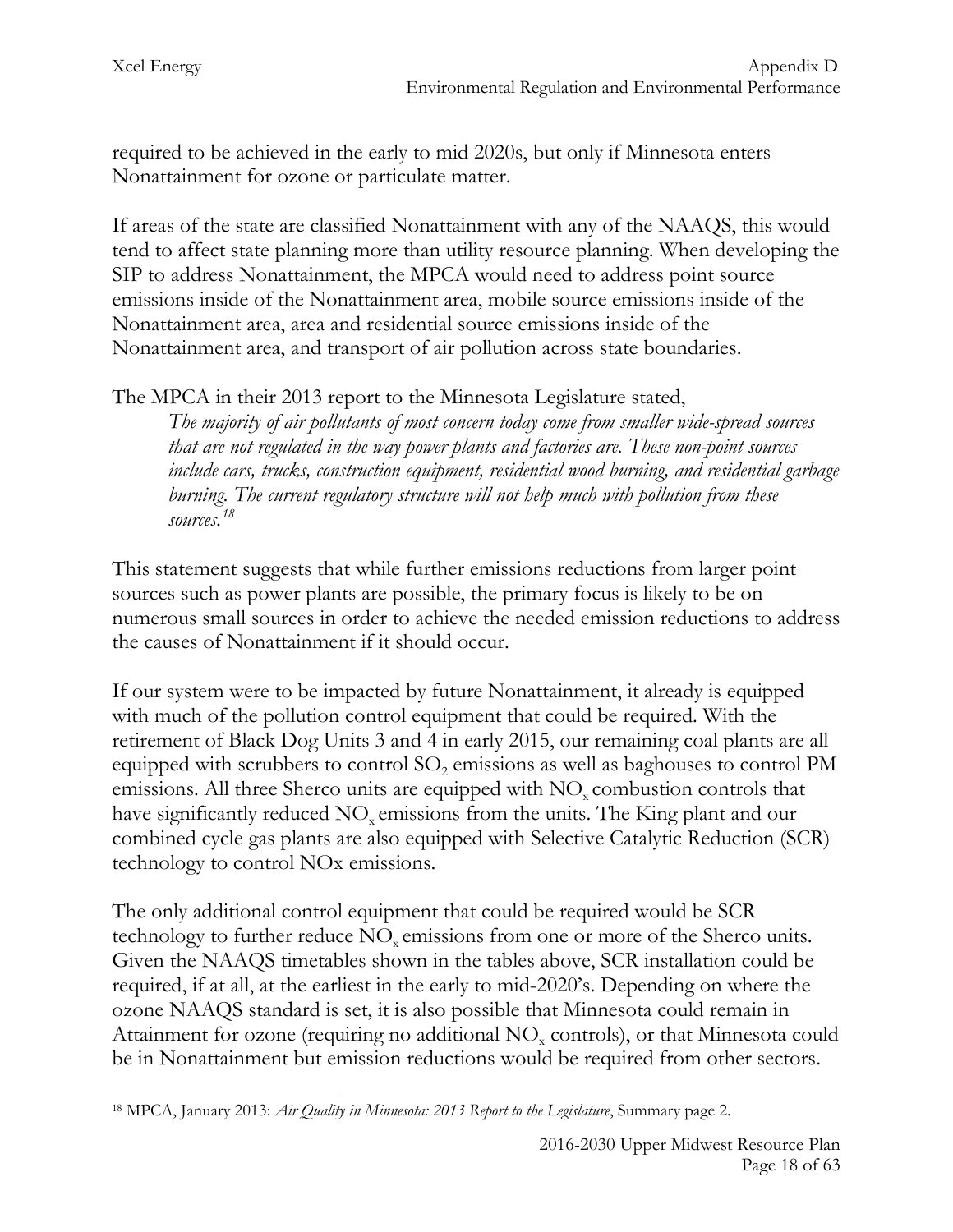required to be achieved in the early to mid 2020s, but only if Minnesota enters Nonattainment for ozone or particulate matter.

If areas of the state are classified Nonattainment with any of the NAAQS, this would tend to affect state planning more than utility resource planning. When developing the SIP to address Nonattainment, the MPCA would need to address point source emissions inside of the Nonattainment area, mobile source emissions inside of the Nonattainment area, area and residential source emissions inside of the Nonattainment area, and transport of air pollution across state boundaries.

The MPCA in their 2013 report to the Minnesota Legislature stated,

*The majority of air pollutants of most concern today come from smaller wide-spread sources that are not regulated in the way power plants and factories are. These non-point sources include cars, trucks, construction equipment, residential wood burning, and residential garbage burning. The current regulatory structure will not help much with pollution from these sources.[18](#page-18-0)*

This statement suggests that while further emissions reductions from larger point sources such as power plants are possible, the primary focus is likely to be on numerous small sources in order to achieve the needed emission reductions to address the causes of Nonattainment if it should occur.

If our system were to be impacted by future Nonattainment, it already is equipped with much of the pollution control equipment that could be required. With the retirement of Black Dog Units 3 and 4 in early 2015, our remaining coal plants are all equipped with scrubbers to control SO<sub>2</sub> emissions as well as baghouses to control PM emissions. All three Sherco units are equipped with  $NO<sub>x</sub>$  combustion controls that have significantly reduced NO<sub>x</sub> emissions from the units. The King plant and our combined cycle gas plants are also equipped with Selective Catalytic Reduction (SCR) technology to control NOx emissions.

The only additional control equipment that could be required would be SCR technology to further reduce NO<sub>x</sub> emissions from one or more of the Sherco units. Given the NAAQS timetables shown in the tables above, SCR installation could be required, if at all, at the earliest in the early to mid-2020's. Depending on where the ozone NAAQS standard is set, it is also possible that Minnesota could remain in Attainment for ozone (requiring no additional  $NO<sub>x</sub>$  controls), or that Minnesota could be in Nonattainment but emission reductions would be required from other sectors.

<span id="page-18-0"></span><sup>18</sup> MPCA, January 2013: *Air Quality in Minnesota: 2013 Report to the Legislature*, Summary page 2.  $\overline{a}$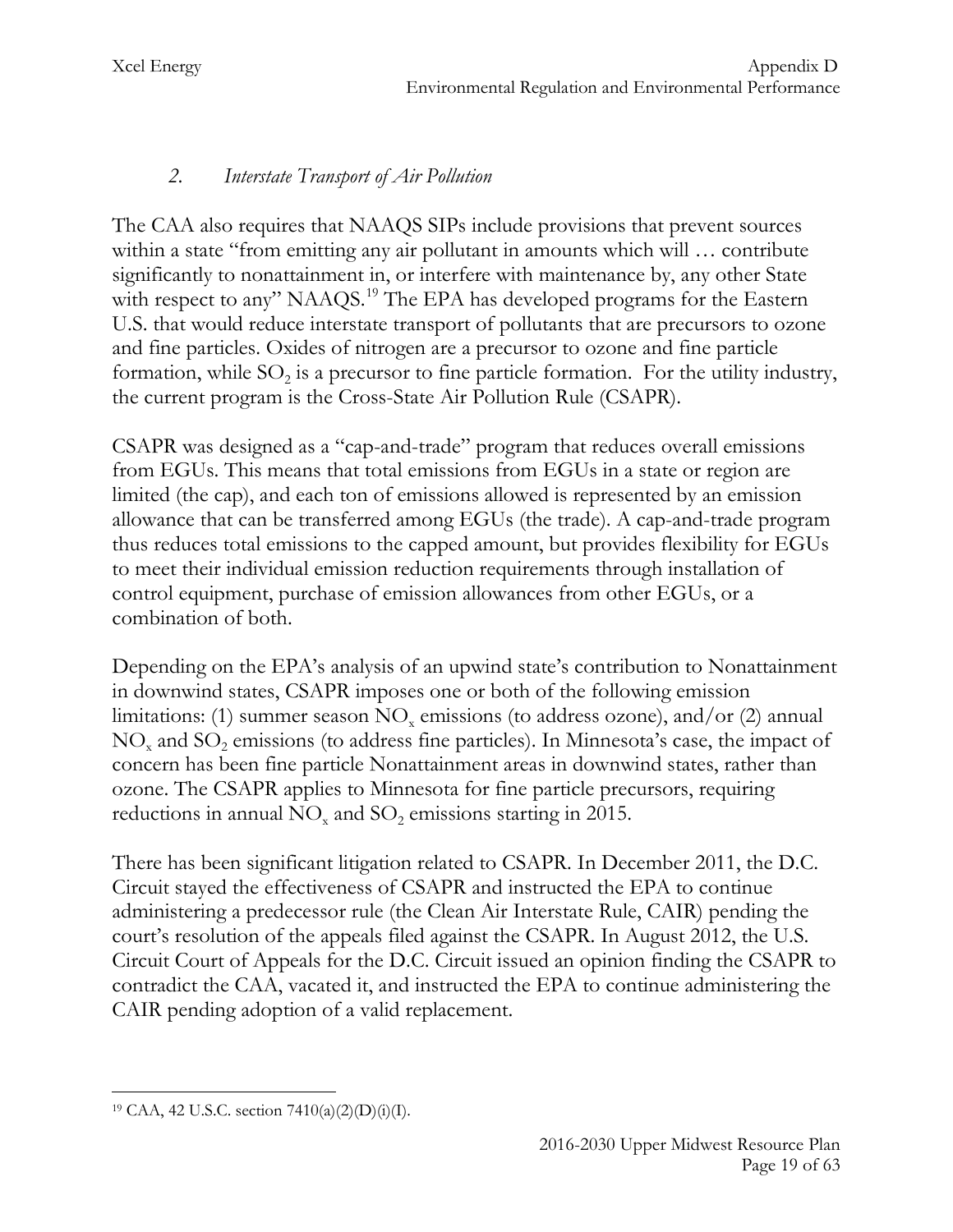# *2. Interstate Transport of Air Pollution*

The CAA also requires that NAAQS SIPs include provisions that prevent sources within a state "from emitting any air pollutant in amounts which will ... contribute significantly to nonattainment in, or interfere with maintenance by, any other State with respect to any" NAAQS.<sup>[19](#page-19-0)</sup> The EPA has developed programs for the Eastern U.S. that would reduce interstate transport of pollutants that are precursors to ozone and fine particles. Oxides of nitrogen are a precursor to ozone and fine particle formation, while  $SO_2$  is a precursor to fine particle formation. For the utility industry, the current program is the Cross-State Air Pollution Rule (CSAPR).

CSAPR was designed as a "cap-and-trade" program that reduces overall emissions from EGUs. This means that total emissions from EGUs in a state or region are limited (the cap), and each ton of emissions allowed is represented by an emission allowance that can be transferred among EGUs (the trade). A cap-and-trade program thus reduces total emissions to the capped amount, but provides flexibility for EGUs to meet their individual emission reduction requirements through installation of control equipment, purchase of emission allowances from other EGUs, or a combination of both.

Depending on the EPA's analysis of an upwind state's contribution to Nonattainment in downwind states, CSAPR imposes one or both of the following emission limitations: (1) summer season  $NO<sub>x</sub>$  emissions (to address ozone), and/or (2) annual  $NO<sub>x</sub>$  and  $SO<sub>2</sub>$  emissions (to address fine particles). In Minnesota's case, the impact of concern has been fine particle Nonattainment areas in downwind states, rather than ozone. The CSAPR applies to Minnesota for fine particle precursors, requiring reductions in annual  $NO<sub>x</sub>$  and  $SO<sub>2</sub>$  emissions starting in 2015.

There has been significant litigation related to CSAPR. In December 2011, the D.C. Circuit stayed the effectiveness of CSAPR and instructed the EPA to continue administering a predecessor rule (the Clean Air Interstate Rule, CAIR) pending the court's resolution of the appeals filed against the CSAPR. In August 2012, the U.S. Circuit Court of Appeals for the D.C. Circuit issued an opinion finding the CSAPR to contradict the CAA, vacated it, and instructed the EPA to continue administering the CAIR pending adoption of a valid replacement.

<span id="page-19-0"></span><sup>19</sup> CAA, 42 U.S.C. section 7410(a)(2)(D)(i)(I).  $\overline{a}$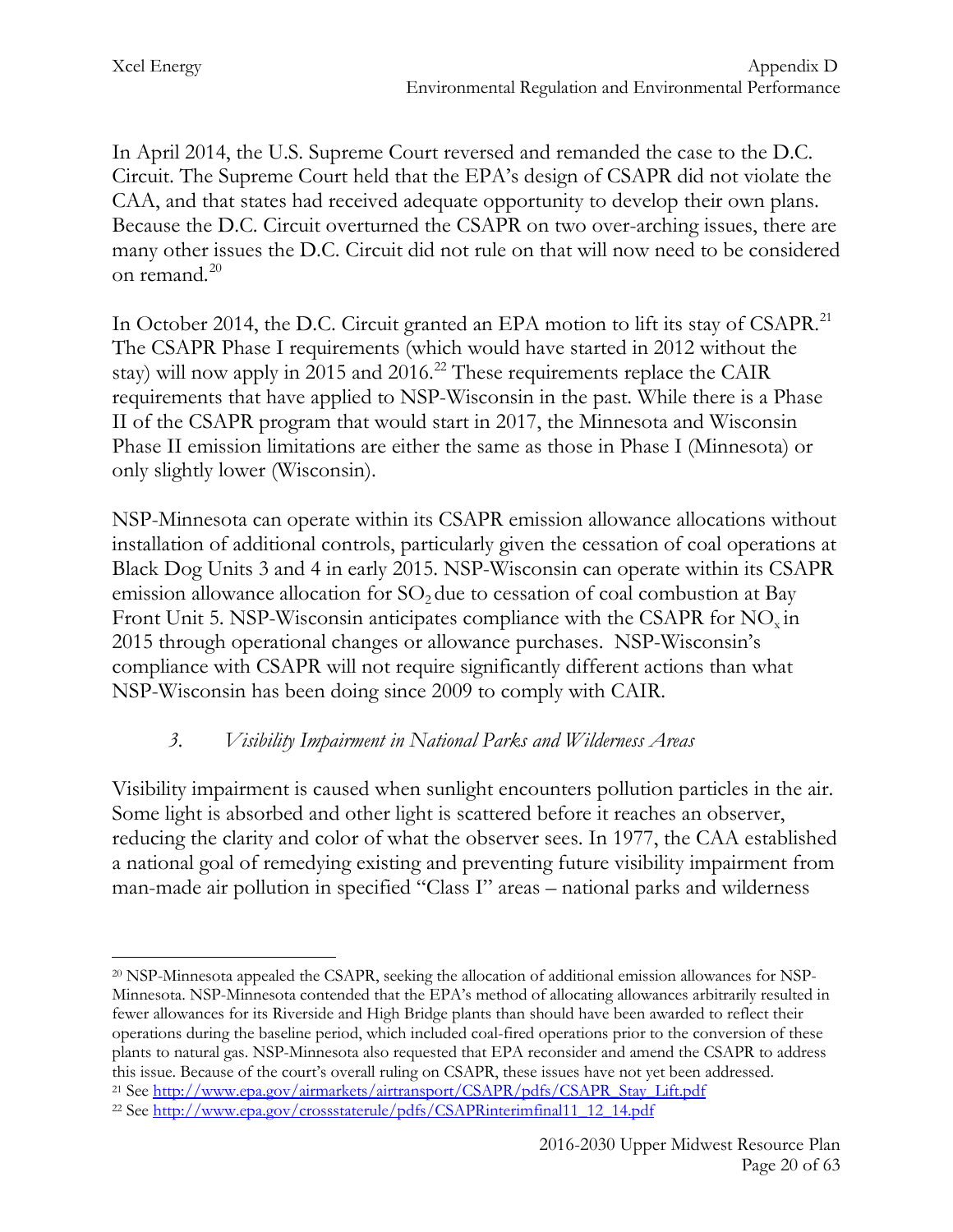In April 2014, the U.S. Supreme Court reversed and remanded the case to the D.C. Circuit. The Supreme Court held that the EPA's design of CSAPR did not violate the CAA, and that states had received adequate opportunity to develop their own plans. Because the D.C. Circuit overturned the CSAPR on two over-arching issues, there are many other issues the D.C. Circuit did not rule on that will now need to be considered on remand. $^{20}$  $^{20}$  $^{20}$ 

In October 2014, the D.C. Circuit granted an EPA motion to lift its stay of CSAPR.<sup>[21](#page-20-1)</sup> The CSAPR Phase I requirements (which would have started in 2012 without the stay) will now apply in  $2015$  and  $2016$ .<sup>[22](#page-20-2)</sup> These requirements replace the CAIR requirements that have applied to NSP-Wisconsin in the past. While there is a Phase II of the CSAPR program that would start in 2017, the Minnesota and Wisconsin Phase II emission limitations are either the same as those in Phase I (Minnesota) or only slightly lower (Wisconsin).

NSP-Minnesota can operate within its CSAPR emission allowance allocations without installation of additional controls, particularly given the cessation of coal operations at Black Dog Units 3 and 4 in early 2015. NSP-Wisconsin can operate within its CSAPR emission allowance allocation for  $SO<sub>2</sub>$  due to cessation of coal combustion at Bay Front Unit 5. NSP-Wisconsin anticipates compliance with the CSAPR for NO<sub>x</sub> in 2015 through operational changes or allowance purchases. NSP-Wisconsin's compliance with CSAPR will not require significantly different actions than what NSP-Wisconsin has been doing since 2009 to comply with CAIR.

## *3. Visibility Impairment in National Parks and Wilderness Areas*

Visibility impairment is caused when sunlight encounters pollution particles in the air. Some light is absorbed and other light is scattered before it reaches an observer, reducing the clarity and color of what the observer sees. In 1977, the CAA established a national goal of remedying existing and preventing future visibility impairment from man-made air pollution in specified "Class I" areas – national parks and wilderness

<span id="page-20-0"></span><sup>20</sup> NSP-Minnesota appealed the CSAPR, seeking the allocation of additional emission allowances for NSP-Minnesota. NSP-Minnesota contended that the EPA's method of allocating allowances arbitrarily resulted in fewer allowances for its Riverside and High Bridge plants than should have been awarded to reflect their operations during the baseline period, which included coal-fired operations prior to the conversion of these plants to natural gas. NSP-Minnesota also requested that EPA reconsider and amend the CSAPR to address this issue. Because of the court's overall ruling on CSAPR, these issues have not yet been addressed.  $\overline{a}$ 

<span id="page-20-1"></span><sup>&</sup>lt;sup>21</sup> See [http://www.epa.gov/airmarkets/airtransport/CSAPR/pdfs/CSAPR\\_Stay\\_Lift.pdf](http://www.epa.gov/airmarkets/airtransport/CSAPR/pdfs/CSAPR_Stay_Lift.pdf)

<span id="page-20-2"></span><sup>22</sup> See [http://www.epa.gov/crossstaterule/pdfs/CSAPRinterimfinal11\\_12\\_14.pdf](http://www.epa.gov/crossstaterule/pdfs/CSAPRinterimfinal11_12_14.pdf)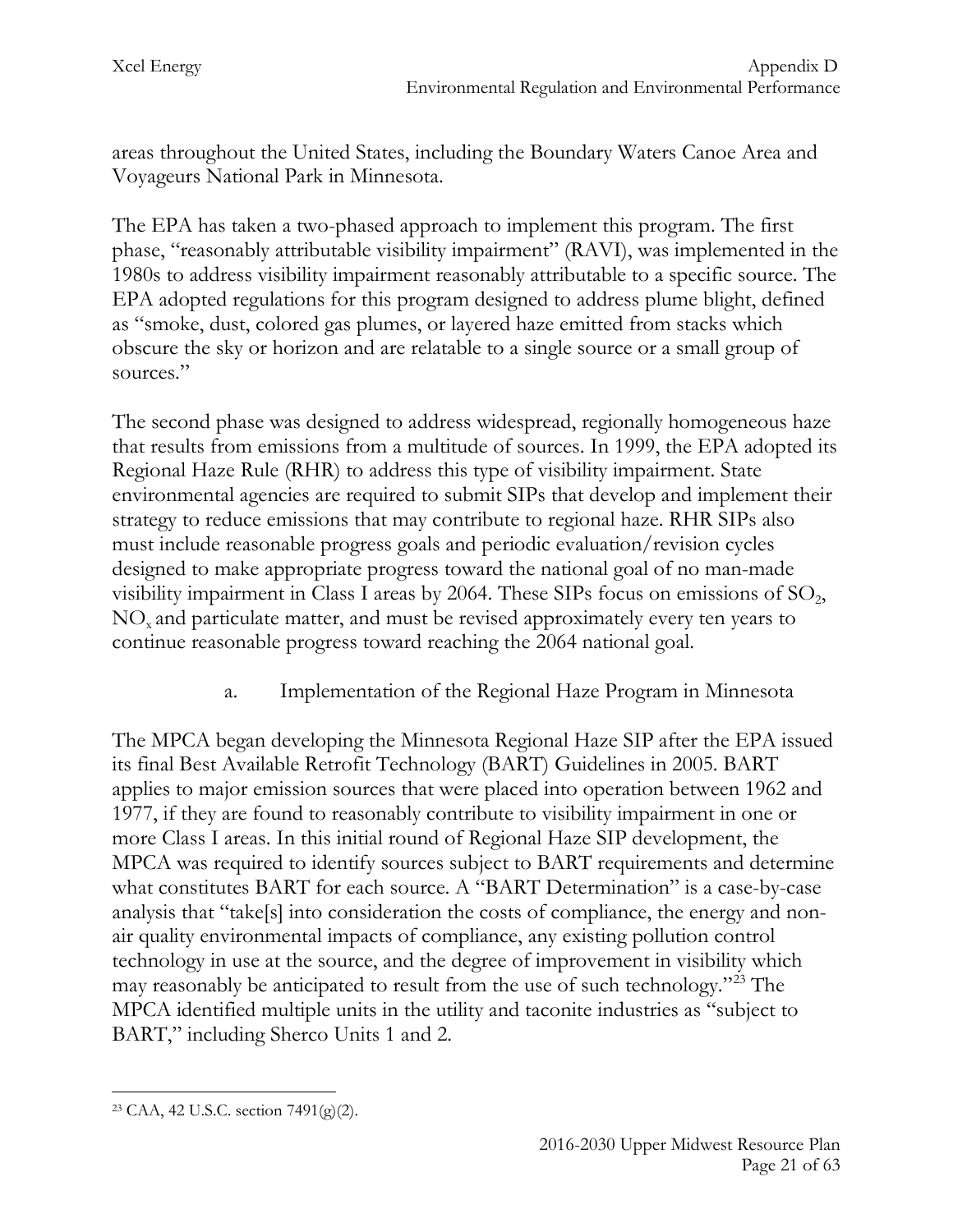areas throughout the United States, including the Boundary Waters Canoe Area and Voyageurs National Park in Minnesota.

The EPA has taken a two-phased approach to implement this program. The first phase, "reasonably attributable visibility impairment" (RAVI), was implemented in the 1980s to address visibility impairment reasonably attributable to a specific source. The EPA adopted regulations for this program designed to address plume blight, defined as "smoke, dust, colored gas plumes, or layered haze emitted from stacks which obscure the sky or horizon and are relatable to a single source or a small group of sources."

The second phase was designed to address widespread, regionally homogeneous haze that results from emissions from a multitude of sources. In 1999, the EPA adopted its Regional Haze Rule (RHR) to address this type of visibility impairment. State environmental agencies are required to submit SIPs that develop and implement their strategy to reduce emissions that may contribute to regional haze. RHR SIPs also must include reasonable progress goals and periodic evaluation/revision cycles designed to make appropriate progress toward the national goal of no man-made visibility impairment in Class I areas by 2064. These SIPs focus on emissions of  $SO<sub>2</sub>$ , NOx and particulate matter, and must be revised approximately every ten years to continue reasonable progress toward reaching the 2064 national goal.

a. Implementation of the Regional Haze Program in Minnesota

The MPCA began developing the Minnesota Regional Haze SIP after the EPA issued its final Best Available Retrofit Technology (BART) Guidelines in 2005. BART applies to major emission sources that were placed into operation between 1962 and 1977, if they are found to reasonably contribute to visibility impairment in one or more Class I areas. In this initial round of Regional Haze SIP development, the MPCA was required to identify sources subject to BART requirements and determine what constitutes BART for each source. A "BART Determination" is a case-by-case analysis that "take[s] into consideration the costs of compliance, the energy and nonair quality environmental impacts of compliance, any existing pollution control technology in use at the source, and the degree of improvement in visibility which may reasonably be anticipated to result from the use of such technology."[23](#page-21-0) The MPCA identified multiple units in the utility and taconite industries as "subject to BART," including Sherco Units 1 and 2.

<span id="page-21-0"></span><sup>23</sup> CAA, 42 U.S.C. section 7491(g)(2).  $\overline{a}$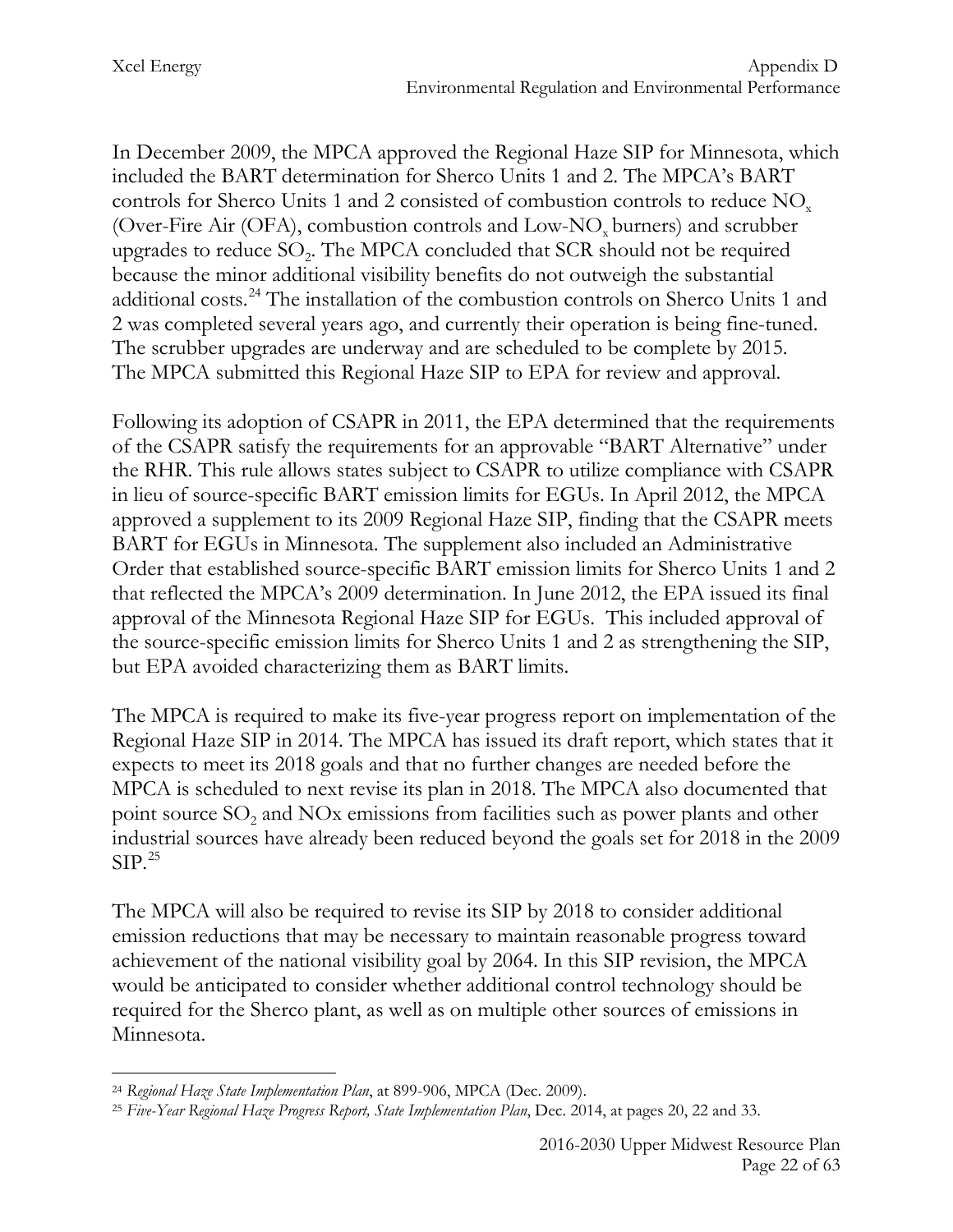In December 2009, the MPCA approved the Regional Haze SIP for Minnesota, which included the BART determination for Sherco Units 1 and 2. The MPCA's BART controls for Sherco Units 1 and 2 consisted of combustion controls to reduce  $NO<sub>x</sub>$ (Over-Fire Air (OFA), combustion controls and Low-NO<sub>x</sub> burners) and scrubber upgrades to reduce  $SO<sub>2</sub>$ . The MPCA concluded that  $SCR$  should not be required because the minor additional visibility benefits do not outweigh the substantial additional costs.<sup>[24](#page-22-0)</sup> The installation of the combustion controls on Sherco Units 1 and 2 was completed several years ago, and currently their operation is being fine-tuned. The scrubber upgrades are underway and are scheduled to be complete by 2015. The MPCA submitted this Regional Haze SIP to EPA for review and approval.

Following its adoption of CSAPR in 2011, the EPA determined that the requirements of the CSAPR satisfy the requirements for an approvable "BART Alternative" under the RHR. This rule allows states subject to CSAPR to utilize compliance with CSAPR in lieu of source-specific BART emission limits for EGUs. In April 2012, the MPCA approved a supplement to its 2009 Regional Haze SIP, finding that the CSAPR meets BART for EGUs in Minnesota. The supplement also included an Administrative Order that established source-specific BART emission limits for Sherco Units 1 and 2 that reflected the MPCA's 2009 determination. In June 2012, the EPA issued its final approval of the Minnesota Regional Haze SIP for EGUs. This included approval of the source-specific emission limits for Sherco Units 1 and 2 as strengthening the SIP, but EPA avoided characterizing them as BART limits.

The MPCA is required to make its five-year progress report on implementation of the Regional Haze SIP in 2014. The MPCA has issued its draft report, which states that it expects to meet its 2018 goals and that no further changes are needed before the MPCA is scheduled to next revise its plan in 2018. The MPCA also documented that point source  $SO<sub>2</sub>$  and NOx emissions from facilities such as power plants and other industrial sources have already been reduced beyond the goals set for 2018 in the 2009  $SIP.<sup>25</sup>$  $SIP.<sup>25</sup>$  $SIP.<sup>25</sup>$ 

The MPCA will also be required to revise its SIP by 2018 to consider additional emission reductions that may be necessary to maintain reasonable progress toward achievement of the national visibility goal by 2064. In this SIP revision, the MPCA would be anticipated to consider whether additional control technology should be required for the Sherco plant, as well as on multiple other sources of emissions in Minnesota.

<span id="page-22-0"></span><sup>24</sup> *Regional Haze State Implementation Plan*, at 899-906, MPCA (Dec. 2009).  $\overline{a}$ 

<span id="page-22-1"></span><sup>25</sup> *Five-Year Regional Haze Progress Report, State Implementation Plan*, Dec. 2014, at pages 20, 22 and 33.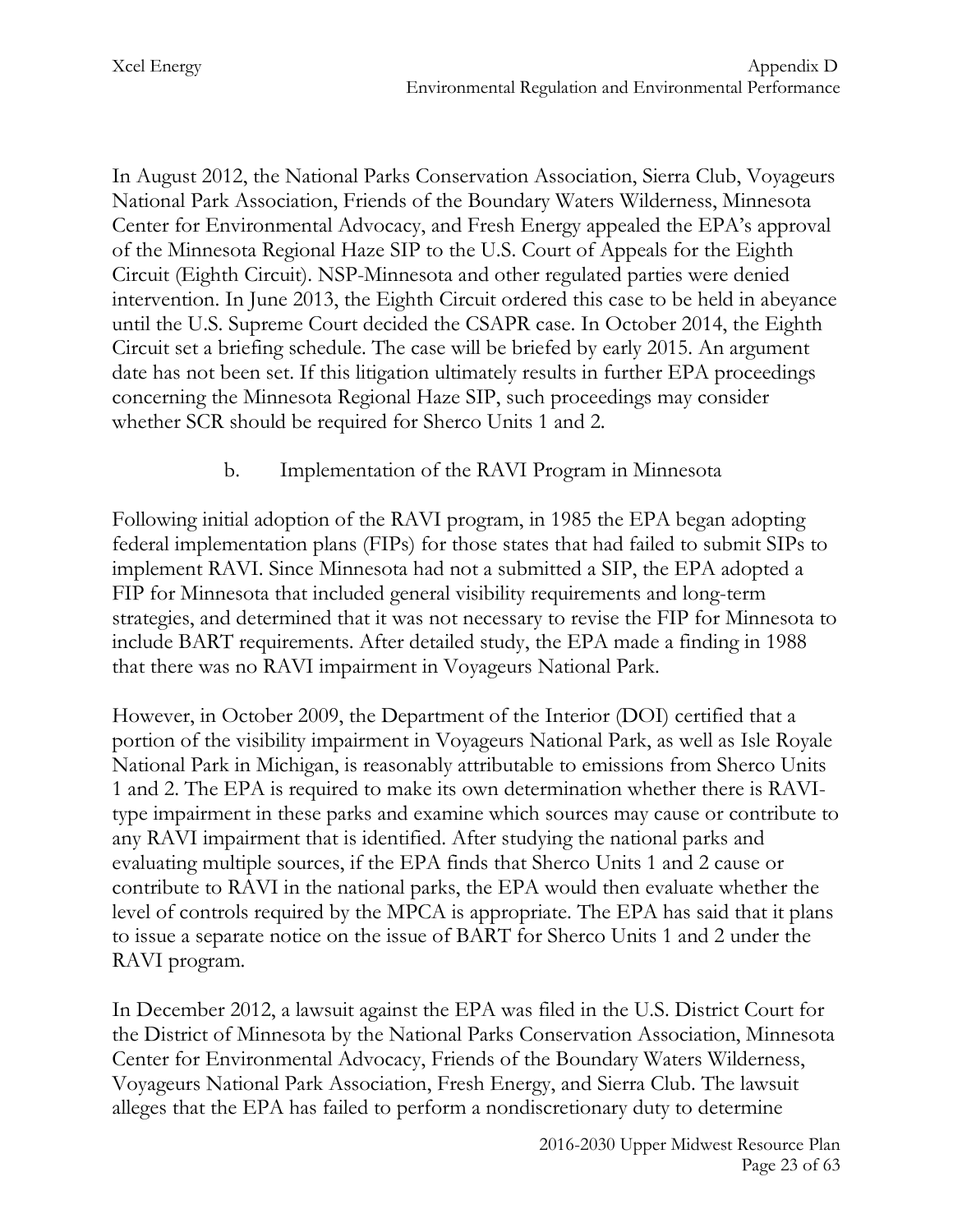In August 2012, the National Parks Conservation Association, Sierra Club, Voyageurs National Park Association, Friends of the Boundary Waters Wilderness, Minnesota Center for Environmental Advocacy, and Fresh Energy appealed the EPA's approval of the Minnesota Regional Haze SIP to the U.S. Court of Appeals for the Eighth Circuit (Eighth Circuit). NSP-Minnesota and other regulated parties were denied intervention. In June 2013, the Eighth Circuit ordered this case to be held in abeyance until the U.S. Supreme Court decided the CSAPR case. In October 2014, the Eighth Circuit set a briefing schedule. The case will be briefed by early 2015. An argument date has not been set. If this litigation ultimately results in further EPA proceedings concerning the Minnesota Regional Haze SIP, such proceedings may consider whether SCR should be required for Sherco Units 1 and 2.

#### b. Implementation of the RAVI Program in Minnesota

Following initial adoption of the RAVI program, in 1985 the EPA began adopting federal implementation plans (FIPs) for those states that had failed to submit SIPs to implement RAVI. Since Minnesota had not a submitted a SIP, the EPA adopted a FIP for Minnesota that included general visibility requirements and long-term strategies, and determined that it was not necessary to revise the FIP for Minnesota to include BART requirements. After detailed study, the EPA made a finding in 1988 that there was no RAVI impairment in Voyageurs National Park.

However, in October 2009, the Department of the Interior (DOI) certified that a portion of the visibility impairment in Voyageurs National Park, as well as Isle Royale National Park in Michigan, is reasonably attributable to emissions from Sherco Units 1 and 2. The EPA is required to make its own determination whether there is RAVItype impairment in these parks and examine which sources may cause or contribute to any RAVI impairment that is identified. After studying the national parks and evaluating multiple sources, if the EPA finds that Sherco Units 1 and 2 cause or contribute to RAVI in the national parks, the EPA would then evaluate whether the level of controls required by the MPCA is appropriate. The EPA has said that it plans to issue a separate notice on the issue of BART for Sherco Units 1 and 2 under the RAVI program.

In December 2012, a lawsuit against the EPA was filed in the U.S. District Court for the District of Minnesota by the National Parks Conservation Association, Minnesota Center for Environmental Advocacy, Friends of the Boundary Waters Wilderness, Voyageurs National Park Association, Fresh Energy, and Sierra Club. The lawsuit alleges that the EPA has failed to perform a nondiscretionary duty to determine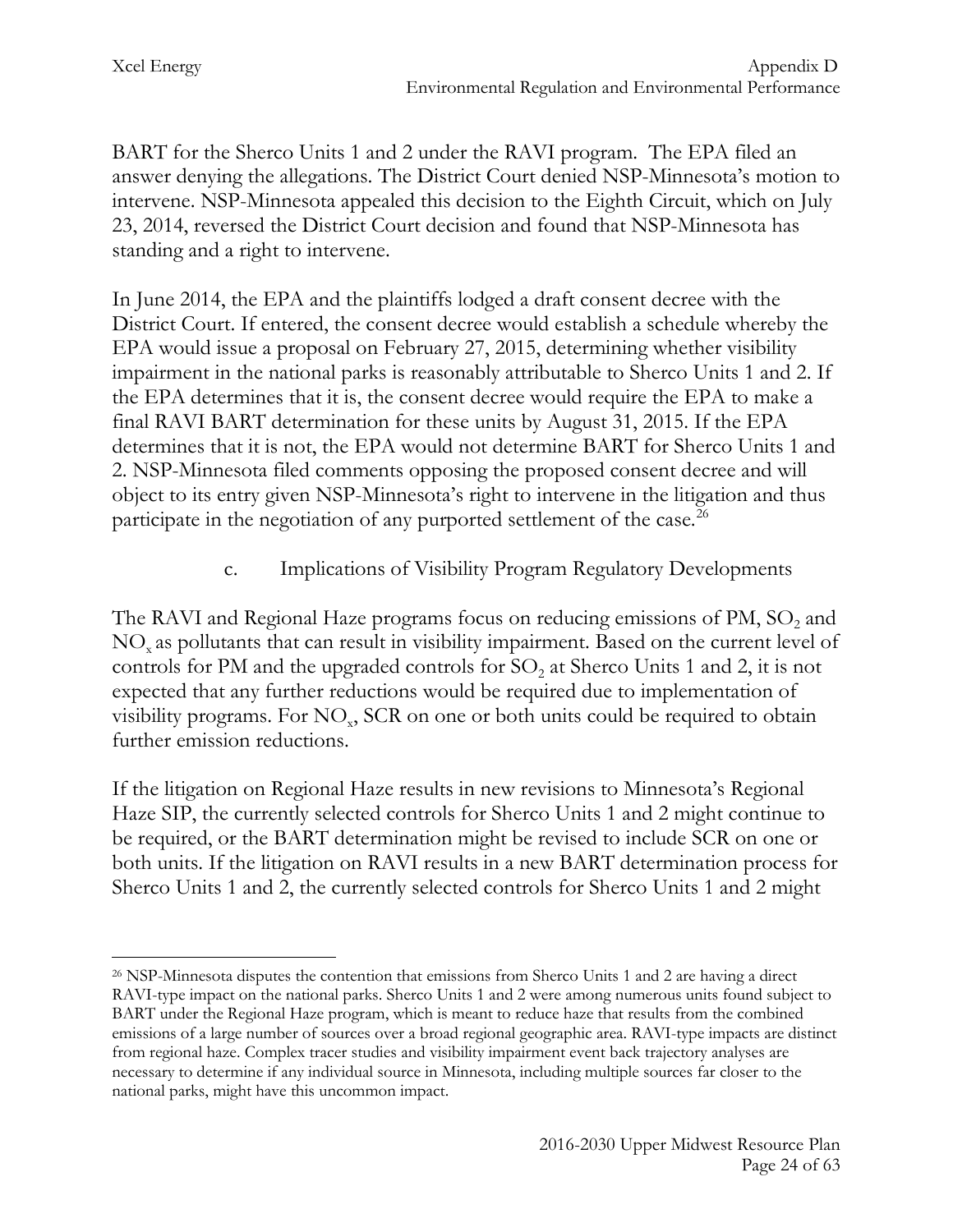BART for the Sherco Units 1 and 2 under the RAVI program. The EPA filed an answer denying the allegations. The District Court denied NSP-Minnesota's motion to intervene. NSP-Minnesota appealed this decision to the Eighth Circuit, which on July 23, 2014, reversed the District Court decision and found that NSP-Minnesota has standing and a right to intervene.

In June 2014, the EPA and the plaintiffs lodged a draft consent decree with the District Court. If entered, the consent decree would establish a schedule whereby the EPA would issue a proposal on February 27, 2015, determining whether visibility impairment in the national parks is reasonably attributable to Sherco Units 1 and 2. If the EPA determines that it is, the consent decree would require the EPA to make a final RAVI BART determination for these units by August 31, 2015. If the EPA determines that it is not, the EPA would not determine BART for Sherco Units 1 and 2. NSP-Minnesota filed comments opposing the proposed consent decree and will object to its entry given NSP-Minnesota's right to intervene in the litigation and thus participate in the negotiation of any purported settlement of the case.<sup>26</sup>

# c. Implications of Visibility Program Regulatory Developments

The RAVI and Regional Haze programs focus on reducing emissions of PM, SO<sub>2</sub> and NOx as pollutants that can result in visibility impairment. Based on the current level of controls for PM and the upgraded controls for  $SO<sub>2</sub>$  at Sherco Units 1 and 2, it is not expected that any further reductions would be required due to implementation of visibility programs. For  $NO<sub>x</sub>$ , SCR on one or both units could be required to obtain further emission reductions.

If the litigation on Regional Haze results in new revisions to Minnesota's Regional Haze SIP, the currently selected controls for Sherco Units 1 and 2 might continue to be required, or the BART determination might be revised to include SCR on one or both units. If the litigation on RAVI results in a new BART determination process for Sherco Units 1 and 2, the currently selected controls for Sherco Units 1 and 2 might

<span id="page-24-0"></span><sup>26</sup> NSP-Minnesota disputes the contention that emissions from Sherco Units 1 and 2 are having a direct RAVI-type impact on the national parks. Sherco Units 1 and 2 were among numerous units found subject to BART under the Regional Haze program, which is meant to reduce haze that results from the combined emissions of a large number of sources over a broad regional geographic area. RAVI-type impacts are distinct from regional haze. Complex tracer studies and visibility impairment event back trajectory analyses are necessary to determine if any individual source in Minnesota, including multiple sources far closer to the national parks, might have this uncommon impact.  $\overline{a}$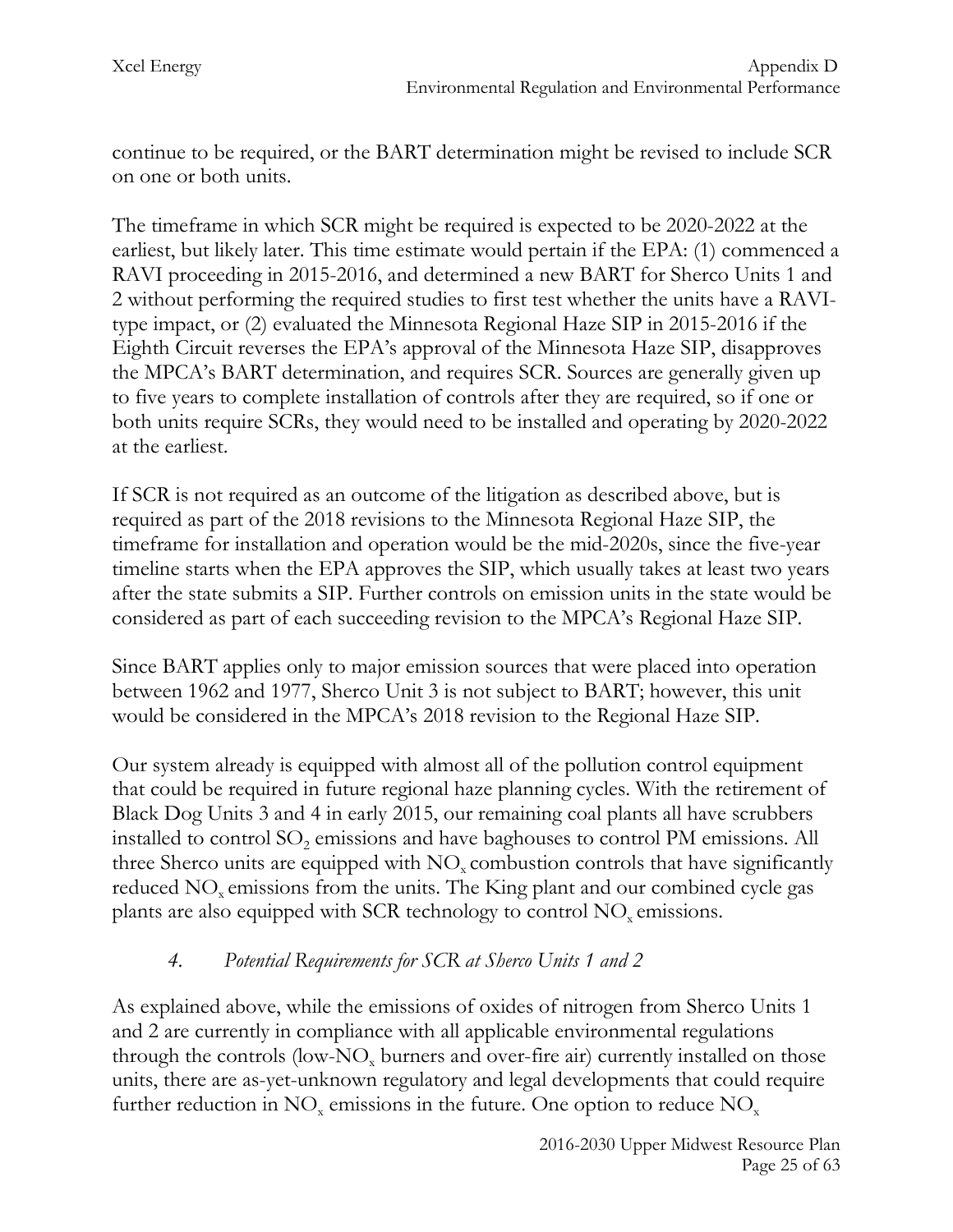continue to be required, or the BART determination might be revised to include SCR on one or both units.

The timeframe in which SCR might be required is expected to be 2020-2022 at the earliest, but likely later. This time estimate would pertain if the EPA: (1) commenced a RAVI proceeding in 2015-2016, and determined a new BART for Sherco Units 1 and 2 without performing the required studies to first test whether the units have a RAVItype impact, or (2) evaluated the Minnesota Regional Haze SIP in 2015-2016 if the Eighth Circuit reverses the EPA's approval of the Minnesota Haze SIP, disapproves the MPCA's BART determination, and requires SCR. Sources are generally given up to five years to complete installation of controls after they are required, so if one or both units require SCRs, they would need to be installed and operating by 2020-2022 at the earliest.

If SCR is not required as an outcome of the litigation as described above, but is required as part of the 2018 revisions to the Minnesota Regional Haze SIP, the timeframe for installation and operation would be the mid-2020s, since the five-year timeline starts when the EPA approves the SIP, which usually takes at least two years after the state submits a SIP. Further controls on emission units in the state would be considered as part of each succeeding revision to the MPCA's Regional Haze SIP.

Since BART applies only to major emission sources that were placed into operation between 1962 and 1977, Sherco Unit 3 is not subject to BART; however, this unit would be considered in the MPCA's 2018 revision to the Regional Haze SIP.

Our system already is equipped with almost all of the pollution control equipment that could be required in future regional haze planning cycles. With the retirement of Black Dog Units 3 and 4 in early 2015, our remaining coal plants all have scrubbers installed to control SO<sub>2</sub> emissions and have baghouses to control PM emissions. All three Sherco units are equipped with  $NO<sub>x</sub>$  combustion controls that have significantly reduced  $NO<sub>x</sub>$  emissions from the units. The King plant and our combined cycle gas plants are also equipped with SCR technology to control NO<sub>x</sub> emissions.

## *4. Potential Requirements for SCR at Sherco Units 1 and 2*

As explained above, while the emissions of oxides of nitrogen from Sherco Units 1 and 2 are currently in compliance with all applicable environmental regulations through the controls (low-NO<sub>x</sub> burners and over-fire air) currently installed on those units, there are as-yet-unknown regulatory and legal developments that could require further reduction in  $NO<sub>x</sub>$  emissions in the future. One option to reduce  $NO<sub>x</sub>$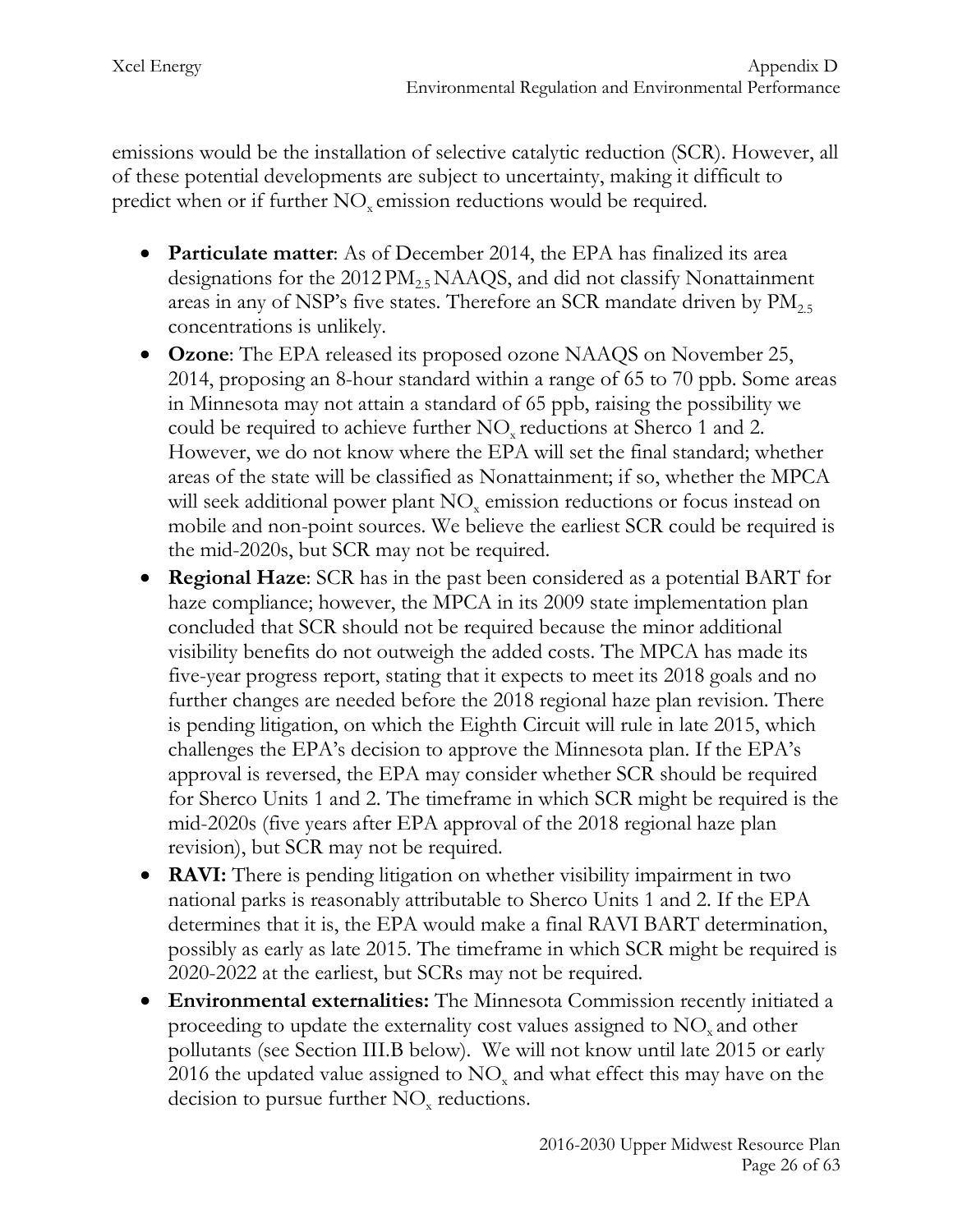emissions would be the installation of selective catalytic reduction (SCR). However, all of these potential developments are subject to uncertainty, making it difficult to predict when or if further  $NO<sub>x</sub>$  emission reductions would be required.

- **Particulate matter**: As of December 2014, the EPA has finalized its area designations for the  $2012 PM_{2.5} NAAQS$ , and did not classify Nonattainment areas in any of NSP's five states. Therefore an SCR mandate driven by  $PM_{2.5}$ concentrations is unlikely.
- **Ozone**: The EPA released its proposed ozone NAAQS on November 25, 2014, proposing an 8-hour standard within a range of 65 to 70 ppb. Some areas in Minnesota may not attain a standard of 65 ppb, raising the possibility we could be required to achieve further NO<sub>x</sub> reductions at Sherco 1 and 2. However, we do not know where the EPA will set the final standard; whether areas of the state will be classified as Nonattainment; if so, whether the MPCA will seek additional power plant NO<sub>x</sub> emission reductions or focus instead on mobile and non-point sources. We believe the earliest SCR could be required is the mid-2020s, but SCR may not be required.
- **Regional Haze**: SCR has in the past been considered as a potential BART for haze compliance; however, the MPCA in its 2009 state implementation plan concluded that SCR should not be required because the minor additional visibility benefits do not outweigh the added costs. The MPCA has made its five-year progress report, stating that it expects to meet its 2018 goals and no further changes are needed before the 2018 regional haze plan revision. There is pending litigation, on which the Eighth Circuit will rule in late 2015, which challenges the EPA's decision to approve the Minnesota plan. If the EPA's approval is reversed, the EPA may consider whether SCR should be required for Sherco Units 1 and 2. The timeframe in which SCR might be required is the mid-2020s (five years after EPA approval of the 2018 regional haze plan revision), but SCR may not be required.
- **RAVI:** There is pending litigation on whether visibility impairment in two national parks is reasonably attributable to Sherco Units 1 and 2. If the EPA determines that it is, the EPA would make a final RAVI BART determination, possibly as early as late 2015. The timeframe in which SCR might be required is 2020-2022 at the earliest, but SCRs may not be required.
- **Environmental externalities:** The Minnesota Commission recently initiated a proceeding to update the externality cost values assigned to  $NO<sub>x</sub>$  and other pollutants (see Section III.B below). We will not know until late 2015 or early 2016 the updated value assigned to  $NO<sub>x</sub>$  and what effect this may have on the decision to pursue further  $NO<sub>x</sub>$  reductions.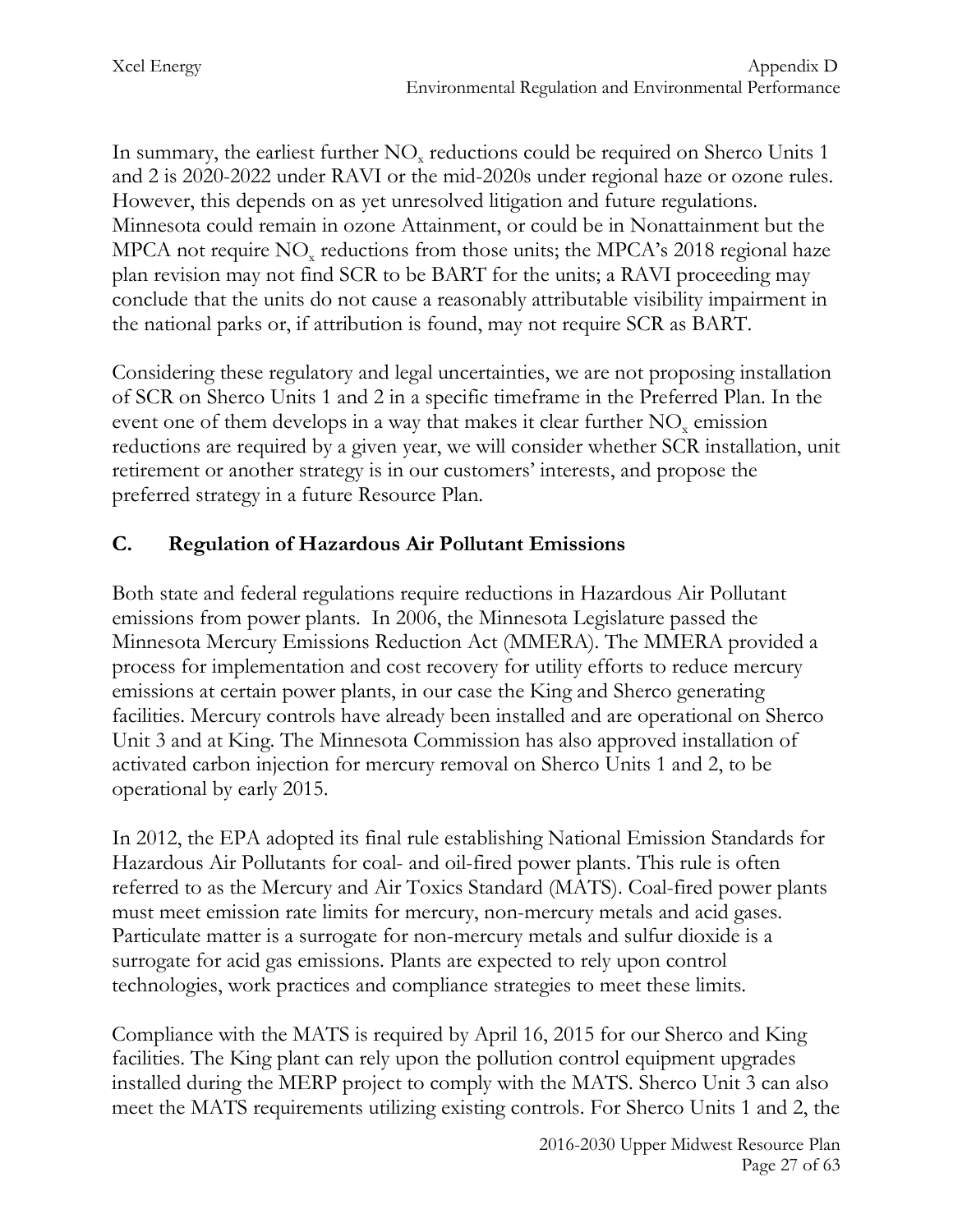In summary, the earliest further  $NO<sub>x</sub>$  reductions could be required on Sherco Units 1 and 2 is 2020-2022 under RAVI or the mid-2020s under regional haze or ozone rules. However, this depends on as yet unresolved litigation and future regulations. Minnesota could remain in ozone Attainment, or could be in Nonattainment but the MPCA not require  $NO<sub>x</sub>$  reductions from those units; the MPCA's 2018 regional haze plan revision may not find SCR to be BART for the units; a RAVI proceeding may conclude that the units do not cause a reasonably attributable visibility impairment in the national parks or, if attribution is found, may not require SCR as BART.

Considering these regulatory and legal uncertainties, we are not proposing installation of SCR on Sherco Units 1 and 2 in a specific timeframe in the Preferred Plan. In the event one of them develops in a way that makes it clear further NO<sub>y</sub> emission reductions are required by a given year, we will consider whether SCR installation, unit retirement or another strategy is in our customers' interests, and propose the preferred strategy in a future Resource Plan.

# **C. Regulation of Hazardous Air Pollutant Emissions**

Both state and federal regulations require reductions in Hazardous Air Pollutant emissions from power plants. In 2006, the Minnesota Legislature passed the Minnesota Mercury Emissions Reduction Act (MMERA). The MMERA provided a process for implementation and cost recovery for utility efforts to reduce mercury emissions at certain power plants, in our case the King and Sherco generating facilities. Mercury controls have already been installed and are operational on Sherco Unit 3 and at King. The Minnesota Commission has also approved installation of activated carbon injection for mercury removal on Sherco Units 1 and 2, to be operational by early 2015.

In 2012, the EPA adopted its final rule establishing National Emission Standards for Hazardous Air Pollutants for coal- and oil-fired power plants. This rule is often referred to as the Mercury and Air Toxics Standard (MATS). Coal-fired power plants must meet emission rate limits for mercury, non-mercury metals and acid gases. Particulate matter is a surrogate for non-mercury metals and sulfur dioxide is a surrogate for acid gas emissions. Plants are expected to rely upon control technologies, work practices and compliance strategies to meet these limits.

Compliance with the MATS is required by April 16, 2015 for our Sherco and King facilities. The King plant can rely upon the pollution control equipment upgrades installed during the MERP project to comply with the MATS. Sherco Unit 3 can also meet the MATS requirements utilizing existing controls. For Sherco Units 1 and 2, the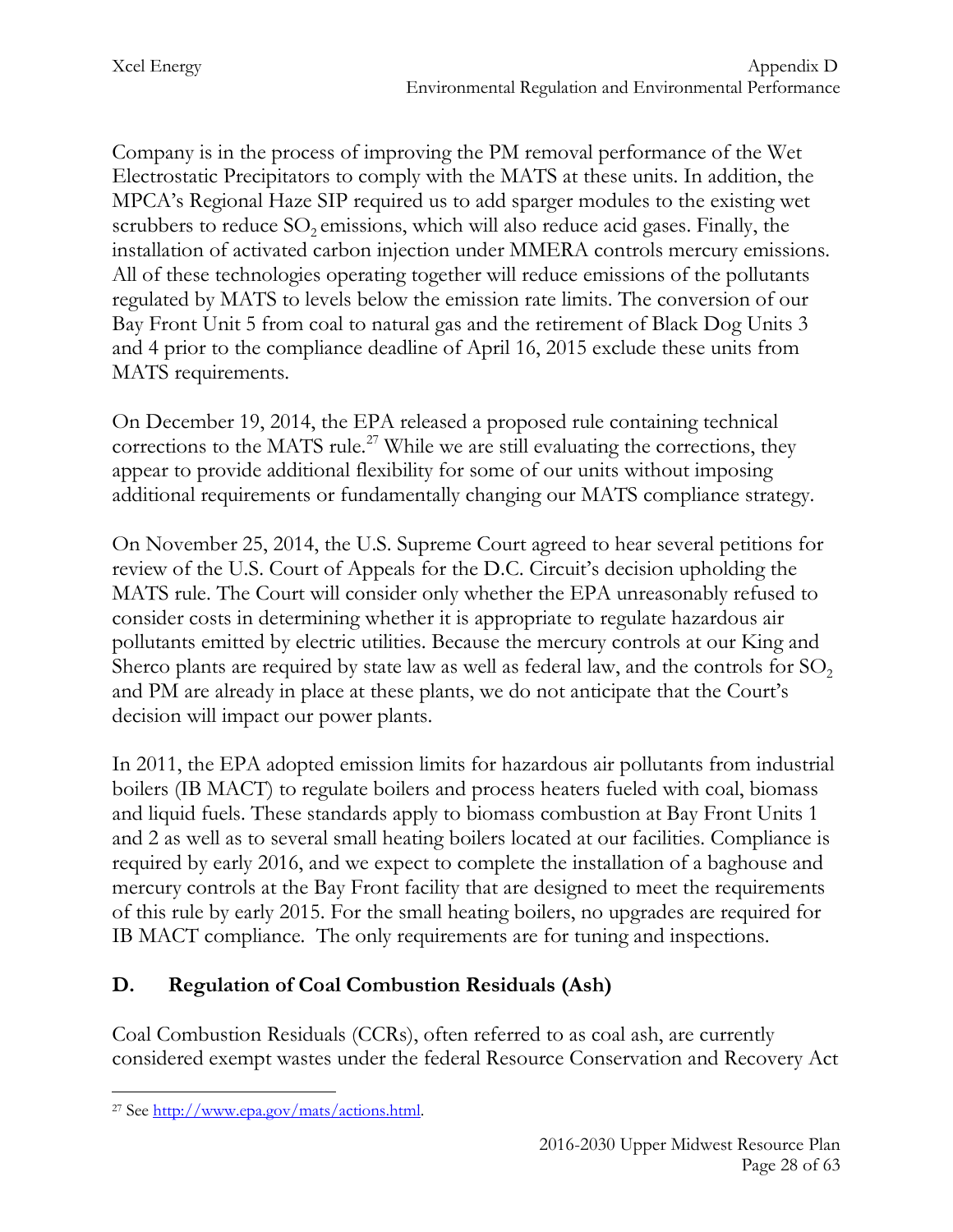Company is in the process of improving the PM removal performance of the Wet Electrostatic Precipitators to comply with the MATS at these units. In addition, the MPCA's Regional Haze SIP required us to add sparger modules to the existing wet scrubbers to reduce  $SO_2$  emissions, which will also reduce acid gases. Finally, the installation of activated carbon injection under MMERA controls mercury emissions. All of these technologies operating together will reduce emissions of the pollutants regulated by MATS to levels below the emission rate limits. The conversion of our Bay Front Unit 5 from coal to natural gas and the retirement of Black Dog Units 3 and 4 prior to the compliance deadline of April 16, 2015 exclude these units from MATS requirements.

On December 19, 2014, the EPA released a proposed rule containing technical corrections to the MATS rule.<sup>[27](#page-28-0)</sup> While we are still evaluating the corrections, they appear to provide additional flexibility for some of our units without imposing additional requirements or fundamentally changing our MATS compliance strategy.

On November 25, 2014, the U.S. Supreme Court agreed to hear several petitions for review of the U.S. Court of Appeals for the D.C. Circuit's decision upholding the MATS rule. The Court will consider only whether the EPA unreasonably refused to consider costs in determining whether it is appropriate to regulate hazardous air pollutants emitted by electric utilities. Because the mercury controls at our King and Sherco plants are required by state law as well as federal law, and the controls for  $SO<sub>2</sub>$ and PM are already in place at these plants, we do not anticipate that the Court's decision will impact our power plants.

In 2011, the EPA adopted emission limits for hazardous air pollutants from industrial boilers (IB MACT) to regulate boilers and process heaters fueled with coal, biomass and liquid fuels. These standards apply to biomass combustion at Bay Front Units 1 and 2 as well as to several small heating boilers located at our facilities. Compliance is required by early 2016, and we expect to complete the installation of a baghouse and mercury controls at the Bay Front facility that are designed to meet the requirements of this rule by early 2015. For the small heating boilers, no upgrades are required for IB MACT compliance. The only requirements are for tuning and inspections.

# **D. Regulation of Coal Combustion Residuals (Ash)**

Coal Combustion Residuals (CCRs), often referred to as coal ash, are currently considered exempt wastes under the federal Resource Conservation and Recovery Act

<span id="page-28-0"></span><sup>27</sup> See [http://www.epa.gov/mats/actions.html.](http://www.epa.gov/mats/actions.html)  $\overline{a}$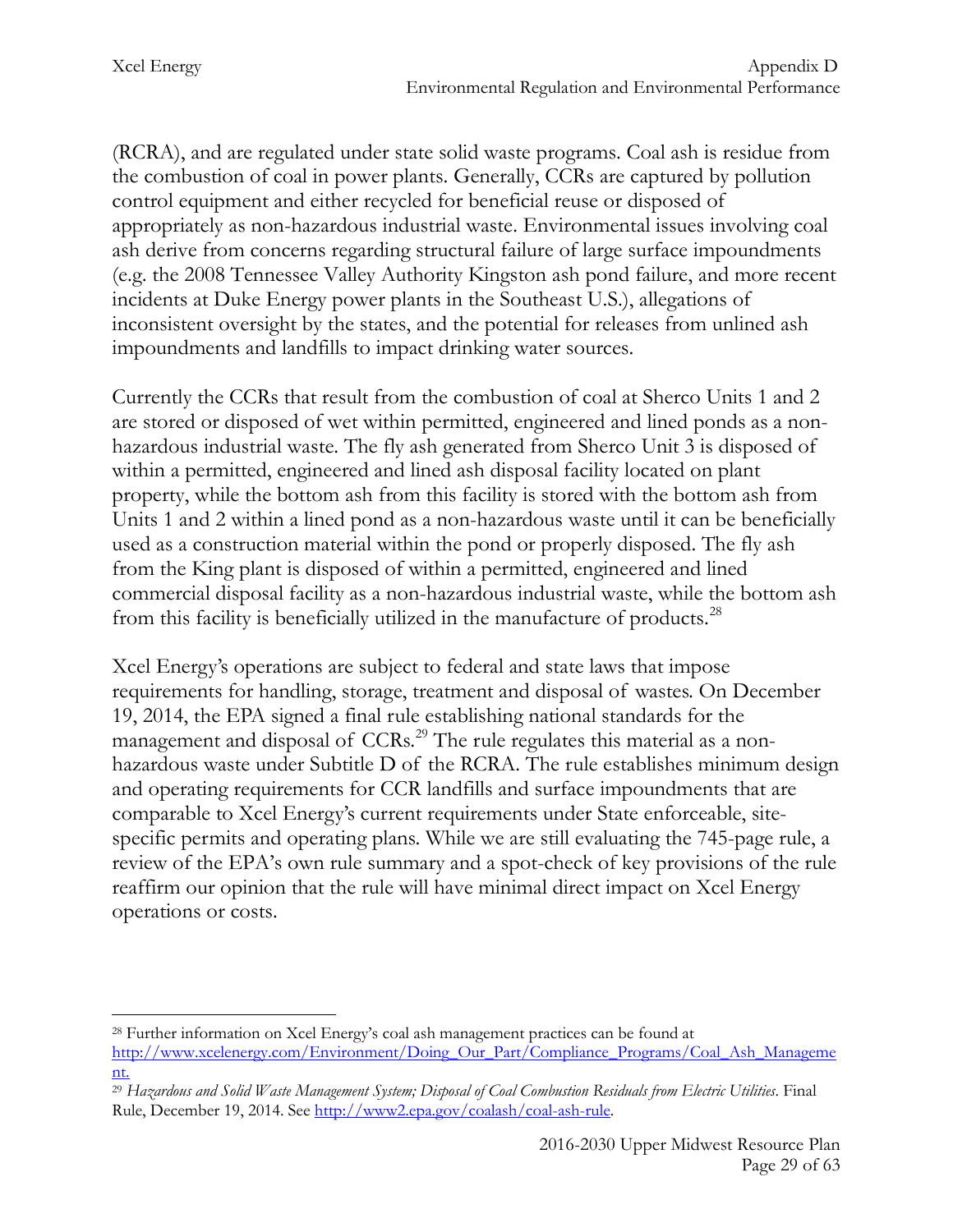Xcel Energy Appendix D Environmental Regulation and Environmental Performance

(RCRA), and are regulated under state solid waste programs. Coal ash is residue from the combustion of coal in power plants. Generally, CCRs are captured by pollution control equipment and either recycled for beneficial reuse or disposed of appropriately as non-hazardous industrial waste. Environmental issues involving coal ash derive from concerns regarding structural failure of large surface impoundments (e.g. the 2008 Tennessee Valley Authority Kingston ash pond failure, and more recent incidents at Duke Energy power plants in the Southeast U.S.), allegations of inconsistent oversight by the states, and the potential for releases from unlined ash impoundments and landfills to impact drinking water sources.

Currently the CCRs that result from the combustion of coal at Sherco Units 1 and 2 are stored or disposed of wet within permitted, engineered and lined ponds as a nonhazardous industrial waste. The fly ash generated from Sherco Unit 3 is disposed of within a permitted, engineered and lined ash disposal facility located on plant property, while the bottom ash from this facility is stored with the bottom ash from Units 1 and 2 within a lined pond as a non-hazardous waste until it can be beneficially used as a construction material within the pond or properly disposed. The fly ash from the King plant is disposed of within a permitted, engineered and lined commercial disposal facility as a non-hazardous industrial waste, while the bottom ash from this facility is beneficially utilized in the manufacture of products.<sup>28</sup>

Xcel Energy's operations are subject to federal and state laws that impose requirements for handling, storage, treatment and disposal of wastes. On December 19, 2014, the EPA signed a final rule establishing national standards for the management and disposal of CCRs.<sup>[29](#page-29-1)</sup> The rule regulates this material as a nonhazardous waste under Subtitle D of the RCRA. The rule establishes minimum design and operating requirements for CCR landfills and surface impoundments that are comparable to Xcel Energy's current requirements under State enforceable, sitespecific permits and operating plans. While we are still evaluating the 745-page rule, a review of the EPA's own rule summary and a spot-check of key provisions of the rule reaffirm our opinion that the rule will have minimal direct impact on Xcel Energy operations or costs.

<span id="page-29-0"></span><sup>28</sup> Further information on Xcel Energy's coal ash management practices can be found at [http://www.xcelenergy.com/Environment/Doing\\_Our\\_Part/Compliance\\_Programs/Coal\\_Ash\\_Manageme](http://www.xcelenergy.com/Environment/Doing_Our_Part/Compliance_Programs/Coal_Ash_Management) [nt.](http://www.xcelenergy.com/Environment/Doing_Our_Part/Compliance_Programs/Coal_Ash_Management)  $\overline{a}$ 

<span id="page-29-1"></span><sup>29</sup> *Hazardous and Solid Waste Management System; Disposal of Coal Combustion Residuals from Electric Utilities*. Final Rule, December 19, 2014. See [http://www2.epa.gov/coalash/coal-ash-rule.](http://www2.epa.gov/coalash/coal-ash-rule)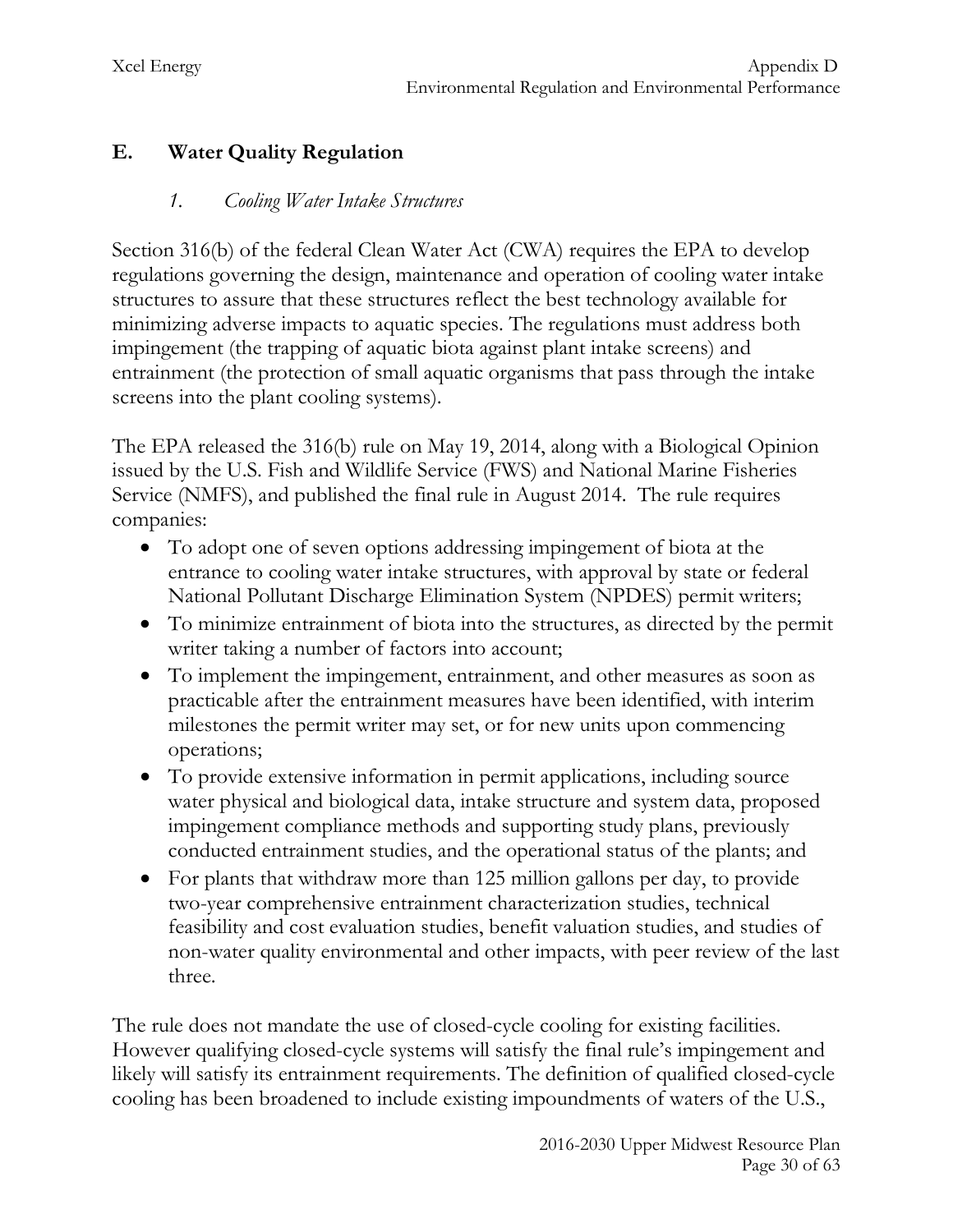## **E. Water Quality Regulation**

#### *1. Cooling Water Intake Structures*

Section 316(b) of the federal Clean Water Act (CWA) requires the EPA to develop regulations governing the design, maintenance and operation of cooling water intake structures to assure that these structures reflect the best technology available for minimizing adverse impacts to aquatic species. The regulations must address both impingement (the trapping of aquatic biota against plant intake screens) and entrainment (the protection of small aquatic organisms that pass through the intake screens into the plant cooling systems).

The EPA released the 316(b) rule on May 19, 2014, along with a Biological Opinion issued by the U.S. Fish and Wildlife Service (FWS) and National Marine Fisheries Service (NMFS), and published the final rule in August 2014. The rule requires companies:

- To adopt one of seven options addressing impingement of biota at the entrance to cooling water intake structures, with approval by state or federal National Pollutant Discharge Elimination System (NPDES) permit writers;
- To minimize entrainment of biota into the structures, as directed by the permit writer taking a number of factors into account;
- To implement the impingement, entrainment, and other measures as soon as practicable after the entrainment measures have been identified, with interim milestones the permit writer may set, or for new units upon commencing operations;
- To provide extensive information in permit applications, including source water physical and biological data, intake structure and system data, proposed impingement compliance methods and supporting study plans, previously conducted entrainment studies, and the operational status of the plants; and
- For plants that withdraw more than 125 million gallons per day, to provide two-year comprehensive entrainment characterization studies, technical feasibility and cost evaluation studies, benefit valuation studies, and studies of non-water quality environmental and other impacts, with peer review of the last three.

The rule does not mandate the use of closed-cycle cooling for existing facilities. However qualifying closed-cycle systems will satisfy the final rule's impingement and likely will satisfy its entrainment requirements. The definition of qualified closed-cycle cooling has been broadened to include existing impoundments of waters of the U.S.,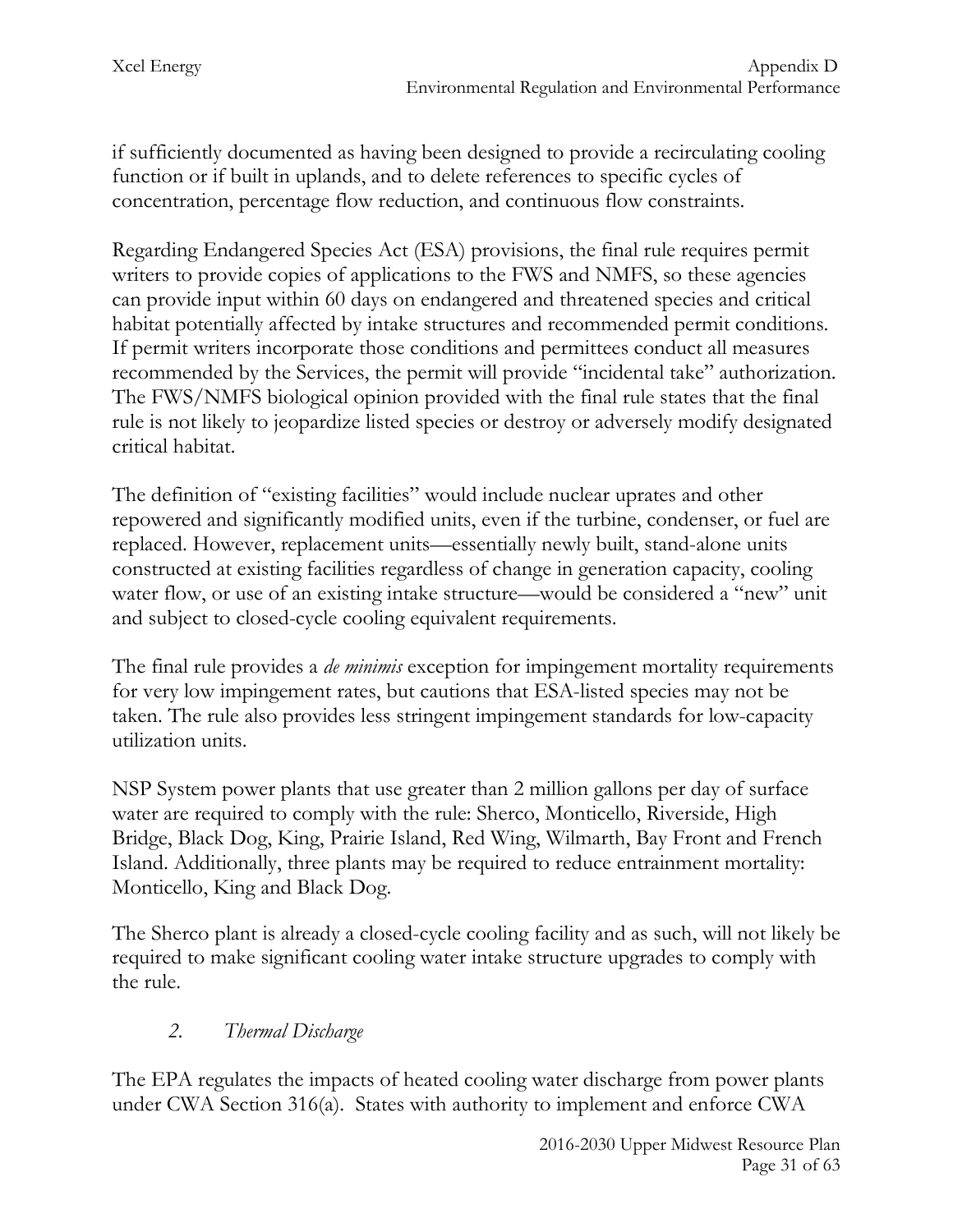if sufficiently documented as having been designed to provide a recirculating cooling function or if built in uplands, and to delete references to specific cycles of concentration, percentage flow reduction, and continuous flow constraints.

Regarding Endangered Species Act (ESA) provisions, the final rule requires permit writers to provide copies of applications to the FWS and NMFS, so these agencies can provide input within 60 days on endangered and threatened species and critical habitat potentially affected by intake structures and recommended permit conditions. If permit writers incorporate those conditions and permittees conduct all measures recommended by the Services, the permit will provide "incidental take" authorization. The FWS/NMFS biological opinion provided with the final rule states that the final rule is not likely to jeopardize listed species or destroy or adversely modify designated critical habitat.

The definition of "existing facilities" would include nuclear uprates and other repowered and significantly modified units, even if the turbine, condenser, or fuel are replaced. However, replacement units—essentially newly built, stand-alone units constructed at existing facilities regardless of change in generation capacity, cooling water flow, or use of an existing intake structure—would be considered a "new" unit and subject to closed-cycle cooling equivalent requirements.

The final rule provides a *de minimis* exception for impingement mortality requirements for very low impingement rates, but cautions that ESA-listed species may not be taken. The rule also provides less stringent impingement standards for low-capacity utilization units.

NSP System power plants that use greater than 2 million gallons per day of surface water are required to comply with the rule: Sherco, Monticello, Riverside, High Bridge, Black Dog, King, Prairie Island, Red Wing, Wilmarth, Bay Front and French Island. Additionally, three plants may be required to reduce entrainment mortality: Monticello, King and Black Dog.

The Sherco plant is already a closed-cycle cooling facility and as such, will not likely be required to make significant cooling water intake structure upgrades to comply with the rule.

## *2. Thermal Discharge*

The EPA regulates the impacts of heated cooling water discharge from power plants under CWA Section 316(a). States with authority to implement and enforce CWA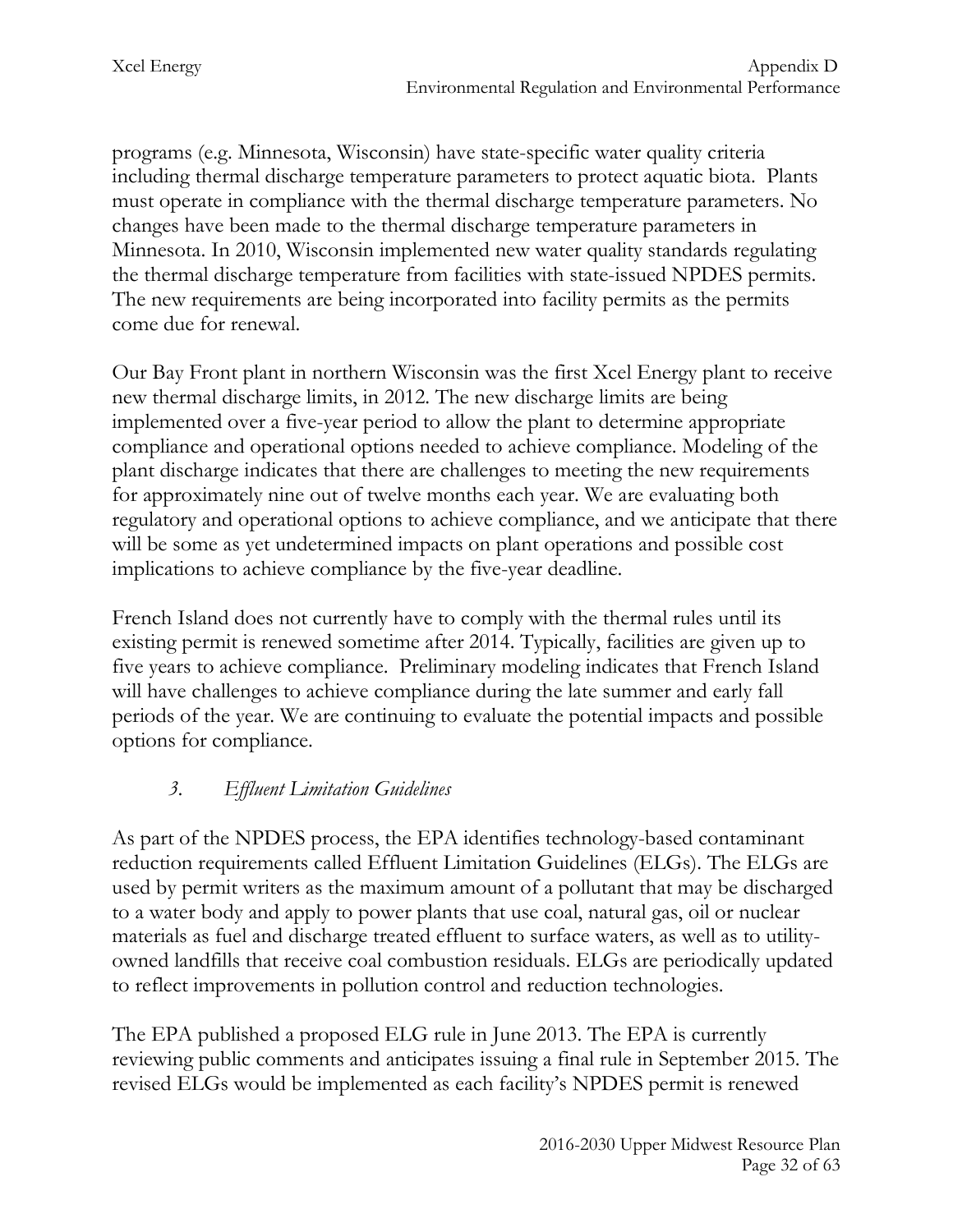programs (e.g. Minnesota, Wisconsin) have state-specific water quality criteria including thermal discharge temperature parameters to protect aquatic biota. Plants must operate in compliance with the thermal discharge temperature parameters. No changes have been made to the thermal discharge temperature parameters in Minnesota. In 2010, Wisconsin implemented new water quality standards regulating the thermal discharge temperature from facilities with state-issued NPDES permits. The new requirements are being incorporated into facility permits as the permits come due for renewal.

Our Bay Front plant in northern Wisconsin was the first Xcel Energy plant to receive new thermal discharge limits, in 2012. The new discharge limits are being implemented over a five-year period to allow the plant to determine appropriate compliance and operational options needed to achieve compliance. Modeling of the plant discharge indicates that there are challenges to meeting the new requirements for approximately nine out of twelve months each year. We are evaluating both regulatory and operational options to achieve compliance, and we anticipate that there will be some as yet undetermined impacts on plant operations and possible cost implications to achieve compliance by the five-year deadline.

French Island does not currently have to comply with the thermal rules until its existing permit is renewed sometime after 2014. Typically, facilities are given up to five years to achieve compliance. Preliminary modeling indicates that French Island will have challenges to achieve compliance during the late summer and early fall periods of the year. We are continuing to evaluate the potential impacts and possible options for compliance.

# *3. Effluent Limitation Guidelines*

As part of the NPDES process, the EPA identifies technology-based contaminant reduction requirements called Effluent Limitation Guidelines (ELGs). The ELGs are used by permit writers as the maximum amount of a pollutant that may be discharged to a water body and apply to power plants that use coal, natural gas, oil or nuclear materials as fuel and discharge treated effluent to surface waters, as well as to utilityowned landfills that receive coal combustion residuals. ELGs are periodically updated to reflect improvements in pollution control and reduction technologies.

The EPA published a proposed ELG rule in June 2013. The EPA is currently reviewing public comments and anticipates issuing a final rule in September 2015. The revised ELGs would be implemented as each facility's NPDES permit is renewed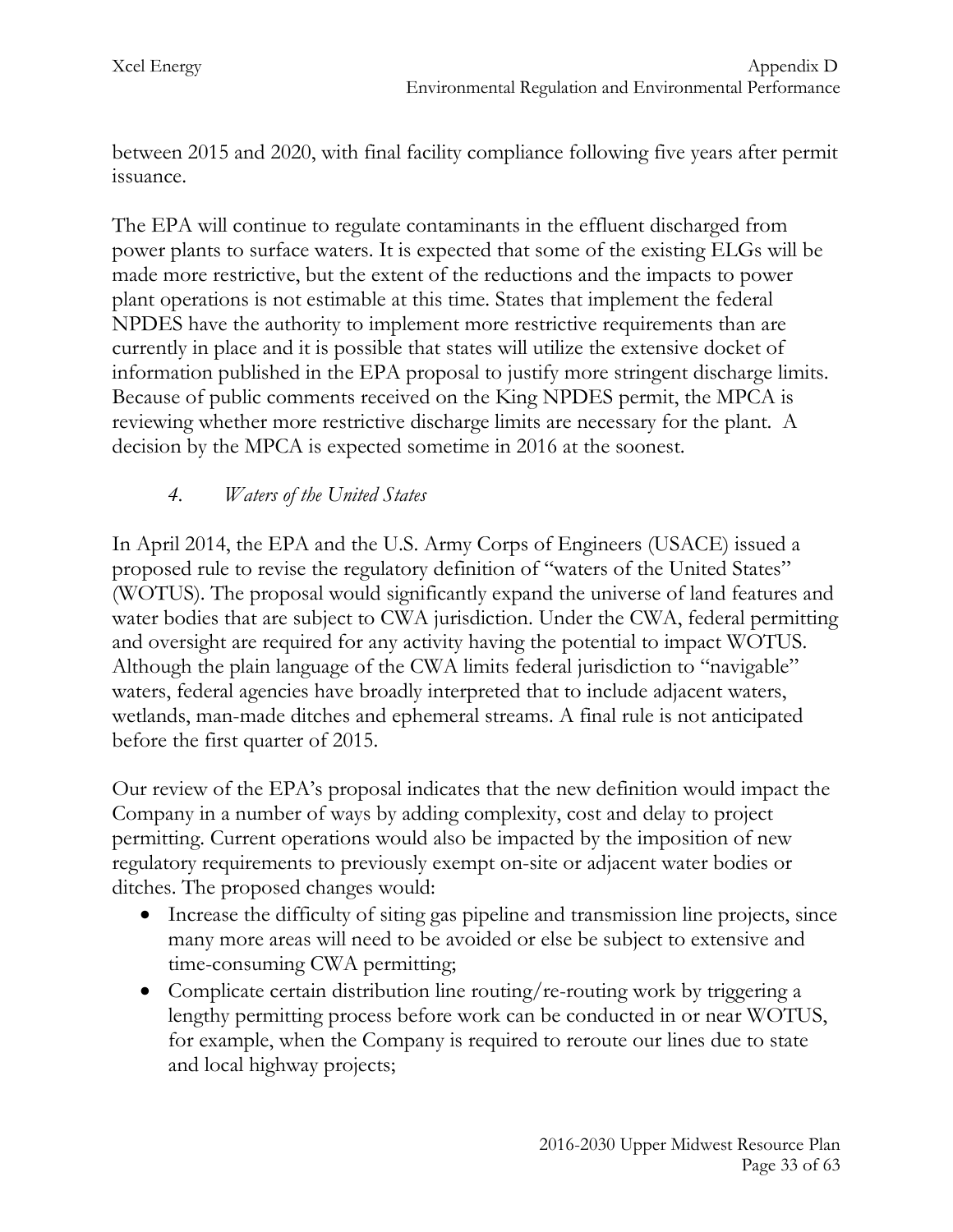between 2015 and 2020, with final facility compliance following five years after permit issuance.

The EPA will continue to regulate contaminants in the effluent discharged from power plants to surface waters. It is expected that some of the existing ELGs will be made more restrictive, but the extent of the reductions and the impacts to power plant operations is not estimable at this time. States that implement the federal NPDES have the authority to implement more restrictive requirements than are currently in place and it is possible that states will utilize the extensive docket of information published in the EPA proposal to justify more stringent discharge limits. Because of public comments received on the King NPDES permit, the MPCA is reviewing whether more restrictive discharge limits are necessary for the plant. A decision by the MPCA is expected sometime in 2016 at the soonest.

# *4. Waters of the United States*

In April 2014, the EPA and the U.S. Army Corps of Engineers (USACE) issued a proposed rule to revise the regulatory definition of "waters of the United States" (WOTUS). The proposal would significantly expand the universe of land features and water bodies that are subject to CWA jurisdiction. Under the CWA, federal permitting and oversight are required for any activity having the potential to impact WOTUS. Although the plain language of the CWA limits federal jurisdiction to "navigable" waters, federal agencies have broadly interpreted that to include adjacent waters, wetlands, man-made ditches and ephemeral streams. A final rule is not anticipated before the first quarter of 2015.

Our review of the EPA's proposal indicates that the new definition would impact the Company in a number of ways by adding complexity, cost and delay to project permitting. Current operations would also be impacted by the imposition of new regulatory requirements to previously exempt on-site or adjacent water bodies or ditches. The proposed changes would:

- Increase the difficulty of siting gas pipeline and transmission line projects, since many more areas will need to be avoided or else be subject to extensive and time-consuming CWA permitting;
- Complicate certain distribution line routing/re-routing work by triggering a lengthy permitting process before work can be conducted in or near WOTUS, for example, when the Company is required to reroute our lines due to state and local highway projects;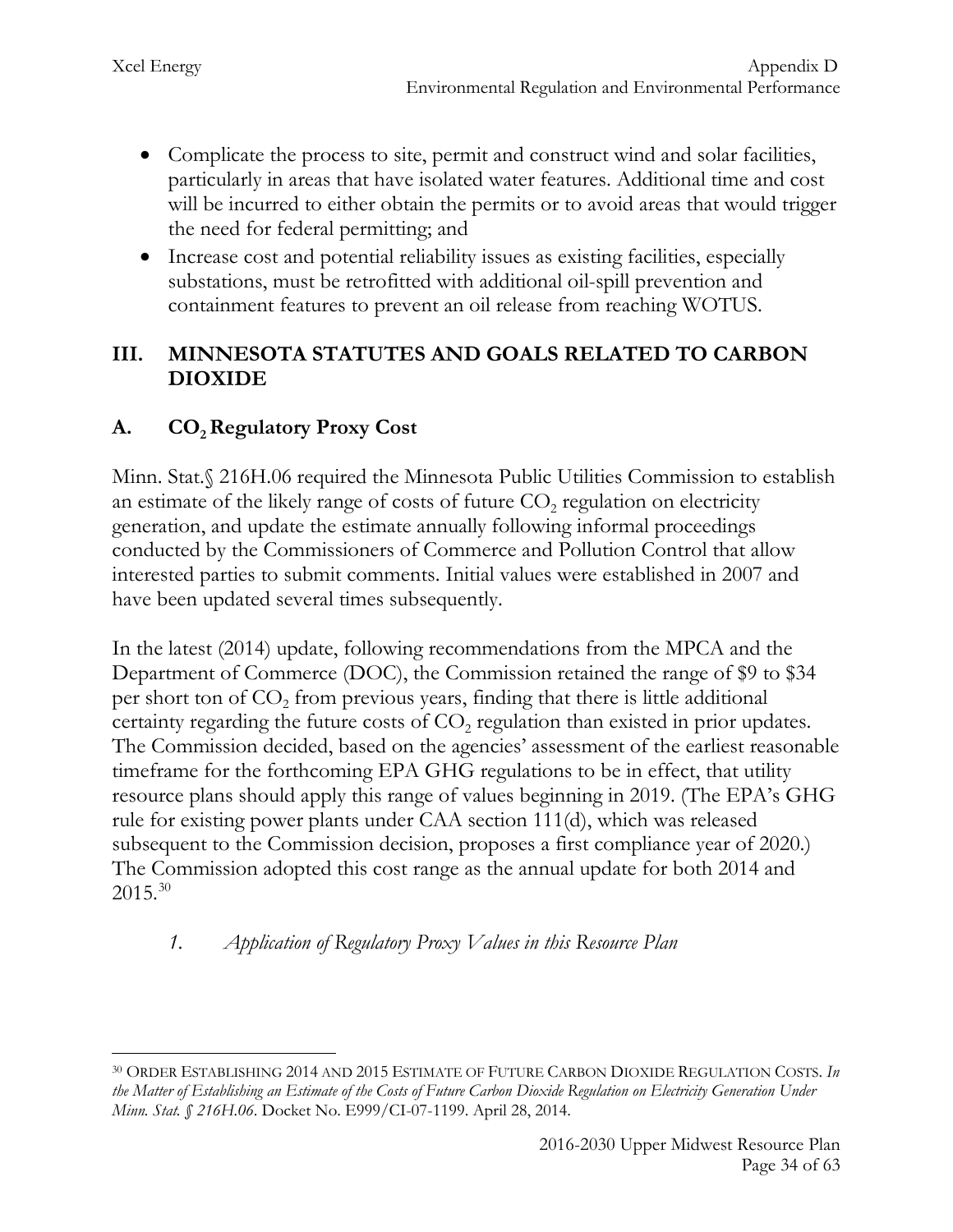- Complicate the process to site, permit and construct wind and solar facilities, particularly in areas that have isolated water features. Additional time and cost will be incurred to either obtain the permits or to avoid areas that would trigger the need for federal permitting; and
- Increase cost and potential reliability issues as existing facilities, especially substations, must be retrofitted with additional oil-spill prevention and containment features to prevent an oil release from reaching WOTUS.

#### **III. MINNESOTA STATUTES AND GOALS RELATED TO CARBON DIOXIDE**

# A. **CO<sub>2</sub> Regulatory Proxy Cost**

Minn. Stat.§ 216H.06 required the Minnesota Public Utilities Commission to establish an estimate of the likely range of costs of future  $CO<sub>2</sub>$  regulation on electricity generation, and update the estimate annually following informal proceedings conducted by the Commissioners of Commerce and Pollution Control that allow interested parties to submit comments. Initial values were established in 2007 and have been updated several times subsequently.

In the latest (2014) update, following recommendations from the MPCA and the Department of Commerce (DOC), the Commission retained the range of \$9 to \$34 per short ton of  $CO<sub>2</sub>$  from previous years, finding that there is little additional certainty regarding the future costs of  $CO<sub>2</sub>$  regulation than existed in prior updates. The Commission decided, based on the agencies' assessment of the earliest reasonable timeframe for the forthcoming EPA GHG regulations to be in effect, that utility resource plans should apply this range of values beginning in 2019. (The EPA's GHG rule for existing power plants under CAA section 111(d), which was released subsequent to the Commission decision, proposes a first compliance year of 2020.) The Commission adopted this cost range as the annual update for both 2014 and  $2015^{30}$  $2015^{30}$  $2015^{30}$ 

## *1. Application of Regulatory Proxy Values in this Resource Plan*

<span id="page-34-0"></span><sup>30</sup> ORDER ESTABLISHING 2014 AND 2015 ESTIMATE OF FUTURE CARBON DIOXIDE REGULATION COSTS. *In the Matter of Establishing an Estimate of the Costs of Future Carbon Dioxide Regulation on Electricity Generation Under Minn. Stat. § 216H.06*. Docket No. E999/CI-07-1199. April 28, 2014.  $\overline{a}$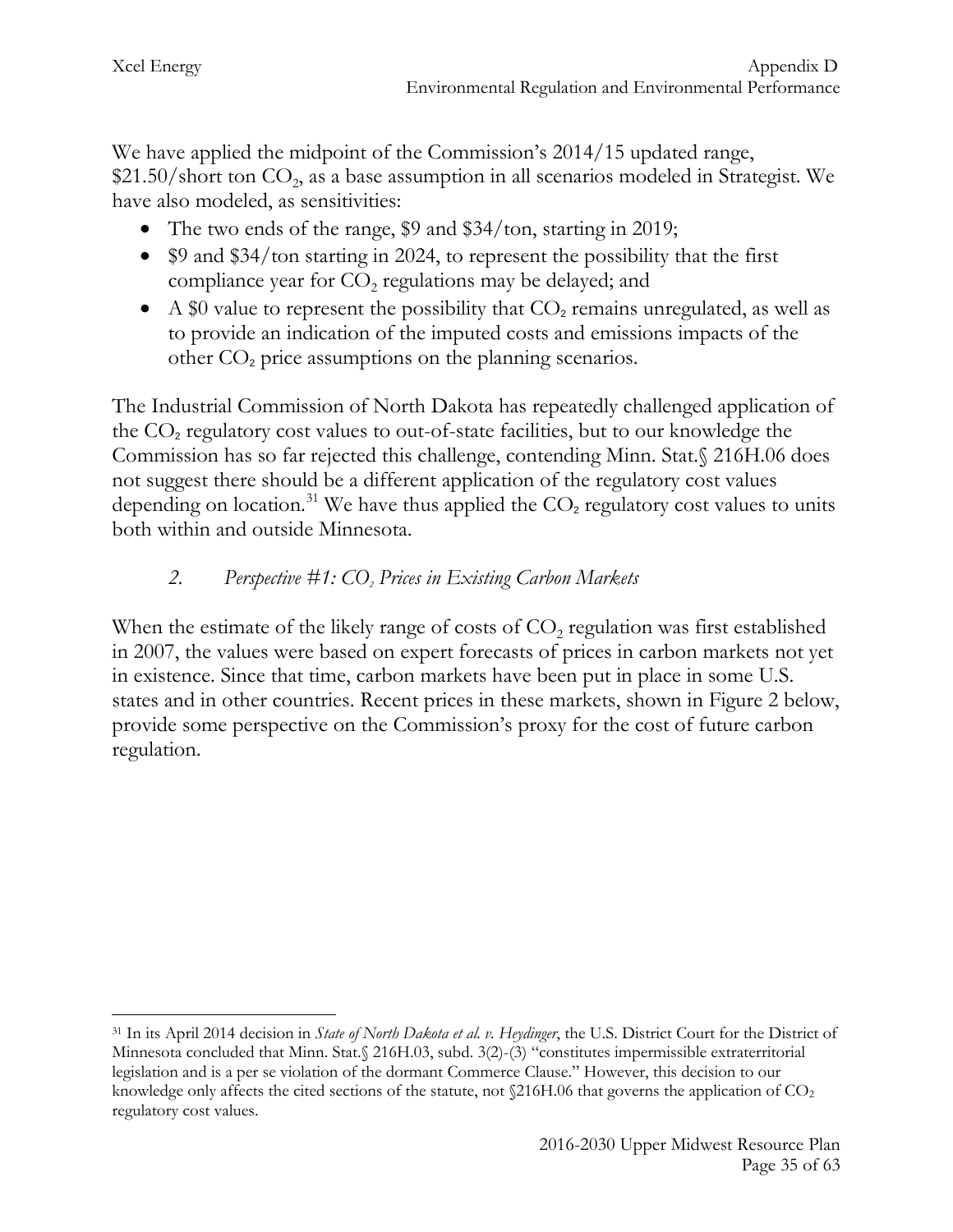We have applied the midpoint of the Commission's 2014/15 updated range,  $$21.50/s$  hort ton  $CO<sub>2</sub>$ , as a base assumption in all scenarios modeled in Strategist. We have also modeled, as sensitivities:

- The two ends of the range, \$9 and \$34/ton, starting in 2019;
- \$9 and \$34/ton starting in 2024, to represent the possibility that the first compliance year for  $CO<sub>2</sub>$  regulations may be delayed; and
- A \$0 value to represent the possibility that  $CO<sub>2</sub>$  remains unregulated, as well as to provide an indication of the imputed costs and emissions impacts of the other  $CO<sub>2</sub>$  price assumptions on the planning scenarios.

The Industrial Commission of North Dakota has repeatedly challenged application of the  $CO<sub>2</sub>$  regulatory cost values to out-of-state facilities, but to our knowledge the Commission has so far rejected this challenge, contending Minn. Stat.§ 216H.06 does not suggest there should be a different application of the regulatory cost values depending on location.<sup>[31](#page-35-0)</sup> We have thus applied the  $CO<sub>2</sub>$  regulatory cost values to units both within and outside Minnesota.

# *2. Perspective #1: CO2 Prices in Existing Carbon Markets*

When the estimate of the likely range of costs of  $CO<sub>2</sub>$  regulation was first established in 2007, the values were based on expert forecasts of prices in carbon markets not yet in existence. Since that time, carbon markets have been put in place in some U.S. states and in other countries. Recent prices in these markets, shown in Figure 2 below, provide some perspective on the Commission's proxy for the cost of future carbon regulation.

<span id="page-35-0"></span><sup>31</sup> In its April 2014 decision in *State of North Dakota et al. v. Heydinger*, the U.S. District Court for the District of Minnesota concluded that Minn. Stat.§ 216H.03, subd. 3(2)-(3) "constitutes impermissible extraterritorial legislation and is a per se violation of the dormant Commerce Clause." However, this decision to our knowledge only affects the cited sections of the statute, not  $$216H.06$  that governs the application of  $CO<sub>2</sub>$ regulatory cost values.  $\overline{a}$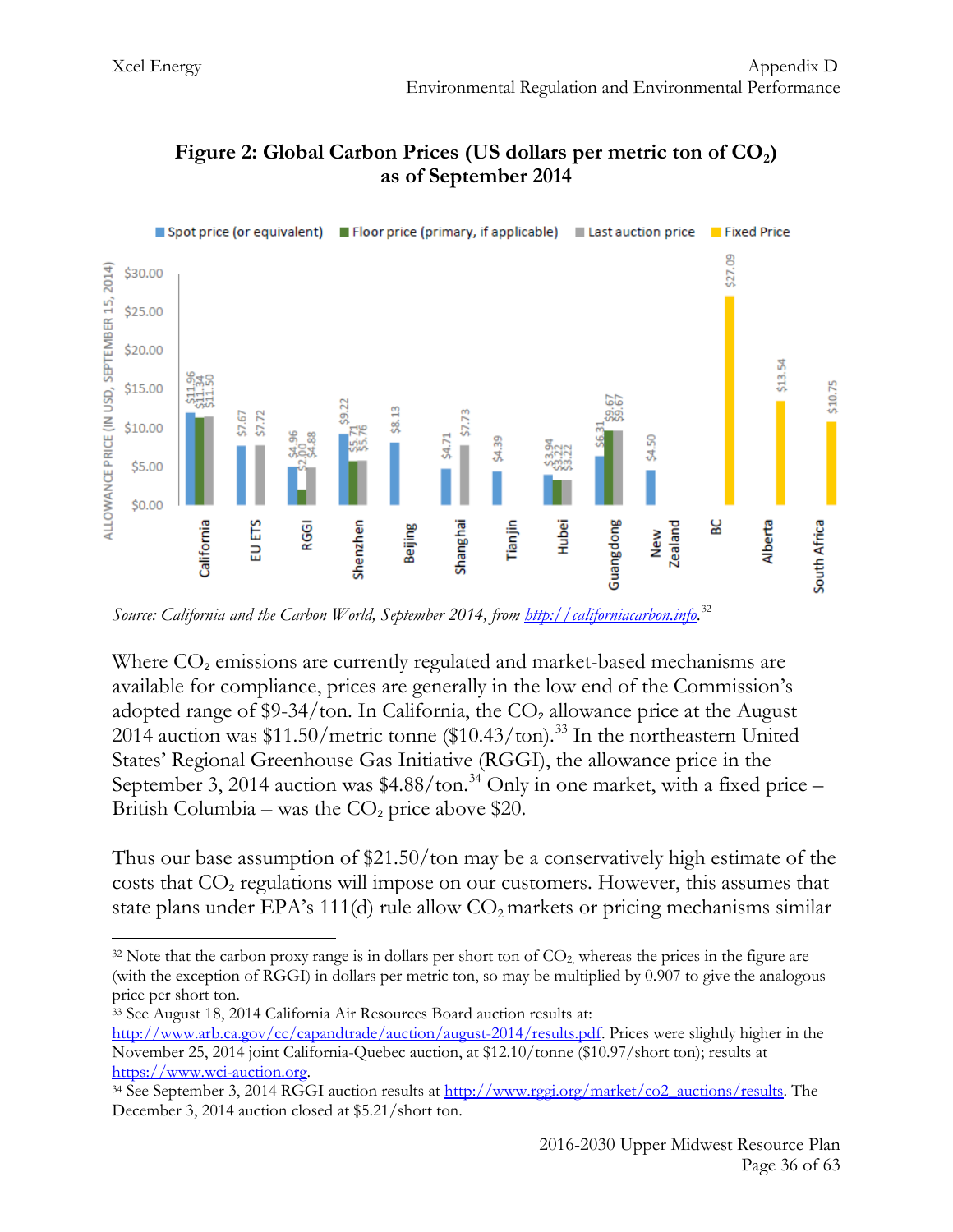

## Figure 2: Global Carbon Prices (US dollars per metric ton of CO<sub>2</sub>) **as of September 2014**

*Source: California and the Carbon World, September 2014, from [http://californiacarbon.info](http://californiacarbon.info/)*. [32](#page-36-0)

Where  $CO<sub>2</sub>$  emissions are currently regulated and market-based mechanisms are available for compliance, prices are generally in the low end of the Commission's adopted range of \$9-34/ton. In California, the  $CO<sub>2</sub>$  allowance price at the August 2014 auction was  $$11.50/m$ etric tonne ( $$10.43/t$ on).<sup>[33](#page-36-1)</sup> In the northeastern United States' Regional Greenhouse Gas Initiative (RGGI), the allowance price in the September 3, 2014 auction was \$4.88/ton.<sup>[34](#page-36-2)</sup> Only in one market, with a fixed price -British Columbia – was the  $CO<sub>2</sub>$  price above \$20.

Thus our base assumption of \$21.50/ton may be a conservatively high estimate of the costs that  $CO<sub>2</sub>$  regulations will impose on our customers. However, this assumes that state plans under EPA's 111(d) rule allow  $CO<sub>2</sub>$  markets or pricing mechanisms similar

<span id="page-36-0"></span> $32$  Note that the carbon proxy range is in dollars per short ton of  $CO<sub>2</sub>$ , whereas the prices in the figure are (with the exception of RGGI) in dollars per metric ton, so may be multiplied by 0.907 to give the analogous price per short ton.  $\overline{a}$ 

<span id="page-36-1"></span><sup>33</sup> See August 18, 2014 California Air Resources Board auction results at: [http://www.arb.ca.gov/cc/capandtrade/auction/august-2014/results.pdf.](http://www.arb.ca.gov/cc/capandtrade/auction/august-2014/results.pdf) Prices were slightly higher in the November 25, 2014 joint California-Quebec auction, at \$12.10/tonne (\$10.97/short ton); results at https://www.wci-auction.org.<br><sup>34</sup> See September 3, 2014 RGGI auction results at <u>http://www.rggi.org/market/co2\_auctions/results</u>. The

<span id="page-36-2"></span>December 3, 2014 auction closed at \$5.21/short ton.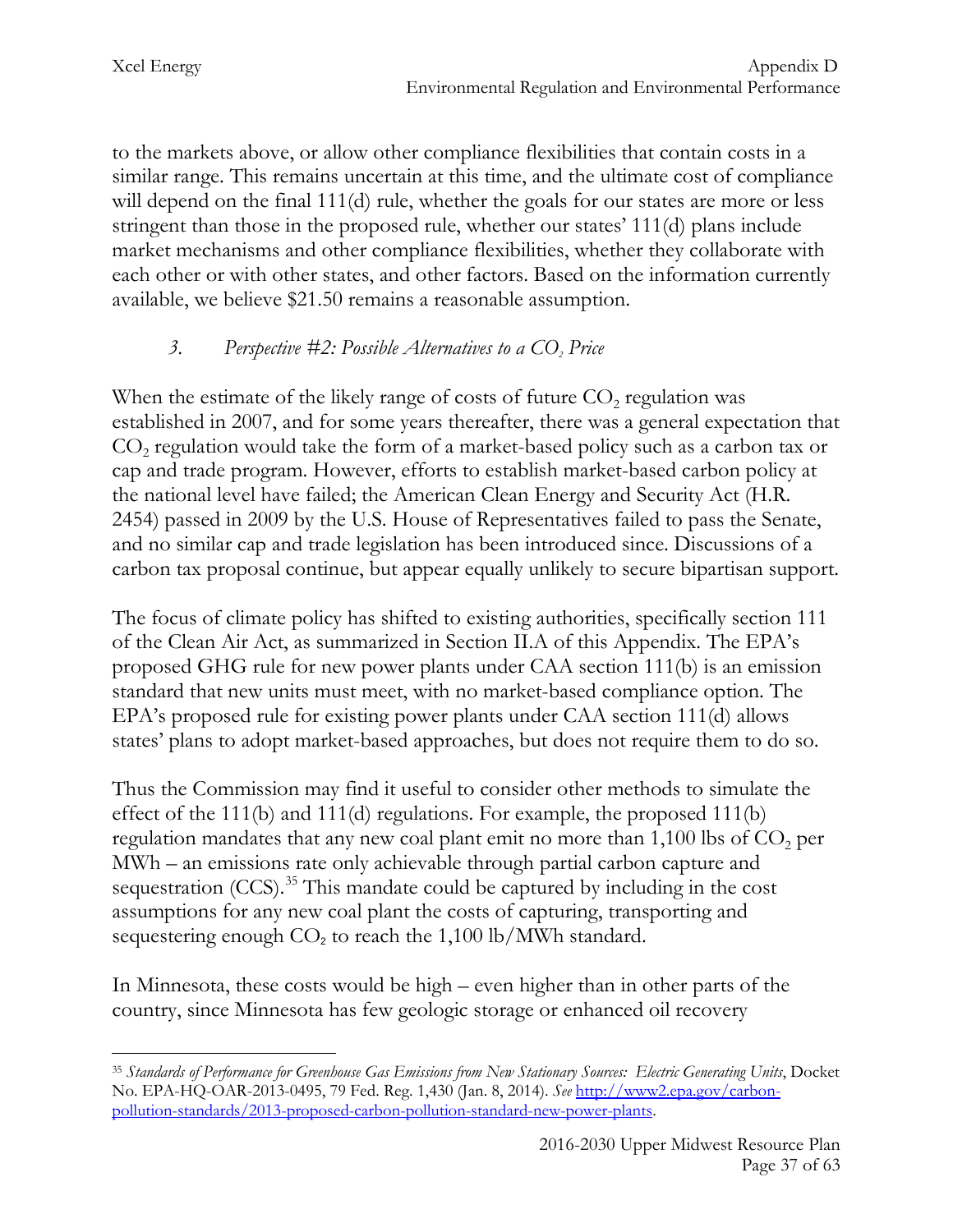to the markets above, or allow other compliance flexibilities that contain costs in a similar range. This remains uncertain at this time, and the ultimate cost of compliance will depend on the final 111(d) rule, whether the goals for our states are more or less stringent than those in the proposed rule, whether our states' 111(d) plans include market mechanisms and other compliance flexibilities, whether they collaborate with each other or with other states, and other factors. Based on the information currently available, we believe \$21.50 remains a reasonable assumption.

## *3.* Perspective #2: Possible Alternatives to a CO<sub>2</sub> Price

When the estimate of the likely range of costs of future  $CO<sub>2</sub>$  regulation was established in 2007, and for some years thereafter, there was a general expectation that  $CO<sub>2</sub>$  regulation would take the form of a market-based policy such as a carbon tax or cap and trade program. However, efforts to establish market-based carbon policy at the national level have failed; the American Clean Energy and Security Act (H.R. 2454) passed in 2009 by the U.S. House of Representatives failed to pass the Senate, and no similar cap and trade legislation has been introduced since. Discussions of a carbon tax proposal continue, but appear equally unlikely to secure bipartisan support.

The focus of climate policy has shifted to existing authorities, specifically section 111 of the Clean Air Act, as summarized in Section II.A of this Appendix. The EPA's proposed GHG rule for new power plants under CAA section 111(b) is an emission standard that new units must meet, with no market-based compliance option. The EPA's proposed rule for existing power plants under CAA section 111(d) allows states' plans to adopt market-based approaches, but does not require them to do so.

Thus the Commission may find it useful to consider other methods to simulate the effect of the 111(b) and 111(d) regulations. For example, the proposed 111(b) regulation mandates that any new coal plant emit no more than  $1,100$  lbs of  $CO$ , per MWh – an emissions rate only achievable through partial carbon capture and sequestration  $(CCS)$ .<sup>[35](#page-37-0)</sup> This mandate could be captured by including in the cost assumptions for any new coal plant the costs of capturing, transporting and sequestering enough  $CO<sub>2</sub>$  to reach the 1,100 lb/MWh standard.

In Minnesota, these costs would be high – even higher than in other parts of the country, since Minnesota has few geologic storage or enhanced oil recovery

<span id="page-37-0"></span><sup>35</sup> *Standards of Performance for Greenhouse Gas Emissions from New Stationary Sources: Electric Generating Units*, Docket No. EPA-HQ-OAR-2013-0495, 79 Fed. Reg. 1,430 (Jan. 8, 2014). *See* [http://www2.epa.gov/carbon](http://www2.epa.gov/carbon-pollution-standards/2013-proposed-carbon-pollution-standard-new-power-plants)[pollution-standards/2013-proposed-carbon-pollution-standard-new-power-plants.](http://www2.epa.gov/carbon-pollution-standards/2013-proposed-carbon-pollution-standard-new-power-plants)  $\overline{a}$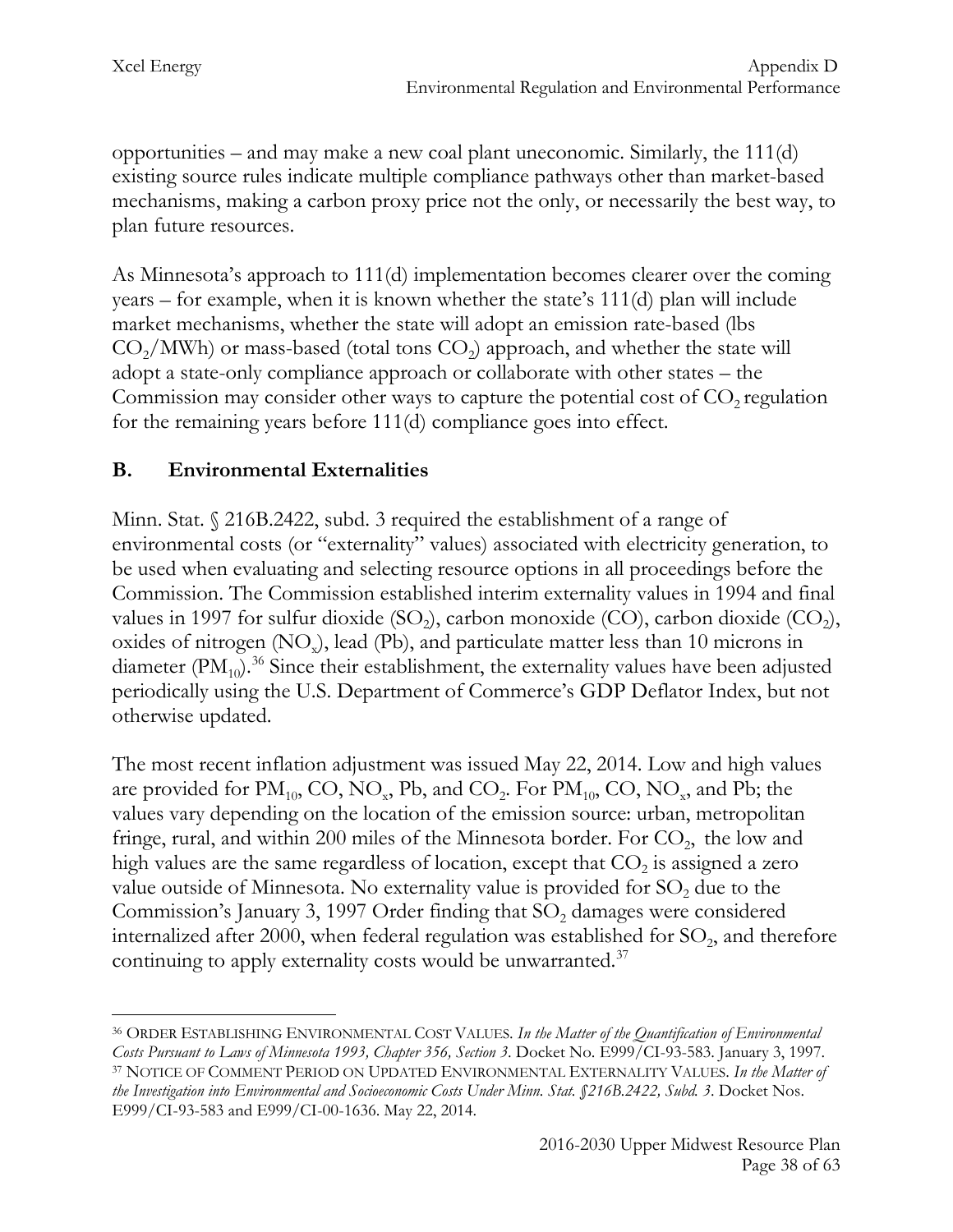opportunities – and may make a new coal plant uneconomic. Similarly, the 111(d) existing source rules indicate multiple compliance pathways other than market-based mechanisms, making a carbon proxy price not the only, or necessarily the best way, to plan future resources.

As Minnesota's approach to 111(d) implementation becomes clearer over the coming years – for example, when it is known whether the state's 111(d) plan will include market mechanisms, whether the state will adopt an emission rate-based (lbs  $CO<sub>2</sub>/MWh$ ) or mass-based (total tons  $CO<sub>2</sub>$ ) approach, and whether the state will adopt a state-only compliance approach or collaborate with other states – the Commission may consider other ways to capture the potential cost of  $CO<sub>2</sub>$  regulation for the remaining years before 111(d) compliance goes into effect.

# **B. Environmental Externalities**

Minn. Stat. § 216B.2422, subd. 3 required the establishment of a range of environmental costs (or "externality" values) associated with electricity generation, to be used when evaluating and selecting resource options in all proceedings before the Commission. The Commission established interim externality values in 1994 and final values in 1997 for sulfur dioxide  $(SO<sub>2</sub>)$ , carbon monoxide  $(CO)$ , carbon dioxide  $(CO<sub>2</sub>)$ , oxides of nitrogen  $(NO_x)$ , lead  $(Pb)$ , and particulate matter less than 10 microns in diameter  $(PM_{10})$ <sup>[36](#page-38-0)</sup> Since their establishment, the externality values have been adjusted periodically using the U.S. Department of Commerce's GDP Deflator Index, but not otherwise updated.

The most recent inflation adjustment was issued May 22, 2014. Low and high values are provided for  $PM_{10}$ , CO, NO<sub>x</sub>, Pb, and CO<sub>2</sub>. For  $PM_{10}$ , CO, NO<sub>x</sub>, and Pb; the values vary depending on the location of the emission source: urban, metropolitan fringe, rural, and within 200 miles of the Minnesota border. For  $CO<sub>2</sub>$ , the low and high values are the same regardless of location, except that  $CO<sub>2</sub>$  is assigned a zero value outside of Minnesota. No externality value is provided for  $SO<sub>2</sub>$  due to the Commission's January 3, 1997 Order finding that  $SO<sub>2</sub>$  damages were considered internalized after 2000, when federal regulation was established for  $SO_2$ , and therefore continuing to apply externality costs would be unwarranted. $37$ 

<span id="page-38-1"></span><span id="page-38-0"></span><sup>36</sup> ORDER ESTABLISHING ENVIRONMENTAL COST VALUES. *In the Matter of the Quantification of Environmental Costs Pursuant to Laws of Minnesota 1993, Chapter 356, Section 3*. Docket No. E999/CI-93-583. January 3, 1997. <sup>37</sup> NOTICE OF COMMENT PERIOD ON UPDATED ENVIRONMENTAL EXTERNALITY VALUES. *In the Matter of the Investigation into Environmental and Socioeconomic Costs Under Minn. Stat. §216B.2422, Subd. 3*. Docket Nos. E999/CI-93-583 and E999/CI-00-1636. May 22, 2014.  $\overline{a}$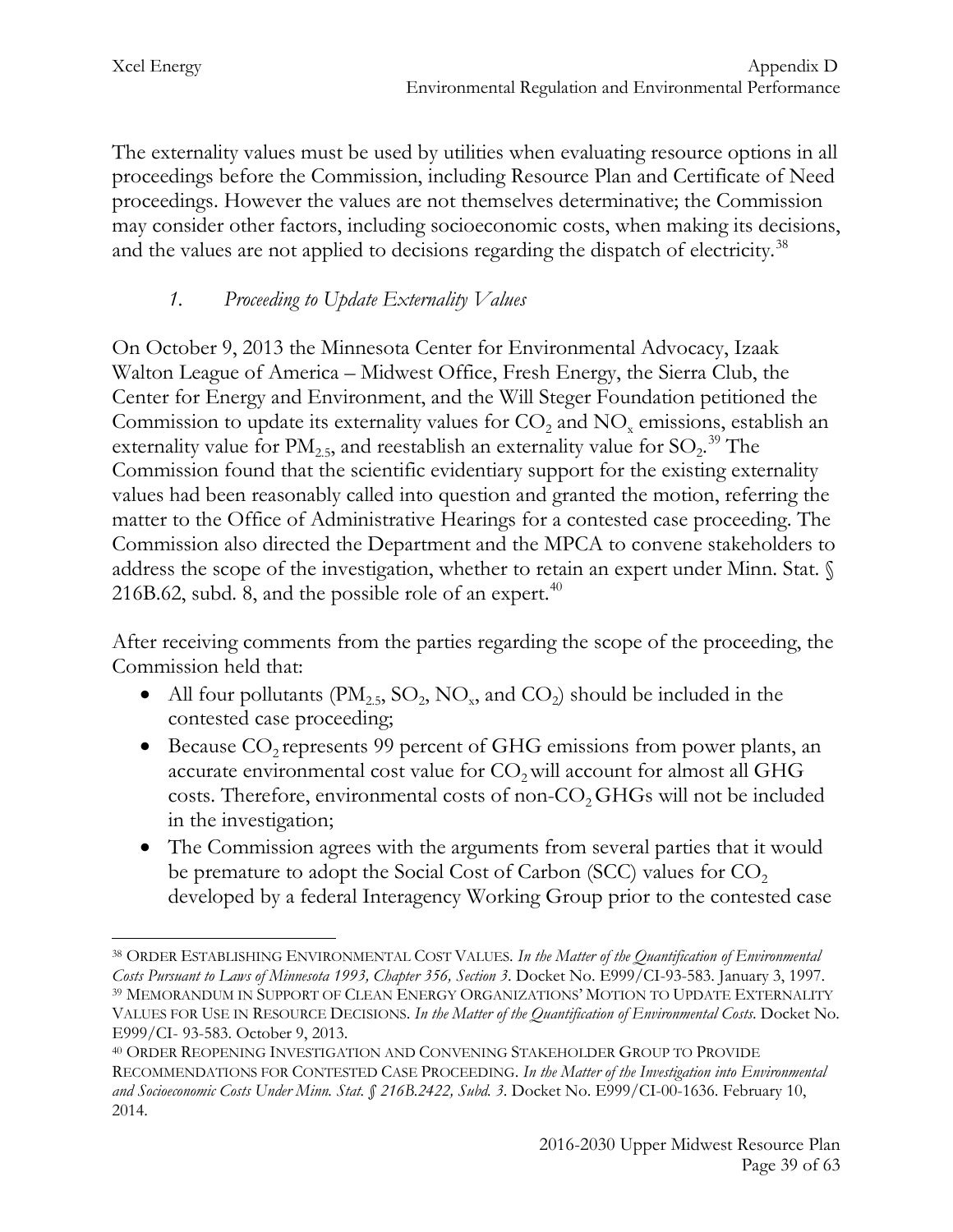The externality values must be used by utilities when evaluating resource options in all proceedings before the Commission, including Resource Plan and Certificate of Need proceedings. However the values are not themselves determinative; the Commission may consider other factors, including socioeconomic costs, when making its decisions, and the values are not applied to decisions regarding the dispatch of electricity.<sup>[38](#page-39-0)</sup>

## *1. Proceeding to Update Externality Values*

On October 9, 2013 the Minnesota Center for Environmental Advocacy, Izaak Walton League of America – Midwest Office, Fresh Energy, the Sierra Club, the Center for Energy and Environment, and the Will Steger Foundation petitioned the Commission to update its externality values for  $CO<sub>2</sub>$  and  $NO<sub>x</sub>$  emissions, establish an externality value for  $PM_{2.5}$ , and reestablish an externality value for  $SO_2$ .<sup>[39](#page-39-1)</sup> The Commission found that the scientific evidentiary support for the existing externality values had been reasonably called into question and granted the motion, referring the matter to the Office of Administrative Hearings for a contested case proceeding. The Commission also directed the Department and the MPCA to convene stakeholders to address the scope of the investigation, whether to retain an expert under Minn. Stat. § 216B.62, subd. 8, and the possible role of an expert. $40$ 

After receiving comments from the parties regarding the scope of the proceeding, the Commission held that:

- All four pollutants ( $\text{PM}_{2.5}$ ,  $\text{SO}_2$ ,  $\text{NO}_x$ , and  $\text{CO}_2$ ) should be included in the contested case proceeding;
- Because  $CO<sub>2</sub>$  represents 99 percent of GHG emissions from power plants, an accurate environmental cost value for CO<sub>2</sub> will account for almost all GHG costs. Therefore, environmental costs of non-CO<sub>2</sub> GHGs will not be included in the investigation;
- The Commission agrees with the arguments from several parties that it would be premature to adopt the Social Cost of Carbon (SCC) values for  $CO<sub>2</sub>$ developed by a federal Interagency Working Group prior to the contested case

<span id="page-39-1"></span><span id="page-39-0"></span><sup>38</sup> ORDER ESTABLISHING ENVIRONMENTAL COST VALUES. *In the Matter of the Quantification of Environmental Costs Pursuant to Laws of Minnesota 1993, Chapter 356, Section 3*. Docket No. E999/CI-93-583. January 3, 1997. <sup>39</sup> MEMORANDUM IN SUPPORT OF CLEAN ENERGY ORGANIZATIONS' MOTION TO UPDATE EXTERNALITY VALUES FOR USE IN RESOURCE DECISIONS. *In the Matter of the Quantification of Environmental Costs*. Docket No. E999/CI- 93-583. October 9, 2013.  $\overline{a}$ 

<span id="page-39-2"></span><sup>40</sup> ORDER REOPENING INVESTIGATION AND CONVENING STAKEHOLDER GROUP TO PROVIDE RECOMMENDATIONS FOR CONTESTED CASE PROCEEDING. *In the Matter of the Investigation into Environmental and Socioeconomic Costs Under Minn. Stat. § 216B.2422, Subd. 3*. Docket No. E999/CI-00-1636. February 10, 2014.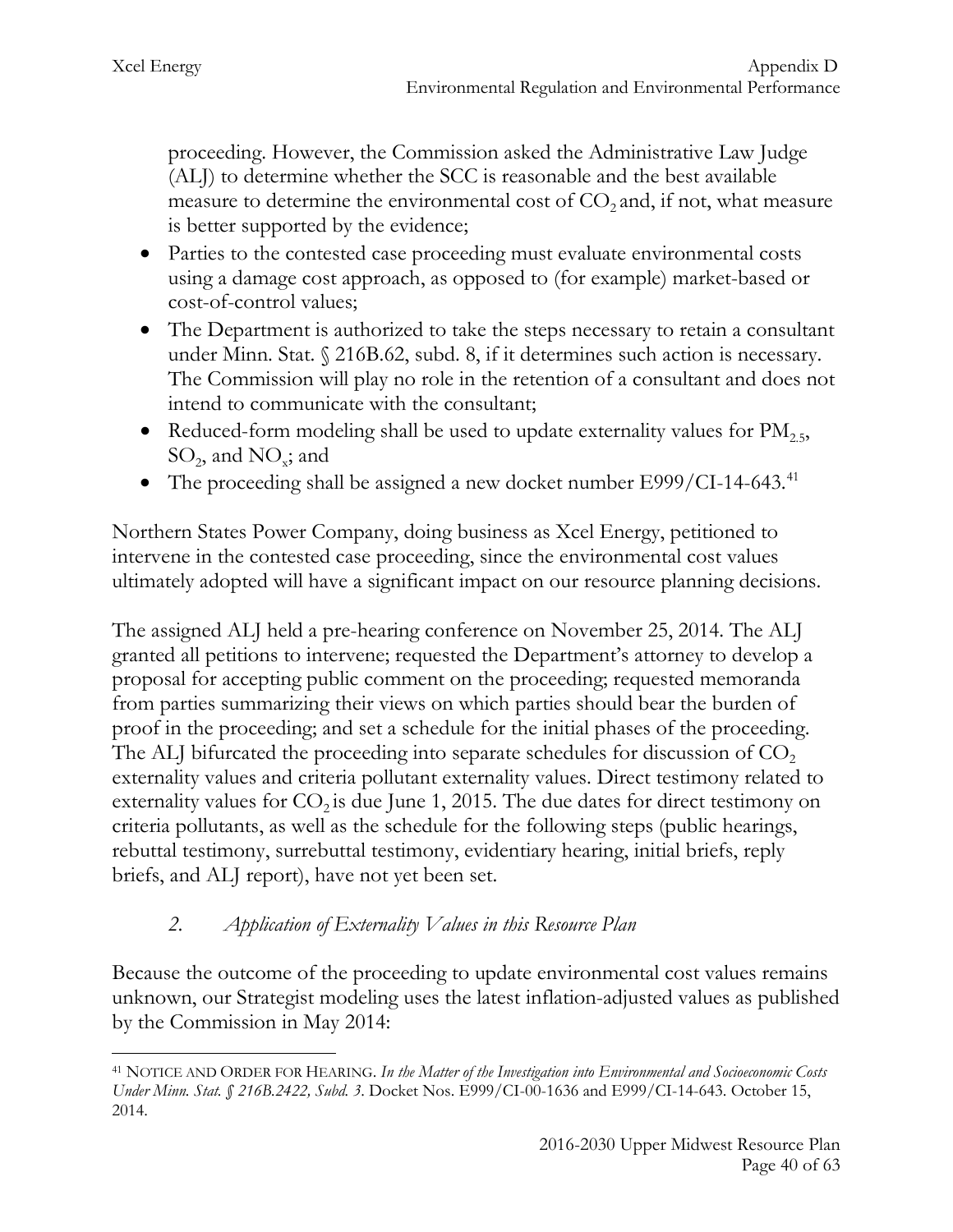proceeding. However, the Commission asked the Administrative Law Judge (ALJ) to determine whether the SCC is reasonable and the best available measure to determine the environmental cost of  $CO<sub>2</sub>$  and, if not, what measure is better supported by the evidence;

- Parties to the contested case proceeding must evaluate environmental costs using a damage cost approach, as opposed to (for example) market-based or cost-of-control values;
- The Department is authorized to take the steps necessary to retain a consultant under Minn. Stat. § 216B.62, subd. 8, if it determines such action is necessary. The Commission will play no role in the retention of a consultant and does not intend to communicate with the consultant;
- Reduced-form modeling shall be used to update externality values for  $PM_{2.5}$ ,  $SO_2$ , and  $NO_x$ ; and
- The proceeding shall be assigned a new docket number E999/CI-14-643.<sup>[41](#page-40-0)</sup>

Northern States Power Company, doing business as Xcel Energy, petitioned to intervene in the contested case proceeding, since the environmental cost values ultimately adopted will have a significant impact on our resource planning decisions.

The assigned ALJ held a pre-hearing conference on November 25, 2014. The ALJ granted all petitions to intervene; requested the Department's attorney to develop a proposal for accepting public comment on the proceeding; requested memoranda from parties summarizing their views on which parties should bear the burden of proof in the proceeding; and set a schedule for the initial phases of the proceeding. The ALJ bifurcated the proceeding into separate schedules for discussion of  $CO<sub>2</sub>$ externality values and criteria pollutant externality values. Direct testimony related to externality values for  $CO_2$  is due June 1, 2015. The due dates for direct testimony on criteria pollutants, as well as the schedule for the following steps (public hearings, rebuttal testimony, surrebuttal testimony, evidentiary hearing, initial briefs, reply briefs, and ALJ report), have not yet been set.

# *2. Application of Externality Values in this Resource Plan*

Because the outcome of the proceeding to update environmental cost values remains unknown, our Strategist modeling uses the latest inflation-adjusted values as published by the Commission in May 2014:

<span id="page-40-0"></span><sup>41</sup> NOTICE AND ORDER FOR HEARING. *In the Matter of the Investigation into Environmental and Socioeconomic Costs Under Minn. Stat. § 216B.2422, Subd. 3*. Docket Nos. E999/CI-00-1636 and E999/CI-14-643. October 15, 2014.  $\overline{a}$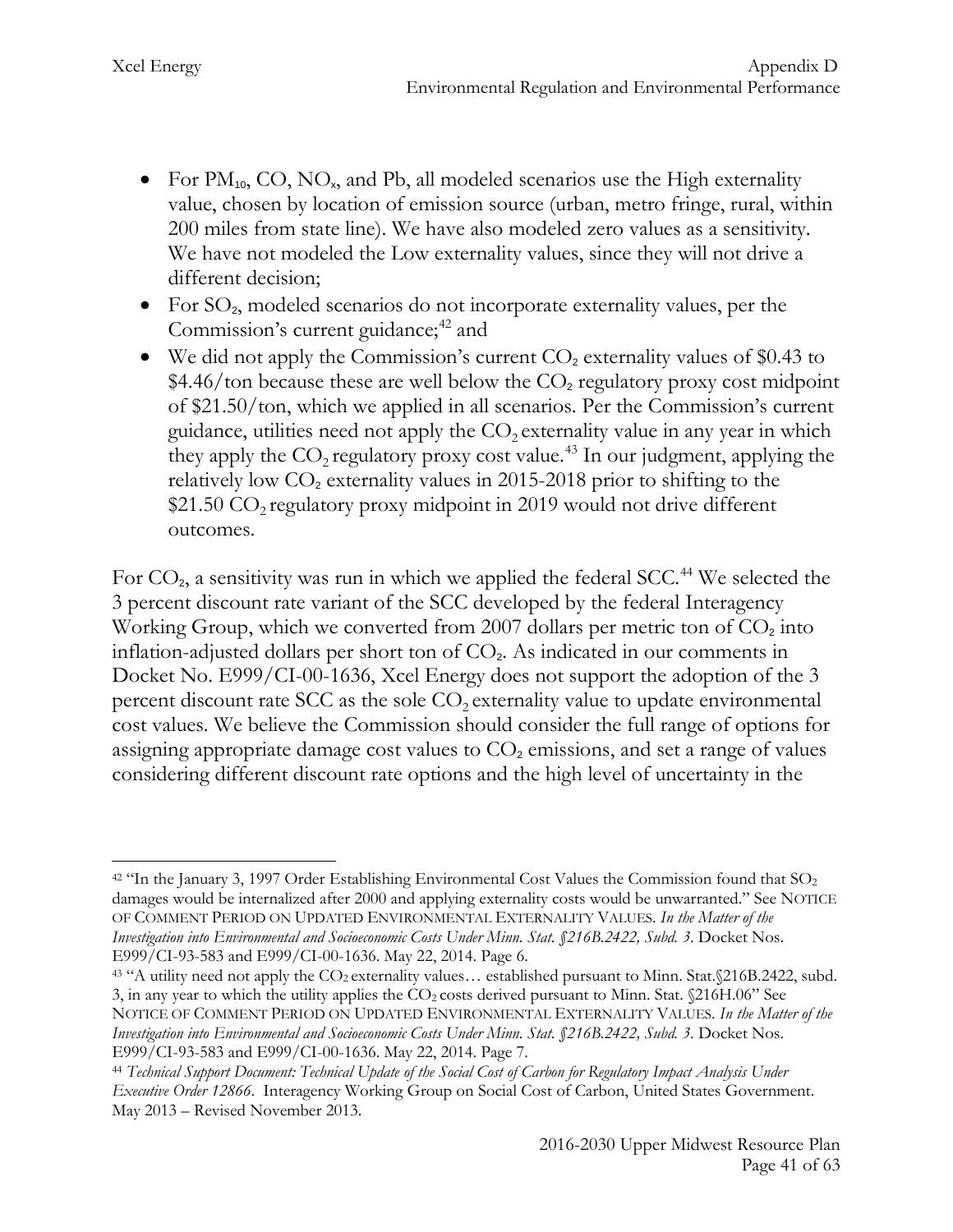- For  $PM_{10}$ , CO, NO<sub>x</sub>, and Pb, all modeled scenarios use the High externality value, chosen by location of emission source (urban, metro fringe, rural, within 200 miles from state line). We have also modeled zero values as a sensitivity. We have not modeled the Low externality values, since they will not drive a different decision;
- For  $SO_2$ , modeled scenarios do not incorporate externality values, per the Commission's current guidance;<sup>[42](#page-41-0)</sup> and
- We did not apply the Commission's current  $CO<sub>2</sub>$  externality values of \$0.43 to  $$4.46$ /ton because these are well below the  $CO<sub>2</sub>$  regulatory proxy cost midpoint of \$21.50/ton, which we applied in all scenarios. Per the Commission's current guidance, utilities need not apply the  $CO<sub>2</sub>$  externality value in any year in which they apply the  $CO_2$  regulatory proxy cost value.<sup>[43](#page-41-1)</sup> In our judgment, applying the relatively low  $CO<sub>2</sub>$  externality values in 2015-2018 prior to shifting to the \$21.50  $CO<sub>2</sub>$  regulatory proxy midpoint in 2019 would not drive different outcomes.

For  $CO<sub>2</sub>$ , a sensitivity was run in which we applied the federal SCC.<sup>[44](#page-41-2)</sup> We selected the 3 percent discount rate variant of the SCC developed by the federal Interagency Working Group, which we converted from 2007 dollars per metric ton of  $CO<sub>2</sub>$  into inflation-adjusted dollars per short ton of  $CO<sub>2</sub>$ . As indicated in our comments in Docket No. E999/CI-00-1636, Xcel Energy does not support the adoption of the 3 percent discount rate SCC as the sole  $CO<sub>2</sub>$  externality value to update environmental cost values. We believe the Commission should consider the full range of options for assigning appropriate damage cost values to  $CO<sub>2</sub>$  emissions, and set a range of values considering different discount rate options and the high level of uncertainty in the

<span id="page-41-0"></span> $42$  "In the January 3, 1997 Order Establishing Environmental Cost Values the Commission found that  $SO<sub>2</sub>$ damages would be internalized after 2000 and applying externality costs would be unwarranted." See NOTICE OF COMMENT PERIOD ON UPDATED ENVIRONMENTAL EXTERNALITY VALUES. *In the Matter of the Investigation into Environmental and Socioeconomic Costs Under Minn. Stat. §216B.2422, Subd. 3*. Docket Nos. E999/CI-93-583 and E999/CI-00-1636. May 22, 2014. Page 6.  $\overline{a}$ 

<span id="page-41-1"></span><sup>43 &</sup>quot;A utility need not apply the CO<sub>2</sub> externality values... established pursuant to Minn. Stat.§216B.2422, subd. 3, in any year to which the utility applies the  $CO<sub>2</sub>$  costs derived pursuant to Minn. Stat.  $$216H.06"$  See NOTICE OF COMMENT PERIOD ON UPDATED ENVIRONMENTAL EXTERNALITY VALUES. *In the Matter of the Investigation into Environmental and Socioeconomic Costs Under Minn. Stat. §216B.2422, Subd. 3*. Docket Nos. E999/CI-93-583 and E999/CI-00-1636. May 22, 2014. Page 7.

<span id="page-41-2"></span><sup>44</sup> *Technical Support Document: Technical Update of the Social Cost of Carbon for Regulatory Impact Analysis Under Executive Order 12866*. Interagency Working Group on Social Cost of Carbon, United States Government. May 2013 – Revised November 2013.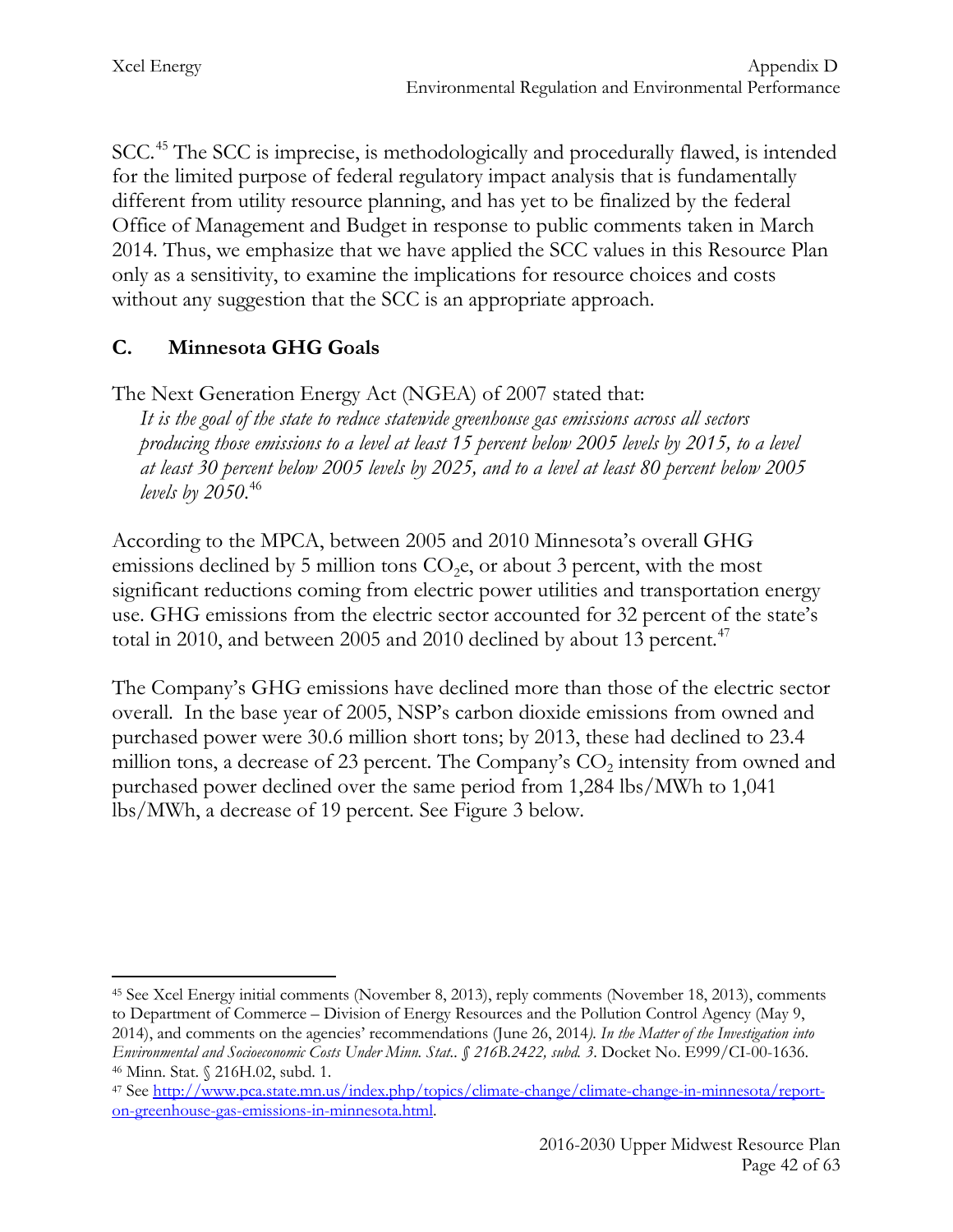SCC.<sup>[45](#page-42-0)</sup> The SCC is imprecise, is methodologically and procedurally flawed, is intended for the limited purpose of federal regulatory impact analysis that is fundamentally different from utility resource planning, and has yet to be finalized by the federal Office of Management and Budget in response to public comments taken in March 2014. Thus, we emphasize that we have applied the SCC values in this Resource Plan only as a sensitivity, to examine the implications for resource choices and costs without any suggestion that the SCC is an appropriate approach.

# **C. Minnesota GHG Goals**

The Next Generation Energy Act (NGEA) of 2007 stated that:

*It is the goal of the state to reduce statewide greenhouse gas emissions across all sectors producing those emissions to a level at least 15 percent below 2005 levels by 2015, to a level at least 30 percent below 2005 levels by 2025, and to a level at least 80 percent below 2005 levels by 2050*. [46](#page-42-1)

According to the MPCA, between 2005 and 2010 Minnesota's overall GHG emissions declined by 5 million tons  $CO<sub>2</sub>e$ , or about 3 percent, with the most significant reductions coming from electric power utilities and transportation energy use. GHG emissions from the electric sector accounted for 32 percent of the state's total in 2010, and between 2005 and 2010 declined by about 13 percent.<sup>[47](#page-42-2)</sup>

The Company's GHG emissions have declined more than those of the electric sector overall. In the base year of 2005, NSP's carbon dioxide emissions from owned and purchased power were 30.6 million short tons; by 2013, these had declined to 23.4 million tons, a decrease of 23 percent. The Company's  $CO<sub>2</sub>$  intensity from owned and purchased power declined over the same period from 1,284 lbs/MWh to 1,041 lbs/MWh, a decrease of 19 percent. See Figure 3 below.

<span id="page-42-0"></span><sup>45</sup> See Xcel Energy initial comments (November 8, 2013), reply comments (November 18, 2013), comments to Department of Commerce – Division of Energy Resources and the Pollution Control Agency (May 9, 2014), and comments on the agencies' recommendations (June 26, 2014*). In the Matter of the Investigation into Environmental and Socioeconomic Costs Under Minn. Stat.. § 216B.2422, subd. 3*. Docket No. E999/CI-00-1636.  $\overline{a}$ 

<span id="page-42-1"></span><sup>46</sup> Minn. Stat. § 216H.02, subd. 1.

<span id="page-42-2"></span><sup>47</sup> See [http://www.pca.state.mn.us/index.php/topics/climate-change/climate-change-in-minnesota/report](http://www.pca.state.mn.us/index.php/topics/climate-change/climate-change-in-minnesota/report-on-greenhouse-gas-emissions-in-minnesota.html)[on-greenhouse-gas-emissions-in-minnesota.html.](http://www.pca.state.mn.us/index.php/topics/climate-change/climate-change-in-minnesota/report-on-greenhouse-gas-emissions-in-minnesota.html)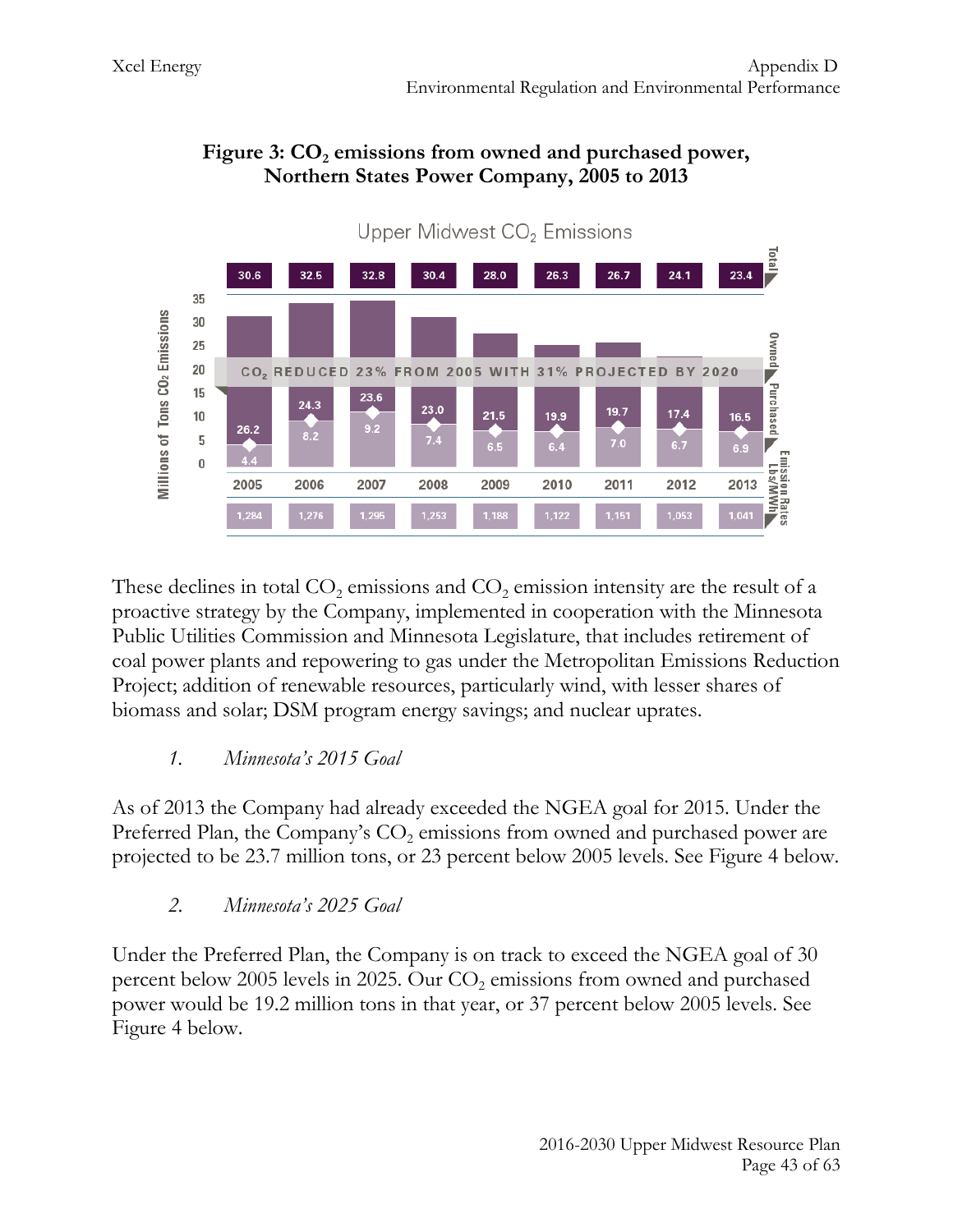

#### Figure 3: CO<sub>2</sub> emissions from owned and purchased power, **Northern States Power Company, 2005 to 2013**

These declines in total  $CO<sub>2</sub>$  emissions and  $CO<sub>2</sub>$  emission intensity are the result of a proactive strategy by the Company, implemented in cooperation with the Minnesota Public Utilities Commission and Minnesota Legislature, that includes retirement of coal power plants and repowering to gas under the Metropolitan Emissions Reduction Project; addition of renewable resources, particularly wind, with lesser shares of biomass and solar; DSM program energy savings; and nuclear uprates.

#### *1. Minnesota's 2015 Goal*

As of 2013 the Company had already exceeded the NGEA goal for 2015. Under the Preferred Plan, the Company's  $CO<sub>2</sub>$  emissions from owned and purchased power are projected to be 23.7 million tons, or 23 percent below 2005 levels. See Figure 4 below.

## *2. Minnesota's 2025 Goal*

Under the Preferred Plan, the Company is on track to exceed the NGEA goal of 30 percent below 2005 levels in 2025. Our  $CO<sub>2</sub>$  emissions from owned and purchased power would be 19.2 million tons in that year, or 37 percent below 2005 levels. See Figure 4 below.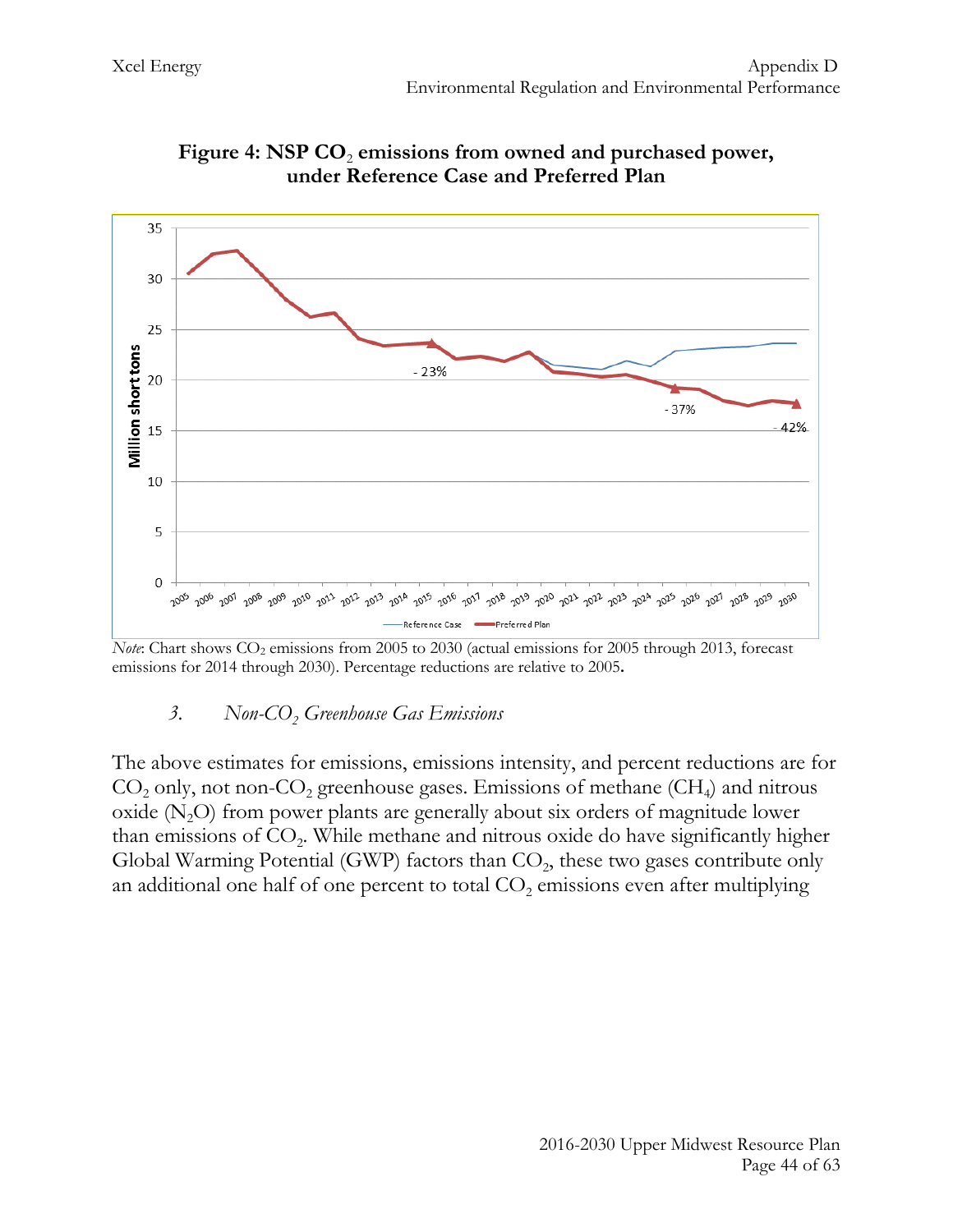

Figure 4: NSP CO<sub>2</sub> emissions from owned and purchased power, **under Reference Case and Preferred Plan**

#### 3. Non-CO<sub>2</sub> Greenhouse Gas Emissions

The above estimates for emissions, emissions intensity, and percent reductions are for  $CO<sub>2</sub>$  only, not non- $CO<sub>2</sub>$  greenhouse gases. Emissions of methane (CH<sub>4</sub>) and nitrous oxide  $(N<sub>2</sub>O)$  from power plants are generally about six orders of magnitude lower than emissions of  $CO<sub>2</sub>$ . While methane and nitrous oxide do have significantly higher Global Warming Potential (GWP) factors than  $CO<sub>2</sub>$ , these two gases contribute only an additional one half of one percent to total  $CO<sub>2</sub>$  emissions even after multiplying

*Note*: Chart shows CO<sub>2</sub> emissions from 2005 to 2030 (actual emissions for 2005 through 2013, forecast emissions for 2014 through 2030). Percentage reductions are relative to 2005**.**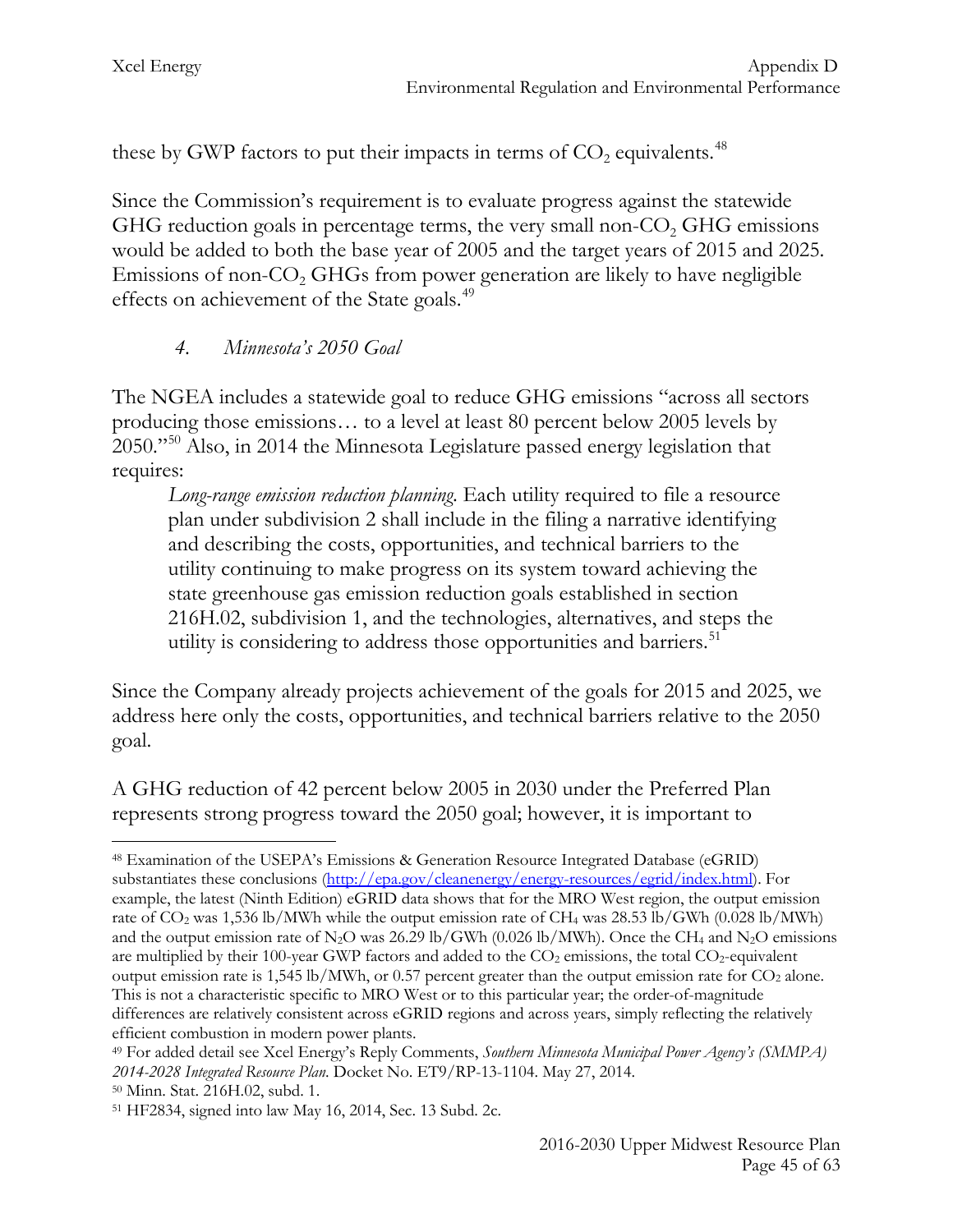these by GWP factors to put their impacts in terms of  $CO<sub>2</sub>$  equivalents.<sup>[48](#page-45-0)</sup>

Since the Commission's requirement is to evaluate progress against the statewide GHG reduction goals in percentage terms, the very small non-CO<sub>2</sub> GHG emissions would be added to both the base year of 2005 and the target years of 2015 and 2025. Emissions of non- $CO<sub>2</sub>$  GHGs from power generation are likely to have negligible effects on achievement of the State goals.<sup>[49](#page-45-1)</sup>

## *4. Minnesota's 2050 Goal*

The NGEA includes a statewide goal to reduce GHG emissions "across all sectors producing those emissions… to a level at least 80 percent below 2005 levels by 2050."[50](#page-45-2) Also, in 2014 the Minnesota Legislature passed energy legislation that requires:

*Long-range emission reduction planning*. Each utility required to file a resource plan under subdivision 2 shall include in the filing a narrative identifying and describing the costs, opportunities, and technical barriers to the utility continuing to make progress on its system toward achieving the state greenhouse gas emission reduction goals established in section 216H.02, subdivision 1, and the technologies, alternatives, and steps the utility is considering to address those opportunities and barriers.<sup>51</sup>

Since the Company already projects achievement of the goals for 2015 and 2025, we address here only the costs, opportunities, and technical barriers relative to the 2050 goal.

A GHG reduction of 42 percent below 2005 in 2030 under the Preferred Plan represents strong progress toward the 2050 goal; however, it is important to

<span id="page-45-0"></span><sup>48</sup> Examination of the USEPA's Emissions & Generation Resource Integrated Database (eGRID) substantiates these conclusions [\(http://epa.gov/cleanenergy/energy-resources/egrid/index.html\)](http://epa.gov/cleanenergy/energy-resources/egrid/index.html). For example, the latest (Ninth Edition) eGRID data shows that for the MRO West region, the output emission rate of  $CO_2$  was 1,536 lb/MWh while the output emission rate of CH<sub>4</sub> was 28.53 lb/GWh (0.028 lb/MWh) and the output emission rate of N<sub>2</sub>O was 26.29 lb/GWh (0.026 lb/MWh). Once the CH<sub>4</sub> and N<sub>2</sub>O emissions are multiplied by their 100-year GWP factors and added to the  $CO<sub>2</sub>$  emissions, the total  $CO<sub>2</sub>$ -equivalent output emission rate is 1,545 lb/MWh, or 0.57 percent greater than the output emission rate for CO<sub>2</sub> alone. This is not a characteristic specific to MRO West or to this particular year; the order-of-magnitude differences are relatively consistent across eGRID regions and across years, simply reflecting the relatively efficient combustion in modern power plants.  $\overline{a}$ 

<span id="page-45-1"></span><sup>49</sup> For added detail see Xcel Energy's Reply Comments, *Southern Minnesota Municipal Power Agency's (SMMPA) 2014-2028 Integrated Resource Plan*. Docket No. ET9/RP-13-1104. May 27, 2014.

<span id="page-45-2"></span><sup>50</sup> Minn. Stat. 216H.02, subd. 1.

<span id="page-45-3"></span><sup>51</sup> HF2834, signed into law May 16, 2014, Sec. 13 Subd. 2c.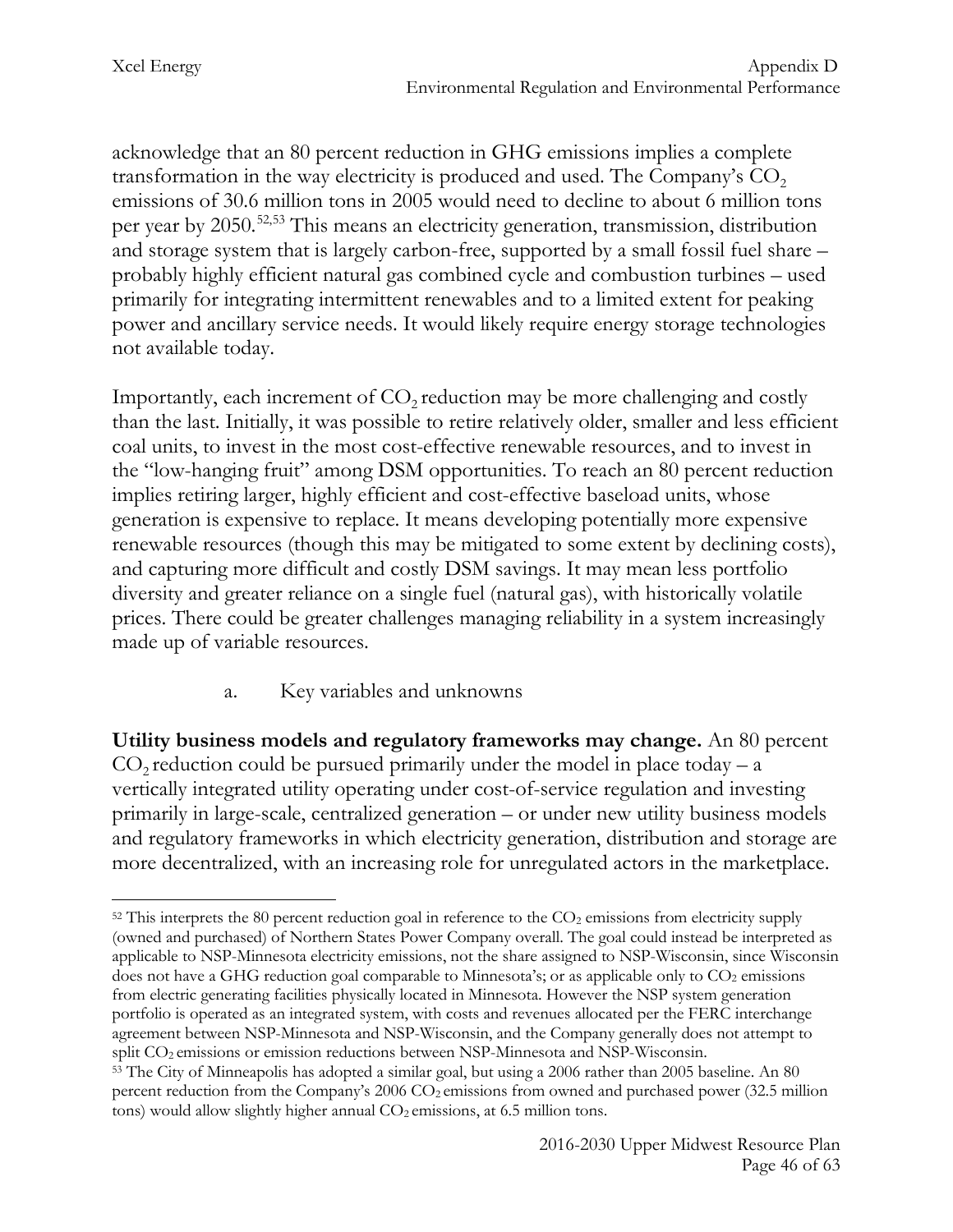acknowledge that an 80 percent reduction in GHG emissions implies a complete transformation in the way electricity is produced and used. The Company's  $CO<sub>2</sub>$ emissions of 30.6 million tons in 2005 would need to decline to about 6 million tons per year by 2050.[52,](#page-46-0)[53](#page-46-1) This means an electricity generation, transmission, distribution and storage system that is largely carbon-free, supported by a small fossil fuel share – probably highly efficient natural gas combined cycle and combustion turbines – used primarily for integrating intermittent renewables and to a limited extent for peaking power and ancillary service needs. It would likely require energy storage technologies not available today.

Importantly, each increment of  $CO<sub>2</sub>$  reduction may be more challenging and costly than the last. Initially, it was possible to retire relatively older, smaller and less efficient coal units, to invest in the most cost-effective renewable resources, and to invest in the "low-hanging fruit" among DSM opportunities. To reach an 80 percent reduction implies retiring larger, highly efficient and cost-effective baseload units, whose generation is expensive to replace. It means developing potentially more expensive renewable resources (though this may be mitigated to some extent by declining costs), and capturing more difficult and costly DSM savings. It may mean less portfolio diversity and greater reliance on a single fuel (natural gas), with historically volatile prices. There could be greater challenges managing reliability in a system increasingly made up of variable resources.

## a. Key variables and unknowns

**Utility business models and regulatory frameworks may change.** An 80 percent  $CO<sub>2</sub>$  reduction could be pursued primarily under the model in place today – a vertically integrated utility operating under cost-of-service regulation and investing primarily in large-scale, centralized generation – or under new utility business models and regulatory frameworks in which electricity generation, distribution and storage are more decentralized, with an increasing role for unregulated actors in the marketplace.

<span id="page-46-0"></span> $52$  This interprets the 80 percent reduction goal in reference to the  $CO<sub>2</sub>$  emissions from electricity supply (owned and purchased) of Northern States Power Company overall. The goal could instead be interpreted as applicable to NSP-Minnesota electricity emissions, not the share assigned to NSP-Wisconsin, since Wisconsin does not have a GHG reduction goal comparable to Minnesota's; or as applicable only to  $CO<sub>2</sub>$  emissions from electric generating facilities physically located in Minnesota. However the NSP system generation portfolio is operated as an integrated system, with costs and revenues allocated per the FERC interchange agreement between NSP-Minnesota and NSP-Wisconsin, and the Company generally does not attempt to  $\overline{a}$ 

<span id="page-46-1"></span>split CO<sub>2</sub> emissions or emission reductions between NSP-Minnesota and NSP-Wisconsin.<br><sup>53</sup> The City of Minneapolis has adopted a similar goal, but using a 2006 rather than 2005 baseline. An 80 percent reduction from the Company's  $2006$  CO<sub>2</sub> emissions from owned and purchased power (32.5 million tons) would allow slightly higher annual  $CO<sub>2</sub>$  emissions, at 6.5 million tons.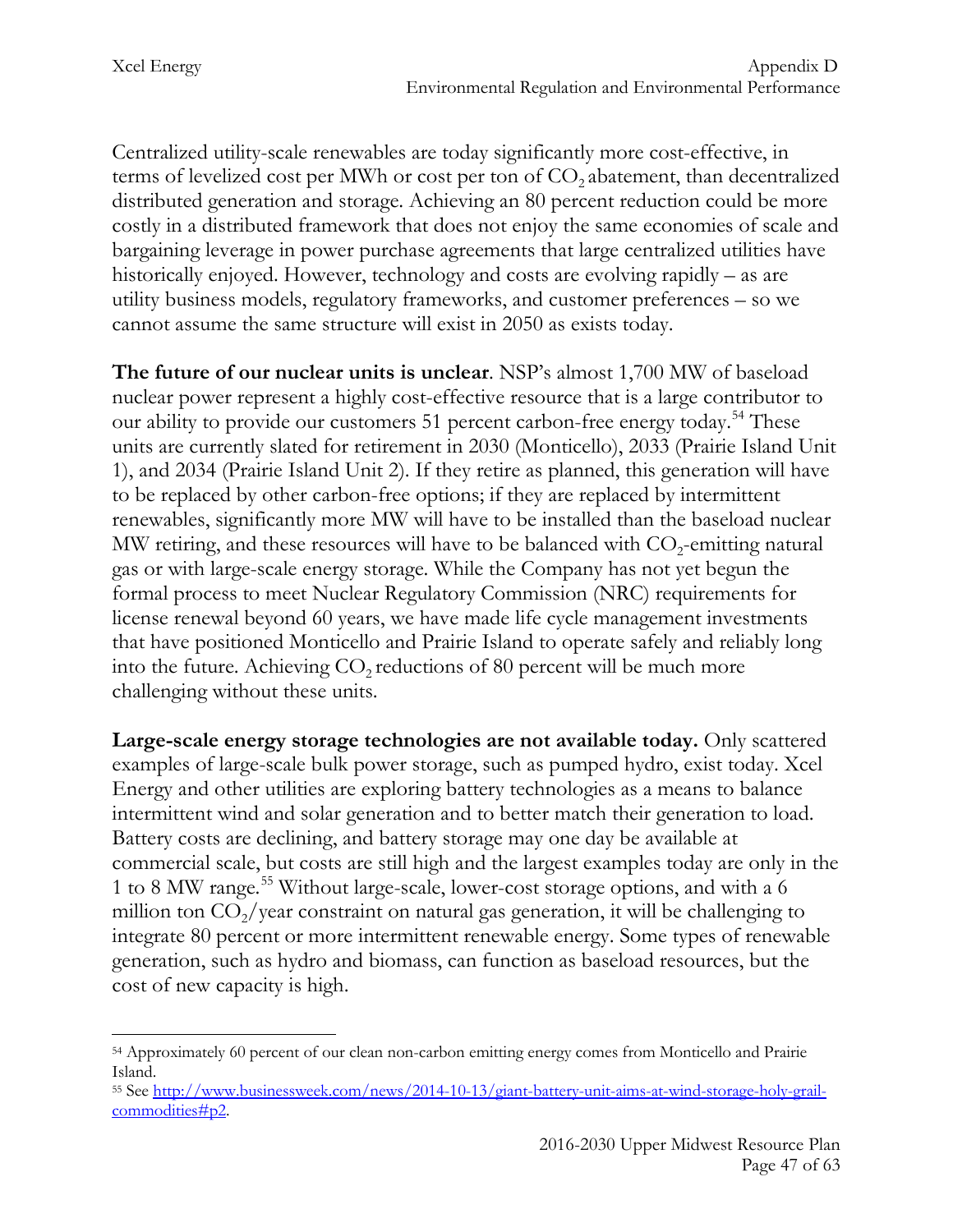Centralized utility-scale renewables are today significantly more cost-effective, in terms of levelized cost per MWh or cost per ton of  $CO<sub>2</sub>$  abatement, than decentralized distributed generation and storage. Achieving an 80 percent reduction could be more costly in a distributed framework that does not enjoy the same economies of scale and bargaining leverage in power purchase agreements that large centralized utilities have historically enjoyed. However, technology and costs are evolving rapidly – as are utility business models, regulatory frameworks, and customer preferences – so we cannot assume the same structure will exist in 2050 as exists today.

**The future of our nuclear units is unclear**. NSP's almost 1,700 MW of baseload nuclear power represent a highly cost-effective resource that is a large contributor to our ability to provide our customers 51 percent carbon-free energy today.<sup>[54](#page-47-0)</sup> These units are currently slated for retirement in 2030 (Monticello), 2033 (Prairie Island Unit 1), and 2034 (Prairie Island Unit 2). If they retire as planned, this generation will have to be replaced by other carbon-free options; if they are replaced by intermittent renewables, significantly more MW will have to be installed than the baseload nuclear MW retiring, and these resources will have to be balanced with  $CO<sub>2</sub>$ -emitting natural gas or with large-scale energy storage. While the Company has not yet begun the formal process to meet Nuclear Regulatory Commission (NRC) requirements for license renewal beyond 60 years, we have made life cycle management investments that have positioned Monticello and Prairie Island to operate safely and reliably long into the future. Achieving  $CO<sub>2</sub>$  reductions of 80 percent will be much more challenging without these units.

**Large-scale energy storage technologies are not available today.** Only scattered examples of large-scale bulk power storage, such as pumped hydro, exist today. Xcel Energy and other utilities are exploring battery technologies as a means to balance intermittent wind and solar generation and to better match their generation to load. Battery costs are declining, and battery storage may one day be available at commercial scale, but costs are still high and the largest examples today are only in the 1 to 8 MW range.[55](#page-47-1) Without large-scale, lower-cost storage options, and with a 6 million ton  $CO_2$ /year constraint on natural gas generation, it will be challenging to integrate 80 percent or more intermittent renewable energy. Some types of renewable generation, such as hydro and biomass, can function as baseload resources, but the cost of new capacity is high.

<span id="page-47-0"></span><sup>54</sup> Approximately 60 percent of our clean non-carbon emitting energy comes from Monticello and Prairie Island.  $\overline{a}$ 

<span id="page-47-1"></span><sup>55</sup> See [http://www.businessweek.com/news/2014-10-13/giant-battery-unit-aims-at-wind-storage-holy-grail](http://www.businessweek.com/news/2014-10-13/giant-battery-unit-aims-at-wind-storage-holy-grail-commodities%23p2)[commodities#p2.](http://www.businessweek.com/news/2014-10-13/giant-battery-unit-aims-at-wind-storage-holy-grail-commodities%23p2)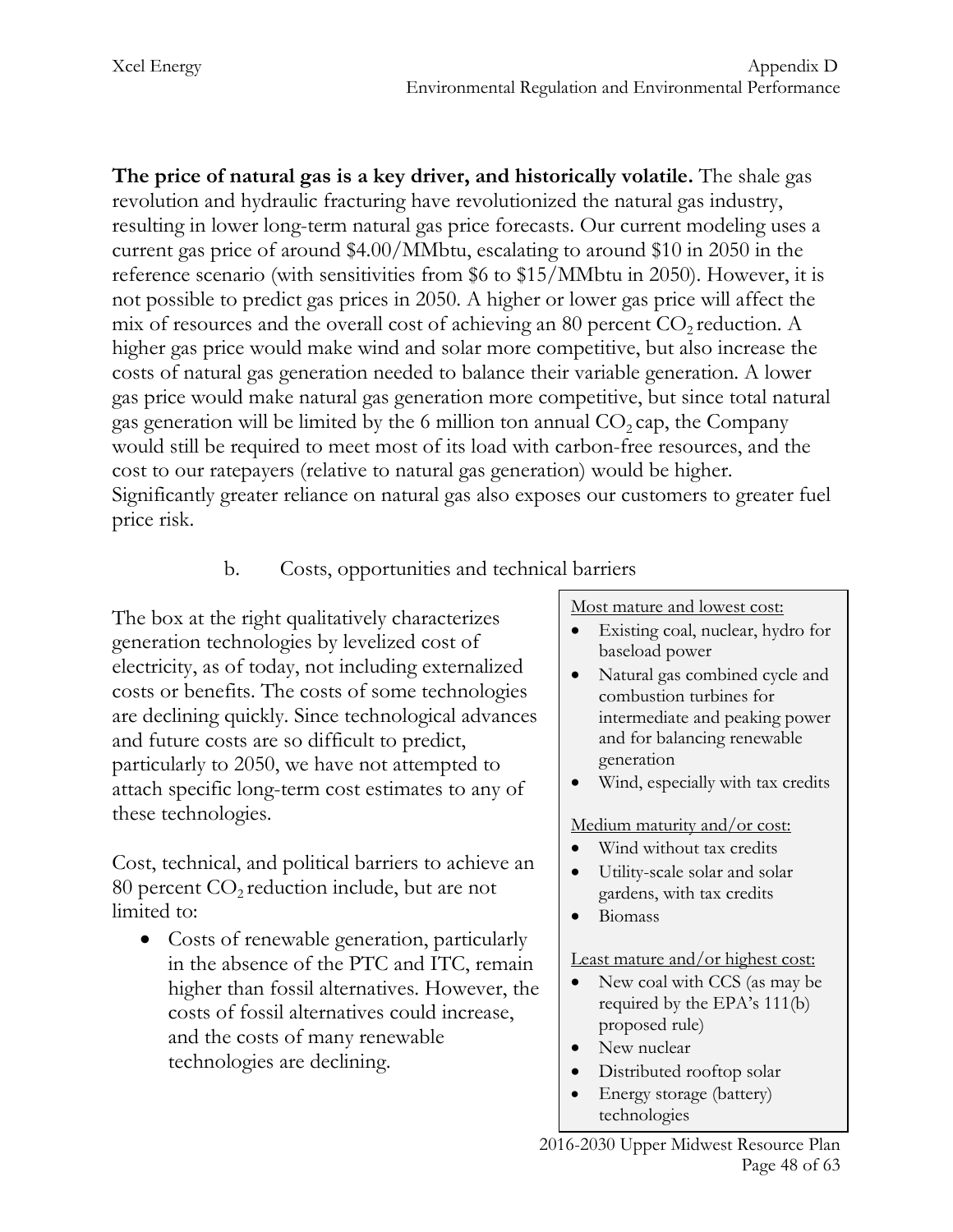**The price of natural gas is a key driver, and historically volatile.** The shale gas revolution and hydraulic fracturing have revolutionized the natural gas industry, resulting in lower long-term natural gas price forecasts. Our current modeling uses a current gas price of around \$4.00/MMbtu, escalating to around \$10 in 2050 in the reference scenario (with sensitivities from \$6 to \$15/MMbtu in 2050). However, it is not possible to predict gas prices in 2050. A higher or lower gas price will affect the mix of resources and the overall cost of achieving an 80 percent  $CO<sub>2</sub>$  reduction. A higher gas price would make wind and solar more competitive, but also increase the costs of natural gas generation needed to balance their variable generation. A lower gas price would make natural gas generation more competitive, but since total natural gas generation will be limited by the 6 million ton annual  $CO_2$  cap, the Company would still be required to meet most of its load with carbon-free resources, and the cost to our ratepayers (relative to natural gas generation) would be higher. Significantly greater reliance on natural gas also exposes our customers to greater fuel price risk.

# b. Costs, opportunities and technical barriers

The box at the right qualitatively characterizes generation technologies by levelized cost of electricity, as of today, not including externalized costs or benefits. The costs of some technologies are declining quickly. Since technological advances and future costs are so difficult to predict, particularly to 2050, we have not attempted to attach specific long-term cost estimates to any of these technologies.

Cost, technical, and political barriers to achieve an 80 percent  $CO<sub>2</sub>$  reduction include, but are not limited to:

• Costs of renewable generation, particularly in the absence of the PTC and ITC, remain higher than fossil alternatives. However, the costs of fossil alternatives could increase, and the costs of many renewable technologies are declining.

Most mature and lowest cost:

- Existing coal, nuclear, hydro for baseload power
- Natural gas combined cycle and combustion turbines for intermediate and peaking power and for balancing renewable generation
- Wind, especially with tax credits

Medium maturity and/or cost:

- Wind without tax credits
- Utility-scale solar and solar gardens, with tax credits
- Biomass

Least mature and/or highest cost:

- New coal with CCS (as may be required by the EPA's 111(b) proposed rule)
- New nuclear
- Distributed rooftop solar
- Energy storage (battery) technologies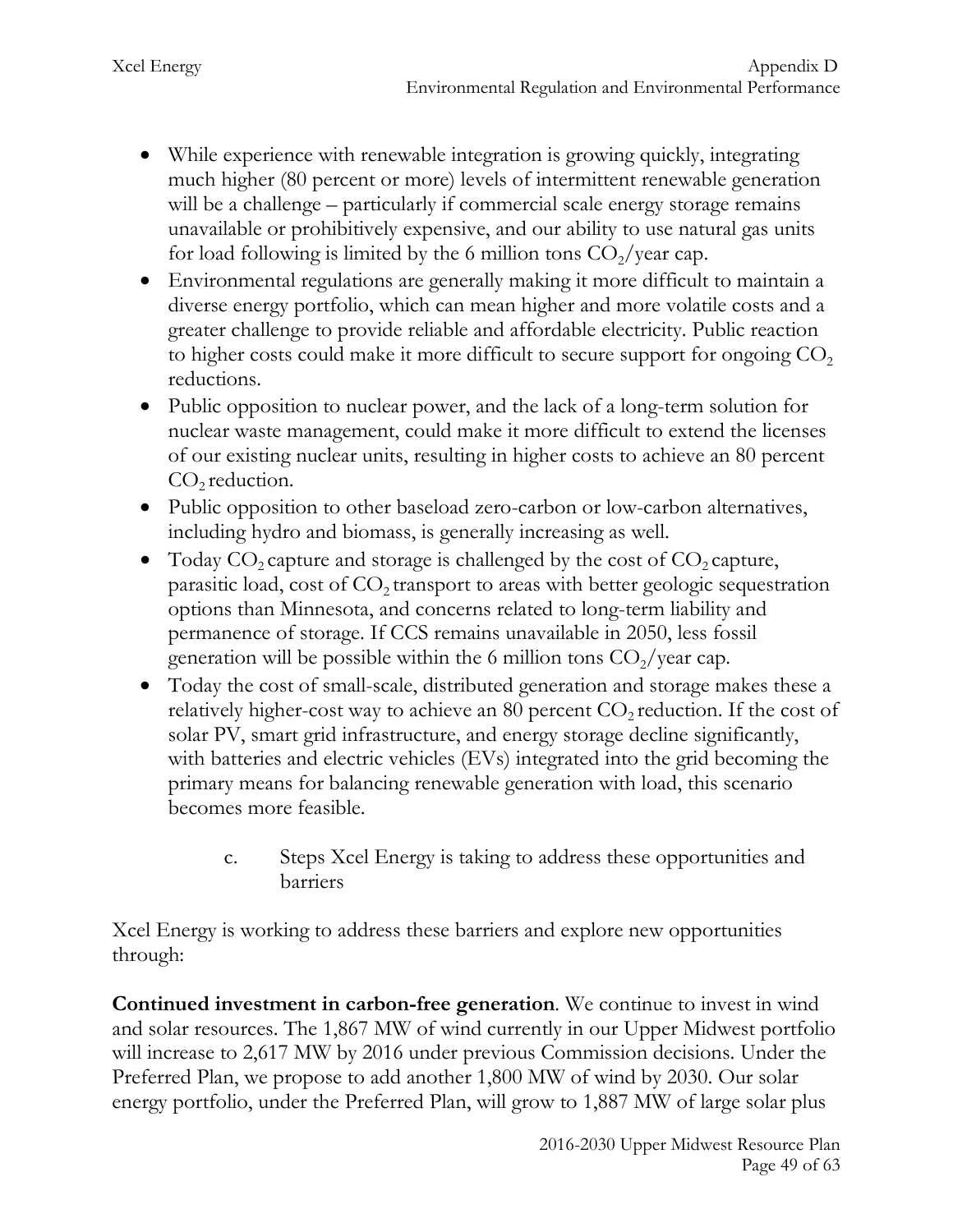- While experience with renewable integration is growing quickly, integrating much higher (80 percent or more) levels of intermittent renewable generation will be a challenge – particularly if commercial scale energy storage remains unavailable or prohibitively expensive, and our ability to use natural gas units for load following is limited by the 6 million tons  $CO_2$ /year cap.
- Environmental regulations are generally making it more difficult to maintain a diverse energy portfolio, which can mean higher and more volatile costs and a greater challenge to provide reliable and affordable electricity. Public reaction to higher costs could make it more difficult to secure support for ongoing  $CO<sub>2</sub>$ reductions.
- Public opposition to nuclear power, and the lack of a long-term solution for nuclear waste management, could make it more difficult to extend the licenses of our existing nuclear units, resulting in higher costs to achieve an 80 percent  $CO<sub>2</sub>$  reduction.
- Public opposition to other baseload zero-carbon or low-carbon alternatives, including hydro and biomass, is generally increasing as well.
- Today  $CO_2$  capture and storage is challenged by the cost of  $CO_2$  capture, parasitic load, cost of  $CO<sub>2</sub>$  transport to areas with better geologic sequestration options than Minnesota, and concerns related to long-term liability and permanence of storage. If CCS remains unavailable in 2050, less fossil generation will be possible within the 6 million tons  $CO<sub>2</sub>/year$  cap.
- Today the cost of small-scale, distributed generation and storage makes these a relatively higher-cost way to achieve an 80 percent  $CO<sub>2</sub>$  reduction. If the cost of solar PV, smart grid infrastructure, and energy storage decline significantly, with batteries and electric vehicles (EVs) integrated into the grid becoming the primary means for balancing renewable generation with load, this scenario becomes more feasible.
	- c. Steps Xcel Energy is taking to address these opportunities and barriers

Xcel Energy is working to address these barriers and explore new opportunities through:

**Continued investment in carbon-free generation**. We continue to invest in wind and solar resources. The 1,867 MW of wind currently in our Upper Midwest portfolio will increase to 2,617 MW by 2016 under previous Commission decisions. Under the Preferred Plan, we propose to add another 1,800 MW of wind by 2030. Our solar energy portfolio, under the Preferred Plan, will grow to 1,887 MW of large solar plus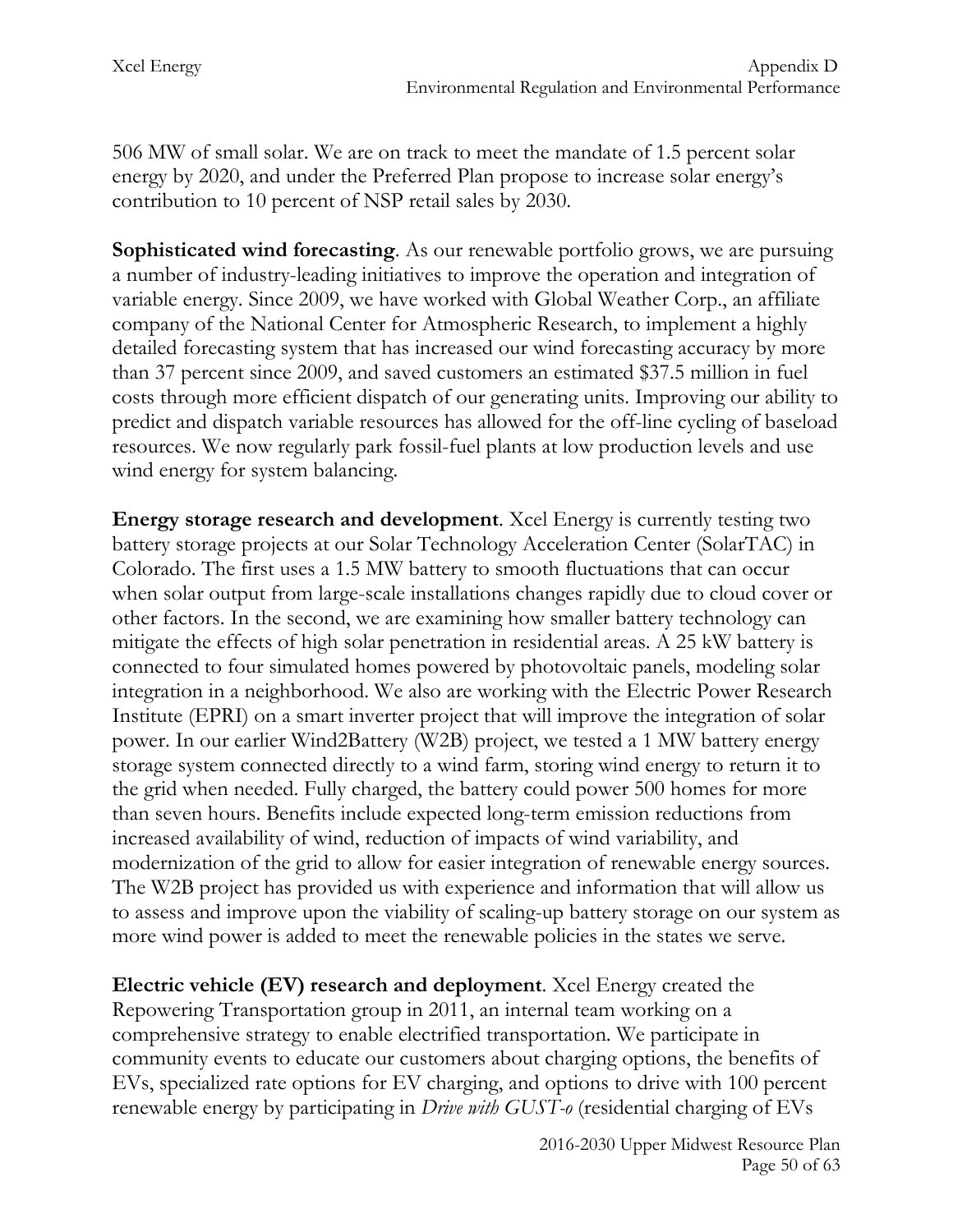506 MW of small solar. We are on track to meet the mandate of 1.5 percent solar energy by 2020, and under the Preferred Plan propose to increase solar energy's contribution to 10 percent of NSP retail sales by 2030.

**Sophisticated wind forecasting**. As our renewable portfolio grows, we are pursuing a number of industry-leading initiatives to improve the operation and integration of variable energy. Since 2009, we have worked with Global Weather Corp., an affiliate company of the National Center for Atmospheric Research, to implement a highly detailed forecasting system that has increased our wind forecasting accuracy by more than 37 percent since 2009, and saved customers an estimated \$37.5 million in fuel costs through more efficient dispatch of our generating units. Improving our ability to predict and dispatch variable resources has allowed for the off-line cycling of baseload resources. We now regularly park fossil-fuel plants at low production levels and use wind energy for system balancing.

**Energy storage research and development**. Xcel Energy is currently testing two battery storage projects at our Solar Technology Acceleration Center (SolarTAC) in Colorado. The first uses a 1.5 MW battery to smooth fluctuations that can occur when solar output from large-scale installations changes rapidly due to cloud cover or other factors. In the second, we are examining how smaller battery technology can mitigate the effects of high solar penetration in residential areas. A 25 kW battery is connected to four simulated homes powered by photovoltaic panels, modeling solar integration in a neighborhood. We also are working with the Electric Power Research Institute (EPRI) on a smart inverter project that will improve the integration of solar power. In our earlier Wind2Battery (W2B) project, we tested a 1 MW battery energy storage system connected directly to a wind farm, storing wind energy to return it to the grid when needed. Fully charged, the battery could power 500 homes for more than seven hours. Benefits include expected long-term emission reductions from increased availability of wind, reduction of impacts of wind variability, and modernization of the grid to allow for easier integration of renewable energy sources. The W2B project has provided us with experience and information that will allow us to assess and improve upon the viability of scaling-up battery storage on our system as more wind power is added to meet the renewable policies in the states we serve.

**Electric vehicle (EV) research and deployment**. Xcel Energy created the Repowering Transportation group in 2011, an internal team working on a comprehensive strategy to enable electrified transportation. We participate in community events to educate our customers about charging options, the benefits of EVs, specialized rate options for EV charging, and options to drive with 100 percent renewable energy by participating in *Drive with GUST-o* (residential charging of EVs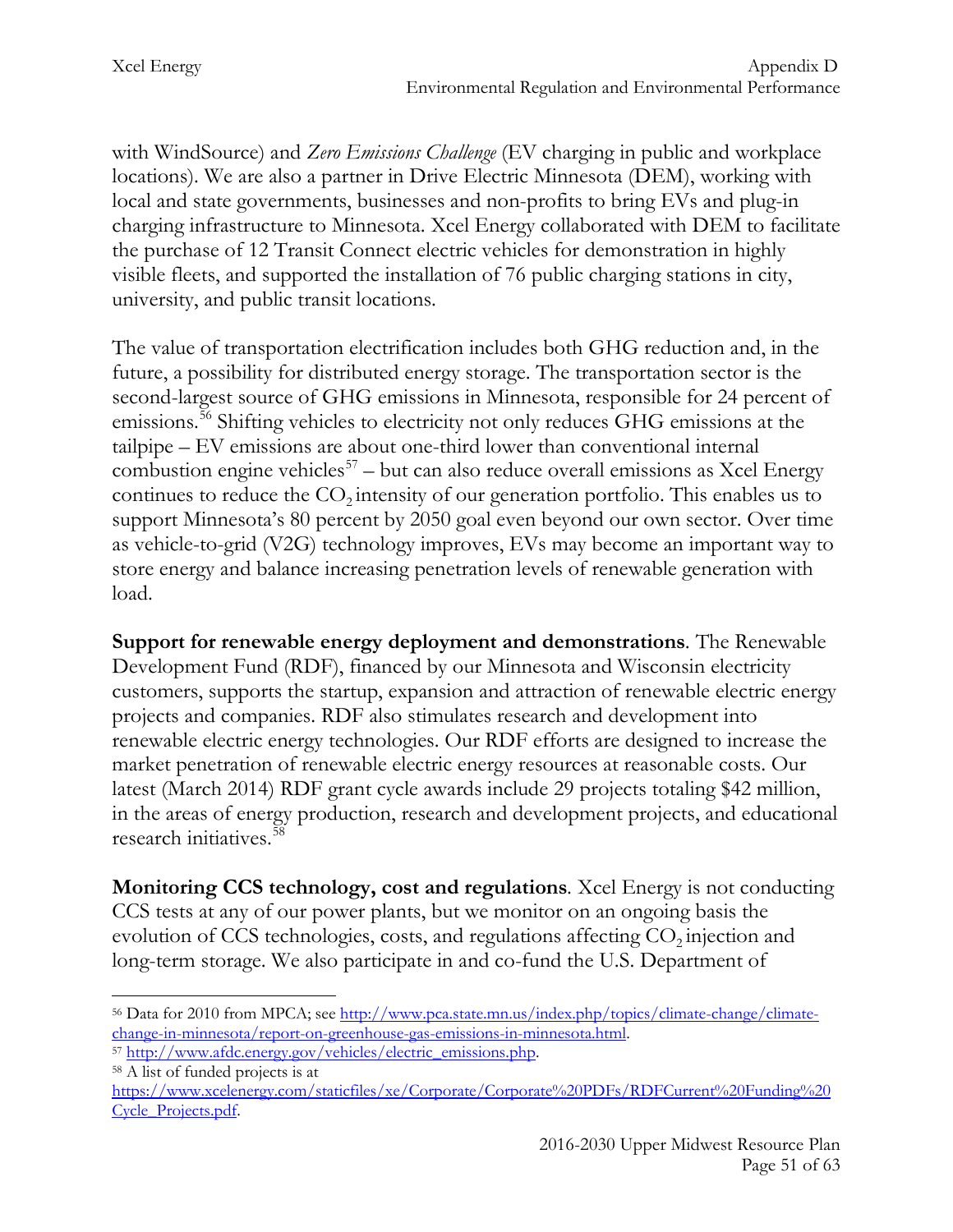with WindSource) and *Zero Emissions Challenge* (EV charging in public and workplace locations). We are also a partner in Drive Electric Minnesota (DEM), working with local and state governments, businesses and non-profits to bring EVs and plug-in charging infrastructure to Minnesota. Xcel Energy collaborated with DEM to facilitate the purchase of 12 Transit Connect electric vehicles for demonstration in highly visible fleets, and supported the installation of 76 public charging stations in city, university, and public transit locations.

The value of transportation electrification includes both GHG reduction and, in the future, a possibility for distributed energy storage. The transportation sector is the second-largest source of GHG emissions in Minnesota, responsible for 24 percent of emissions.[56](#page-51-0) Shifting vehicles to electricity not only reduces GHG emissions at the tailpipe – EV emissions are about one-third lower than conventional internal combustion engine vehicles<sup>[57](#page-51-1)</sup> – but can also reduce overall emissions as Xcel Energy continues to reduce the  $CO<sub>2</sub>$  intensity of our generation portfolio. This enables us to support Minnesota's 80 percent by 2050 goal even beyond our own sector. Over time as vehicle-to-grid (V2G) technology improves, EVs may become an important way to store energy and balance increasing penetration levels of renewable generation with load.

**Support for renewable energy deployment and demonstrations***.* The Renewable Development Fund (RDF), financed by our Minnesota and Wisconsin electricity customers, supports the startup, expansion and attraction of renewable electric energy projects and companies. RDF also stimulates research and development into renewable electric energy technologies. Our RDF efforts are designed to increase the market penetration of renewable electric energy resources at reasonable costs. Our latest (March 2014) RDF grant cycle awards include 29 projects totaling \$42 million, in the areas of energy production, research and development projects, and educational research initiatives.[58](#page-51-2)

**Monitoring CCS technology, cost and regulations***.* Xcel Energy is not conducting CCS tests at any of our power plants, but we monitor on an ongoing basis the evolution of CCS technologies, costs, and regulations affecting  $CO<sub>2</sub>$  injection and long-term storage. We also participate in and co-fund the U.S. Department of

<span id="page-51-0"></span><sup>&</sup>lt;sup>56</sup> Data for 2010 from MPCA; see [http://www.pca.state.mn.us/index.php/topics/climate-change/climate](http://www.pca.state.mn.us/index.php/topics/climate-change/climate-change-in-minnesota/report-on-greenhouse-gas-emissions-in-minnesota.html)change-in-minnesota/report-on-greenhouse-gas-emissions-in-minnesota.html.<br>
<sup>57</sup> [http://www.afdc.energy.gov/vehicles/electric\\_emissions.php.](http://www.afdc.energy.gov/vehicles/electric_emissions.php)<br>
<sup>58</sup> A list of funded projects is at  $\overline{a}$ 

<span id="page-51-1"></span>

<span id="page-51-2"></span>

[https://www.xcelenergy.com/staticfiles/xe/Corporate/Corporate%20PDFs/RDFCurrent%20Funding%20](https://www.xcelenergy.com/staticfiles/xe/Corporate/Corporate%20PDFs/RDFCurrent%20Funding%20Cycle_Projects.pdf) [Cycle\\_Projects.pdf.](https://www.xcelenergy.com/staticfiles/xe/Corporate/Corporate%20PDFs/RDFCurrent%20Funding%20Cycle_Projects.pdf)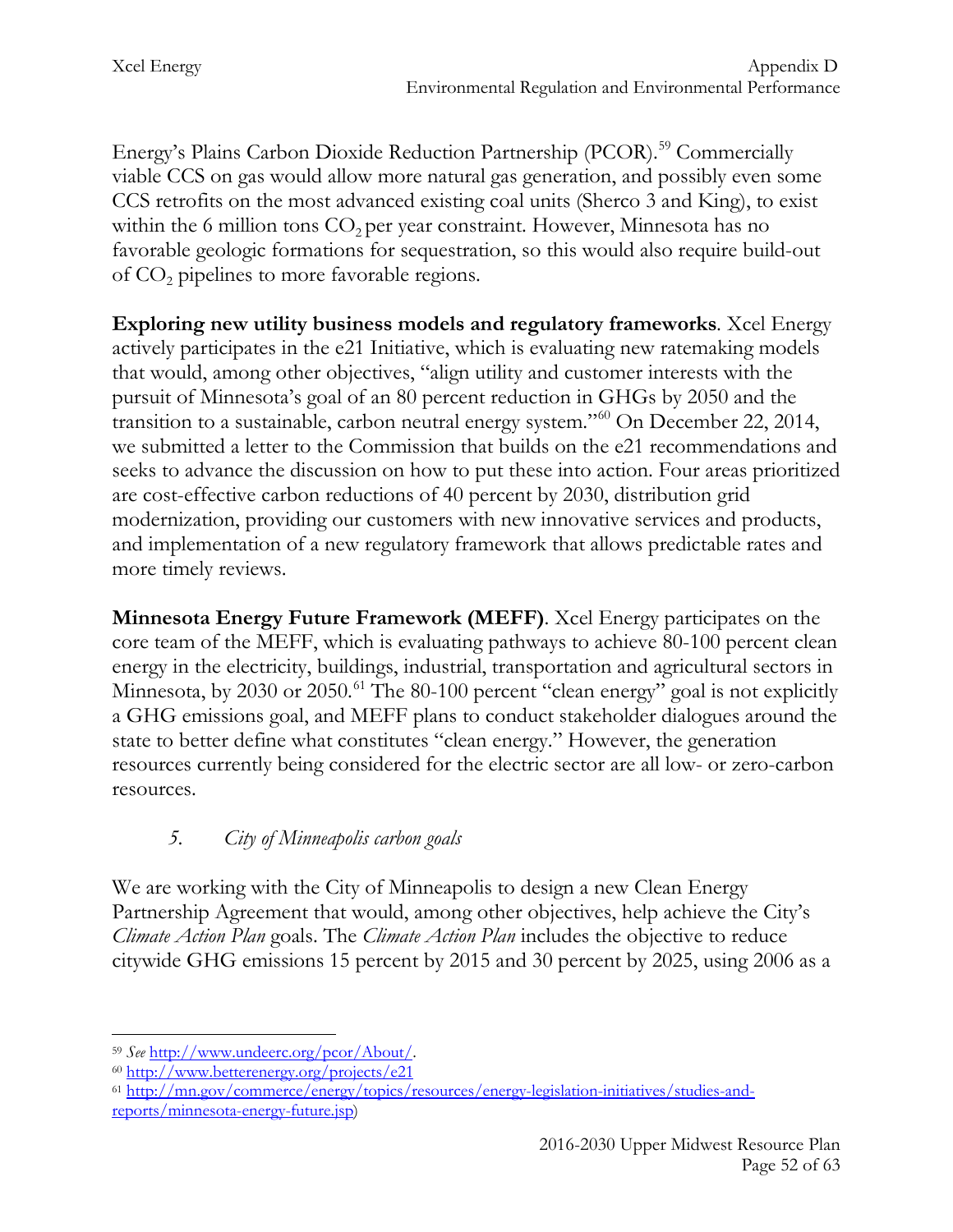Energy's Plains Carbon Dioxide Reduction Partnership (PCOR).<sup>[59](#page-52-0)</sup> Commercially viable CCS on gas would allow more natural gas generation, and possibly even some CCS retrofits on the most advanced existing coal units (Sherco 3 and King), to exist within the 6 million tons  $CO<sub>2</sub>$  per year constraint. However, Minnesota has no favorable geologic formations for sequestration, so this would also require build-out of  $CO<sub>2</sub>$  pipelines to more favorable regions.

**Exploring new utility business models and regulatory frameworks***.* Xcel Energy actively participates in the e21 Initiative, which is evaluating new ratemaking models that would, among other objectives, "align utility and customer interests with the pursuit of Minnesota's goal of an 80 percent reduction in GHGs by 2050 and the transition to a sustainable, carbon neutral energy system."[60](#page-52-1) On December 22, 2014, we submitted a letter to the Commission that builds on the e21 recommendations and seeks to advance the discussion on how to put these into action. Four areas prioritized are cost-effective carbon reductions of 40 percent by 2030, distribution grid modernization, providing our customers with new innovative services and products, and implementation of a new regulatory framework that allows predictable rates and more timely reviews.

**Minnesota Energy Future Framework (MEFF)**. Xcel Energy participates on the core team of the MEFF, which is evaluating pathways to achieve 80-100 percent clean energy in the electricity, buildings, industrial, transportation and agricultural sectors in Minnesota, by 2030 or 2050.<sup>[61](#page-52-2)</sup> The 80-100 percent "clean energy" goal is not explicitly a GHG emissions goal, and MEFF plans to conduct stakeholder dialogues around the state to better define what constitutes "clean energy." However, the generation resources currently being considered for the electric sector are all low- or zero-carbon resources.

# *5. City of Minneapolis carbon goals*

We are working with the City of Minneapolis to design a new Clean Energy Partnership Agreement that would, among other objectives, help achieve the City's *Climate Action Plan* goals. The *Climate Action Plan* includes the objective to reduce citywide GHG emissions 15 percent by 2015 and 30 percent by 2025, using 2006 as a

<span id="page-52-0"></span><sup>59</sup> *See* [http://www.undeerc.org/pcor/About/.](http://www.undeerc.org/pcor/About/) 60 <http://www.betterenergy.org/projects/e21>  $\overline{a}$ 

<span id="page-52-1"></span>

<span id="page-52-2"></span><sup>61</sup> [http://mn.gov/commerce/energy/topics/resources/energy-legislation-initiatives/studies-and](http://mn.gov/commerce/energy/topics/resources/energy-legislation-initiatives/studies-and-reports/minnesota-energy-future.jsp)[reports/minnesota-energy-future.jsp\)](http://mn.gov/commerce/energy/topics/resources/energy-legislation-initiatives/studies-and-reports/minnesota-energy-future.jsp)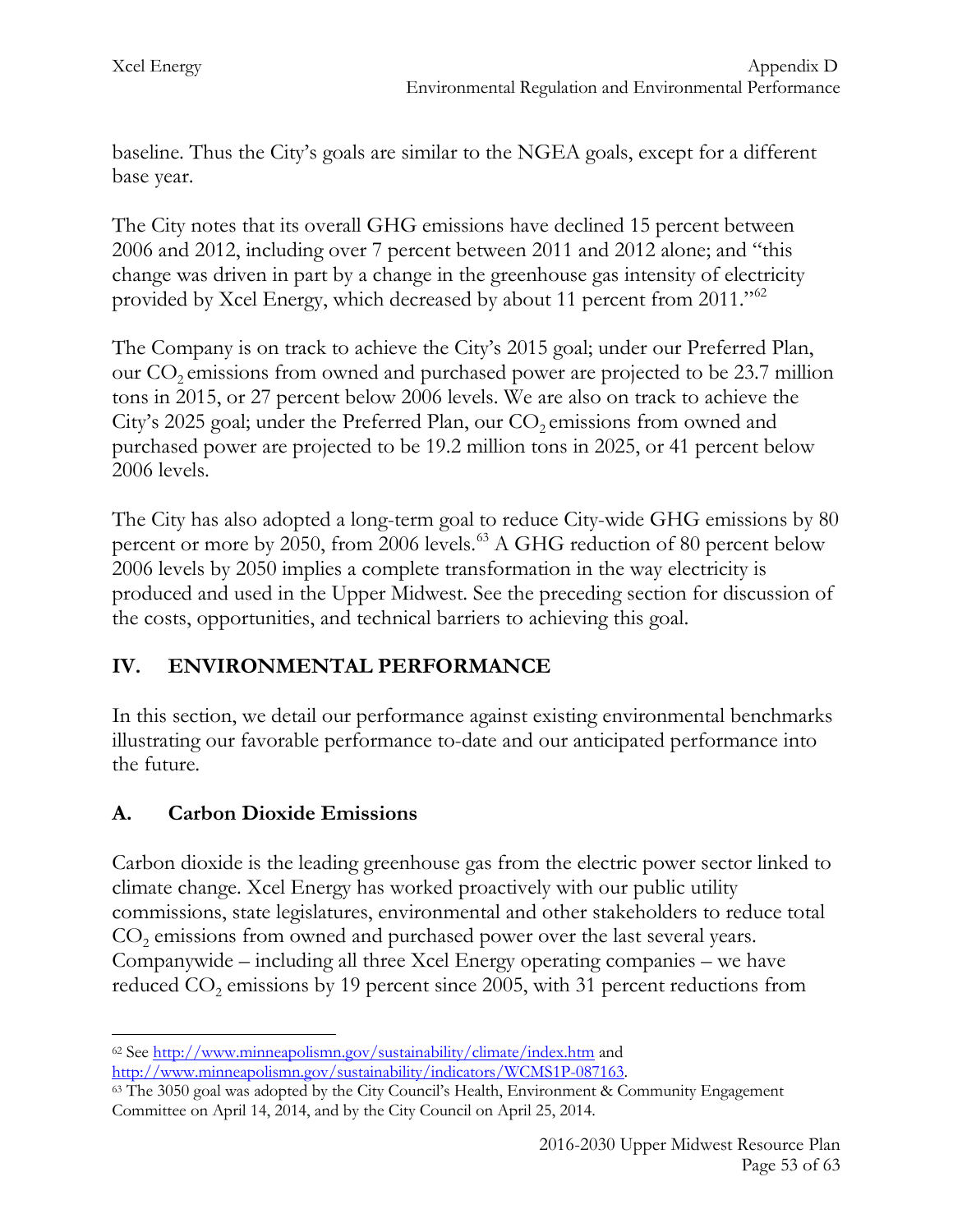baseline. Thus the City's goals are similar to the NGEA goals, except for a different base year.

The City notes that its overall GHG emissions have declined 15 percent between 2006 and 2012, including over 7 percent between 2011 and 2012 alone; and "this change was driven in part by a change in the greenhouse gas intensity of electricity provided by Xcel Energy, which decreased by about 11 percent from 2011."[62](#page-53-0)

The Company is on track to achieve the City's 2015 goal; under our Preferred Plan, our  $CO_2$  emissions from owned and purchased power are projected to be 23.7 million tons in 2015, or 27 percent below 2006 levels. We are also on track to achieve the City's 2025 goal; under the Preferred Plan, our CO<sub>2</sub> emissions from owned and purchased power are projected to be 19.2 million tons in 2025, or 41 percent below 2006 levels.

The City has also adopted a long-term goal to reduce City-wide GHG emissions by 80 percent or more by 2050, from 2006 levels.<sup>[63](#page-53-1)</sup> A GHG reduction of 80 percent below 2006 levels by 2050 implies a complete transformation in the way electricity is produced and used in the Upper Midwest. See the preceding section for discussion of the costs, opportunities, and technical barriers to achieving this goal.

# **IV. ENVIRONMENTAL PERFORMANCE**

In this section, we detail our performance against existing environmental benchmarks illustrating our favorable performance to-date and our anticipated performance into the future.

# **A. Carbon Dioxide Emissions**

Carbon dioxide is the leading greenhouse gas from the electric power sector linked to climate change. Xcel Energy has worked proactively with our public utility commissions, state legislatures, environmental and other stakeholders to reduce total CO<sub>2</sub> emissions from owned and purchased power over the last several years. Companywide – including all three Xcel Energy operating companies – we have reduced  $CO<sub>2</sub>$  emissions by 19 percent since 2005, with 31 percent reductions from

<span id="page-53-0"></span><sup>62</sup> See<http://www.minneapolismn.gov/sustainability/climate/index.htm> and  $\overline{a}$ 

<span id="page-53-1"></span>[http://www.minneapolismn.gov/sustainability/indicators/WCMS1P-087163.](http://www.minneapolismn.gov/sustainability/indicators/WCMS1P-087163) 63 The 3050 goal was adopted by the City Council's Health, Environment & Community Engagement Committee on April 14, 2014, and by the City Council on April 25, 2014.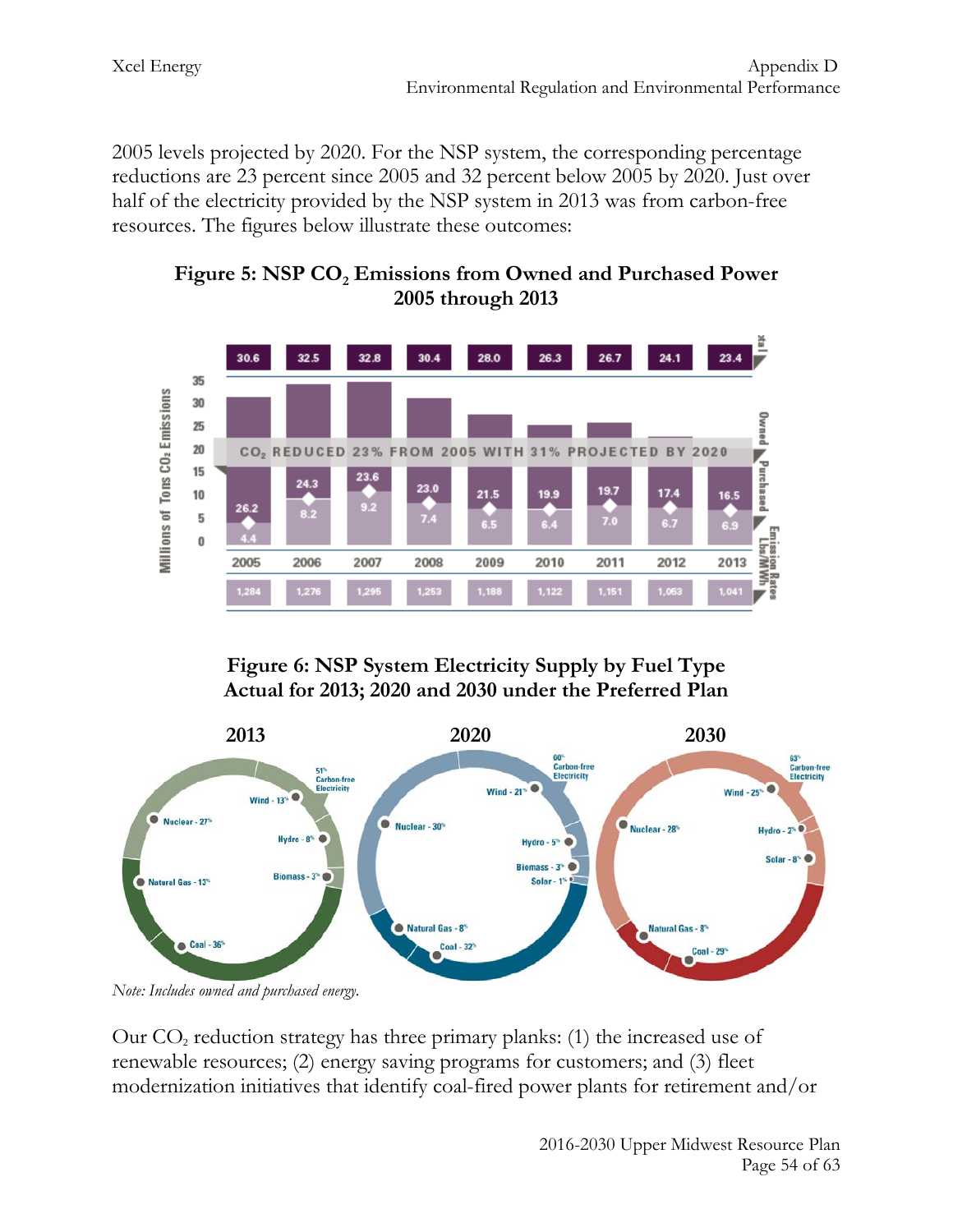2005 levels projected by 2020. For the NSP system, the corresponding percentage reductions are 23 percent since 2005 and 32 percent below 2005 by 2020. Just over half of the electricity provided by the NSP system in 2013 was from carbon-free resources. The figures below illustrate these outcomes:

Figure 5: NSP CO<sub>2</sub> Emissions from Owned and Purchased Power **2005 through 2013**



**Figure 6: NSP System Electricity Supply by Fuel Type Actual for 2013; 2020 and 2030 under the Preferred Plan**



*Note: Includes owned and purchased energy.* 

Our  $CO<sub>2</sub>$  reduction strategy has three primary planks: (1) the increased use of renewable resources; (2) energy saving programs for customers; and (3) fleet modernization initiatives that identify coal-fired power plants for retirement and/or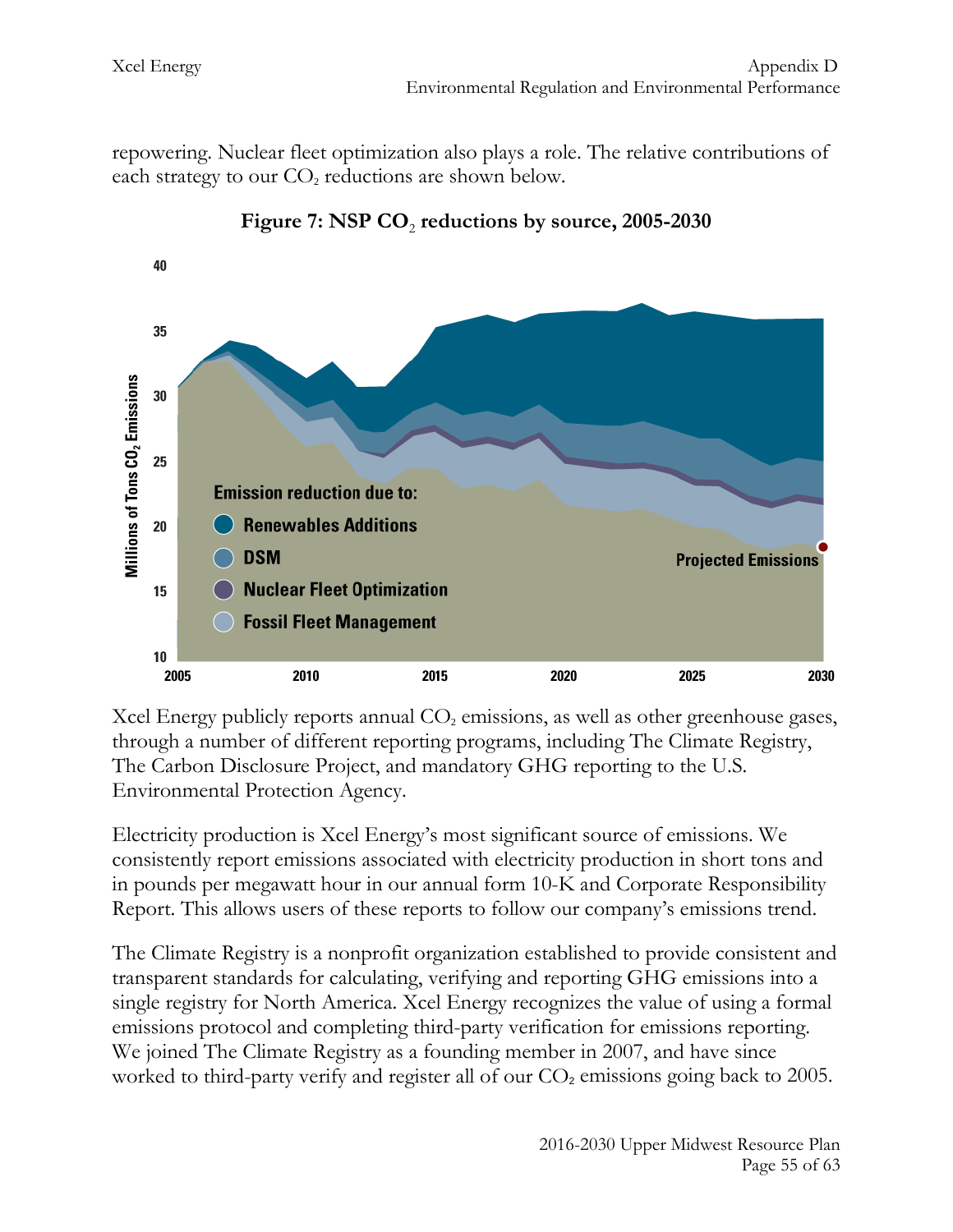repowering. Nuclear fleet optimization also plays a role. The relative contributions of each strategy to our  $CO<sub>2</sub>$  reductions are shown below.





Xcel Energy publicly reports annual  $CO<sub>2</sub>$  emissions, as well as other greenhouse gases, through a number of different reporting programs, including The Climate Registry, The Carbon Disclosure Project, and mandatory GHG reporting to the U.S. Environmental Protection Agency.

Electricity production is Xcel Energy's most significant source of emissions. We consistently report emissions associated with electricity production in short tons and in pounds per megawatt hour in our annual form 10-K and Corporate Responsibility Report. This allows users of these reports to follow our company's emissions trend.

The Climate Registry is a nonprofit organization established to provide consistent and transparent standards for calculating, verifying and reporting GHG emissions into a single registry for North America. Xcel Energy recognizes the value of using a formal emissions protocol and completing third-party verification for emissions reporting. We joined The Climate Registry as a founding member in 2007, and have since worked to third-party verify and register all of our  $CO<sub>2</sub>$  emissions going back to 2005.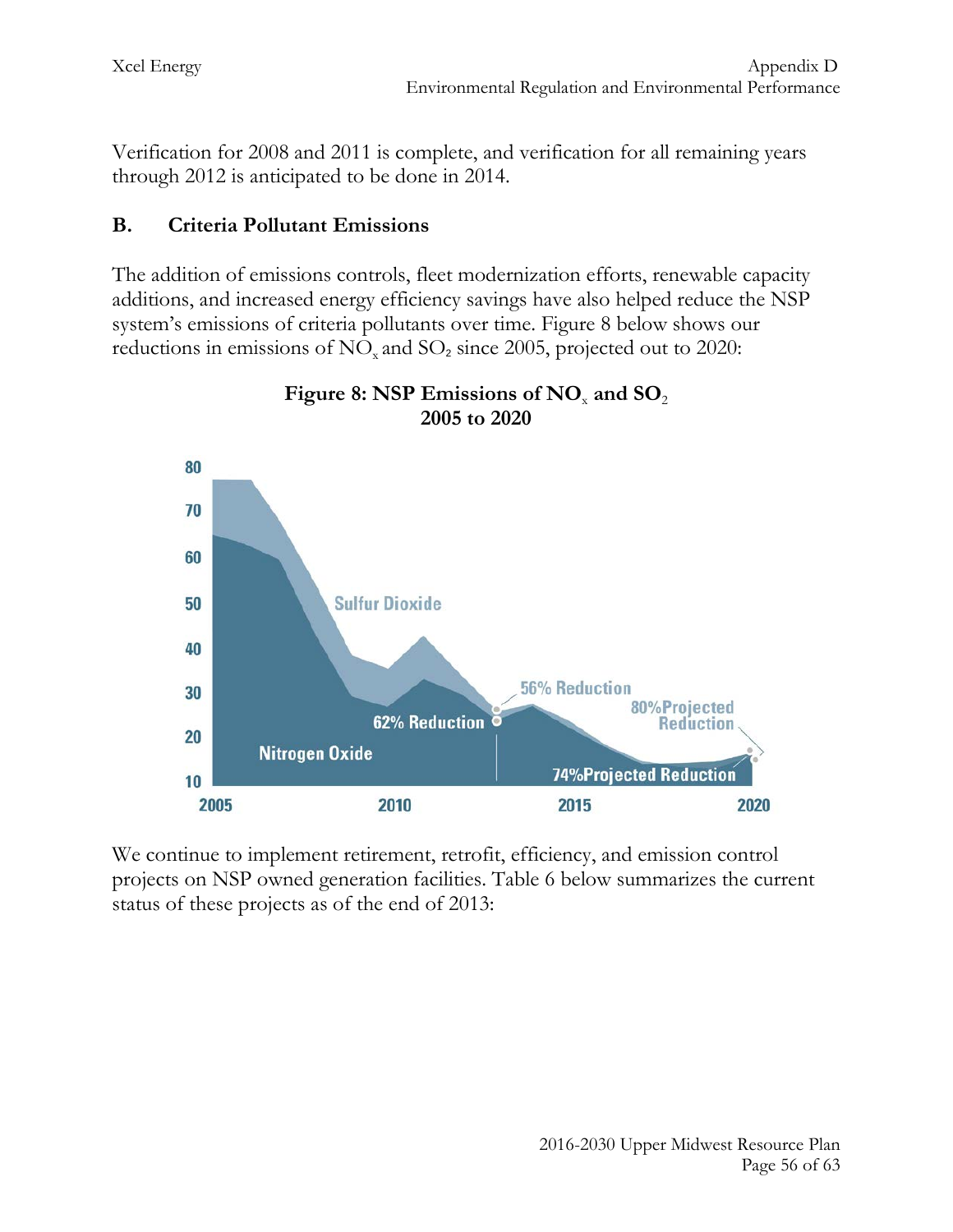Verification for 2008 and 2011 is complete, and verification for all remaining years through 2012 is anticipated to be done in 2014.

## **B. Criteria Pollutant Emissions**

The addition of emissions controls, fleet modernization efforts, renewable capacity additions, and increased energy efficiency savings have also helped reduce the NSP system's emissions of criteria pollutants over time. Figure 8 below shows our reductions in emissions of  $NO<sub>x</sub>$  and  $SO<sub>2</sub>$  since 2005, projected out to 2020:





We continue to implement retirement, retrofit, efficiency, and emission control projects on NSP owned generation facilities. Table 6 below summarizes the current status of these projects as of the end of 2013: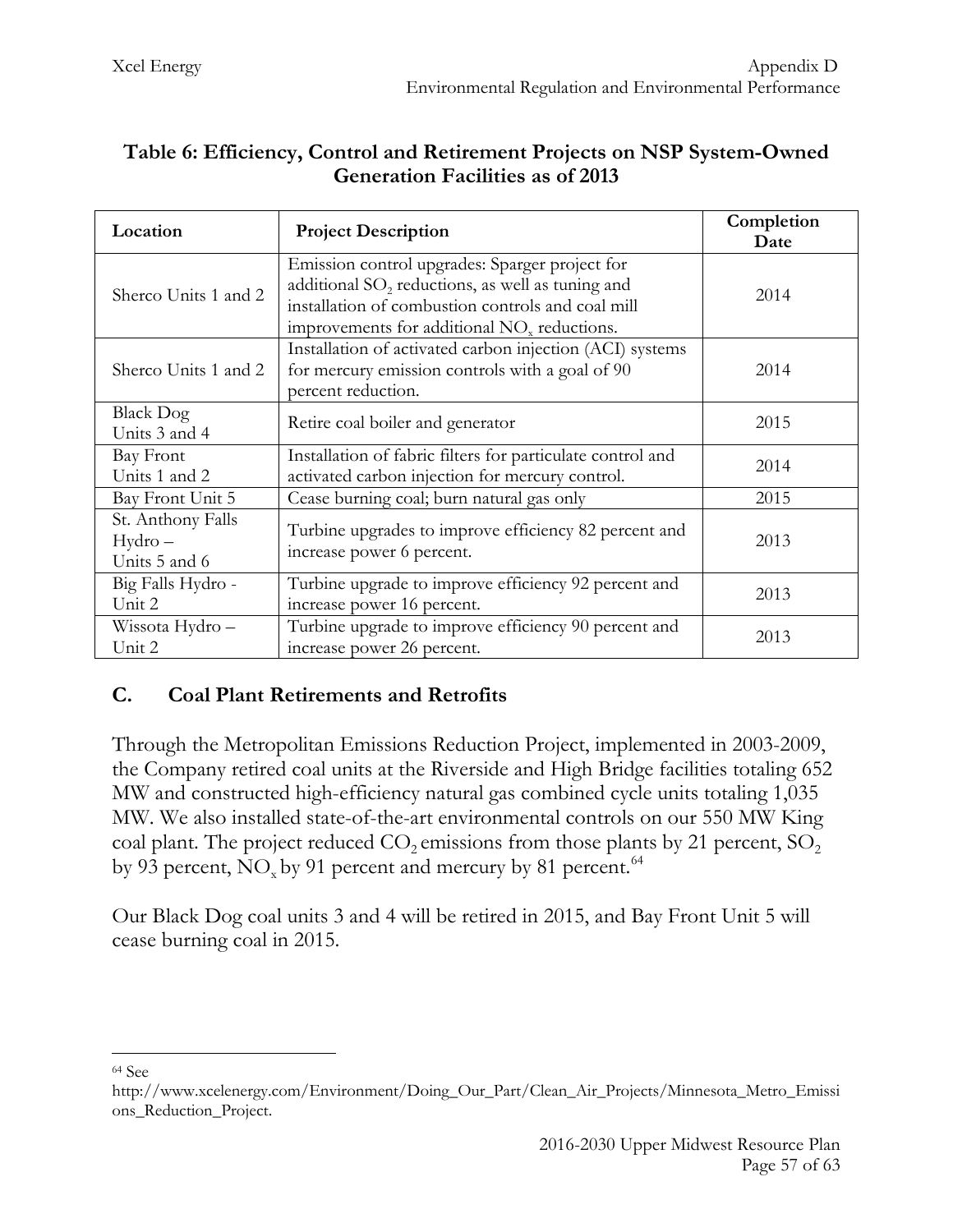| Location                                       | <b>Project Description</b>                                                                                                                                                                                                     | Completion<br>Date |
|------------------------------------------------|--------------------------------------------------------------------------------------------------------------------------------------------------------------------------------------------------------------------------------|--------------------|
| Sherco Units 1 and 2                           | Emission control upgrades: Sparger project for<br>additional SO <sub>2</sub> reductions, as well as tuning and<br>installation of combustion controls and coal mill<br>improvements for additional NO <sub>x</sub> reductions. | 2014               |
| Sherco Units 1 and 2                           | Installation of activated carbon injection (ACI) systems<br>for mercury emission controls with a goal of 90<br>percent reduction.                                                                                              | 2014               |
| <b>Black Dog</b><br>Units 3 and 4              | Retire coal boiler and generator                                                                                                                                                                                               | 2015               |
| Bay Front<br>Units 1 and 2                     | Installation of fabric filters for particulate control and<br>activated carbon injection for mercury control.                                                                                                                  | 2014               |
| Bay Front Unit 5                               | Cease burning coal; burn natural gas only                                                                                                                                                                                      | 2015               |
| St. Anthony Falls<br>$Hydro-$<br>Units 5 and 6 | Turbine upgrades to improve efficiency 82 percent and<br>increase power 6 percent.                                                                                                                                             | 2013               |
| Big Falls Hydro -<br>Unit 2                    | Turbine upgrade to improve efficiency 92 percent and<br>increase power 16 percent.                                                                                                                                             | 2013               |
| Wissota Hydro -<br>Unit 2                      | Turbine upgrade to improve efficiency 90 percent and<br>increase power 26 percent.                                                                                                                                             | 2013               |

#### **Table 6: Efficiency, Control and Retirement Projects on NSP System-Owned Generation Facilities as of 2013**

## **C. Coal Plant Retirements and Retrofits**

Through the Metropolitan Emissions Reduction Project, implemented in 2003-2009, the Company retired coal units at the Riverside and High Bridge facilities totaling 652 MW and constructed high-efficiency natural gas combined cycle units totaling 1,035 MW. We also installed state-of-the-art environmental controls on our 550 MW King coal plant. The project reduced  $CO_2$  emissions from those plants by 21 percent,  $SO_2$ by 93 percent,  $\rm NO_x$  by 91 percent and mercury by 81 percent.  $^{64}$  $^{64}$  $^{64}$ 

Our Black Dog coal units 3 and 4 will be retired in 2015, and Bay Front Unit 5 will cease burning coal in 2015.

<span id="page-57-0"></span><sup>64</sup> See  $\overline{a}$ 

http://www.xcelenergy.com/Environment/Doing\_Our\_Part/Clean\_Air\_Projects/Minnesota\_Metro\_Emissi ons\_Reduction\_Project.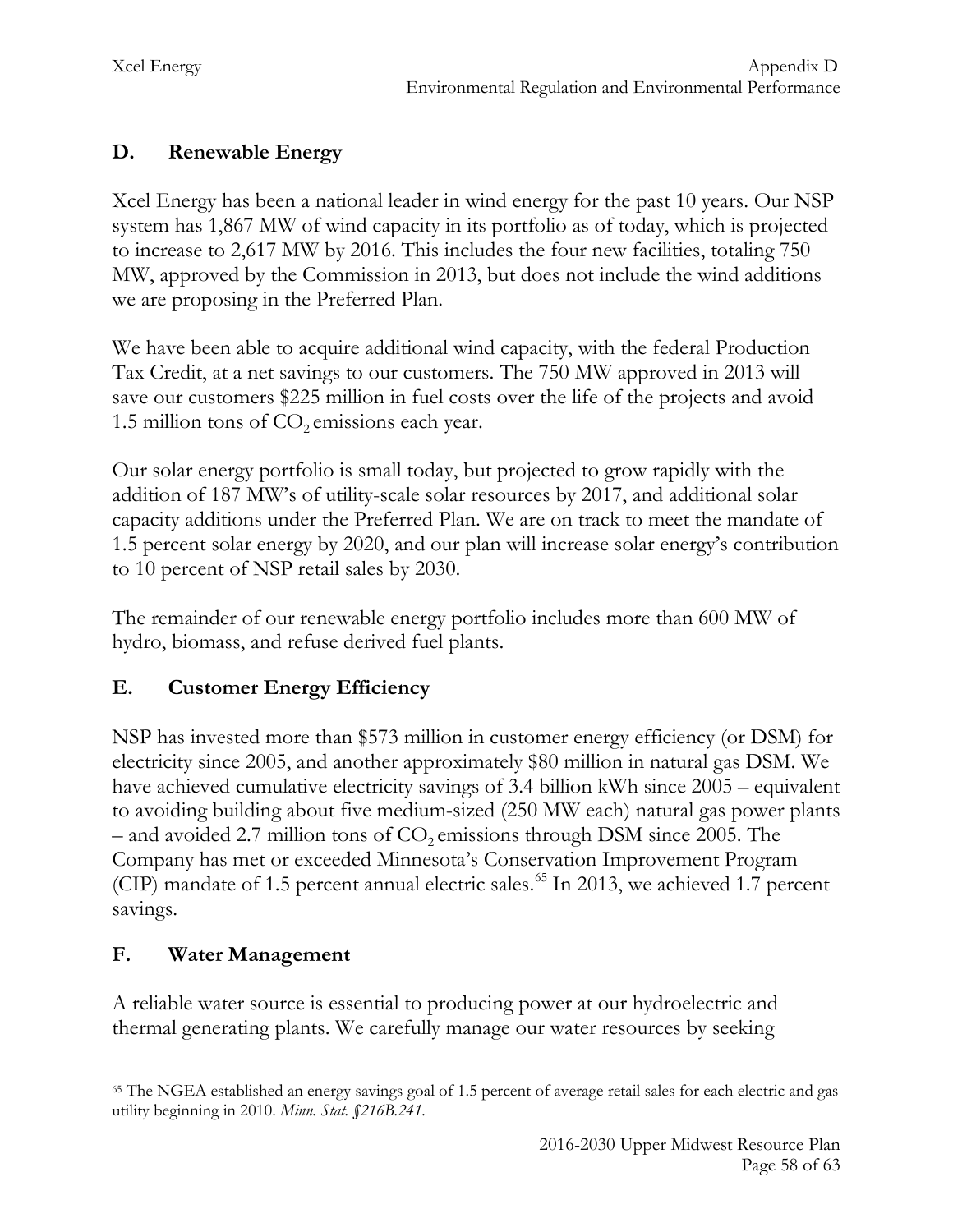# **D. Renewable Energy**

Xcel Energy has been a national leader in wind energy for the past 10 years. Our NSP system has 1,867 MW of wind capacity in its portfolio as of today, which is projected to increase to 2,617 MW by 2016. This includes the four new facilities, totaling 750 MW, approved by the Commission in 2013, but does not include the wind additions we are proposing in the Preferred Plan.

We have been able to acquire additional wind capacity, with the federal Production Tax Credit, at a net savings to our customers. The 750 MW approved in 2013 will save our customers \$225 million in fuel costs over the life of the projects and avoid 1.5 million tons of  $CO<sub>2</sub>$  emissions each year.

Our solar energy portfolio is small today, but projected to grow rapidly with the addition of 187 MW's of utility-scale solar resources by 2017, and additional solar capacity additions under the Preferred Plan. We are on track to meet the mandate of 1.5 percent solar energy by 2020, and our plan will increase solar energy's contribution to 10 percent of NSP retail sales by 2030.

The remainder of our renewable energy portfolio includes more than 600 MW of hydro, biomass, and refuse derived fuel plants.

# **E. Customer Energy Efficiency**

NSP has invested more than \$573 million in customer energy efficiency (or DSM) for electricity since 2005, and another approximately \$80 million in natural gas DSM. We have achieved cumulative electricity savings of 3.4 billion kWh since 2005 – equivalent to avoiding building about five medium-sized (250 MW each) natural gas power plants – and avoided 2.7 million tons of  $CO<sub>2</sub>$  emissions through DSM since 2005. The Company has met or exceeded Minnesota's Conservation Improvement Program (CIP) mandate of 1.5 percent annual electric sales. [65](#page-58-0) In 2013, we achieved 1.7 percent savings.

# **F. Water Management**

A reliable water source is essential to producing power at our hydroelectric and thermal generating plants. We carefully manage our water resources by seeking

<span id="page-58-0"></span><sup>65</sup> The NGEA established an energy savings goal of 1.5 percent of average retail sales for each electric and gas utility beginning in 2010. *Minn. Stat. §216B.241.*  $\overline{a}$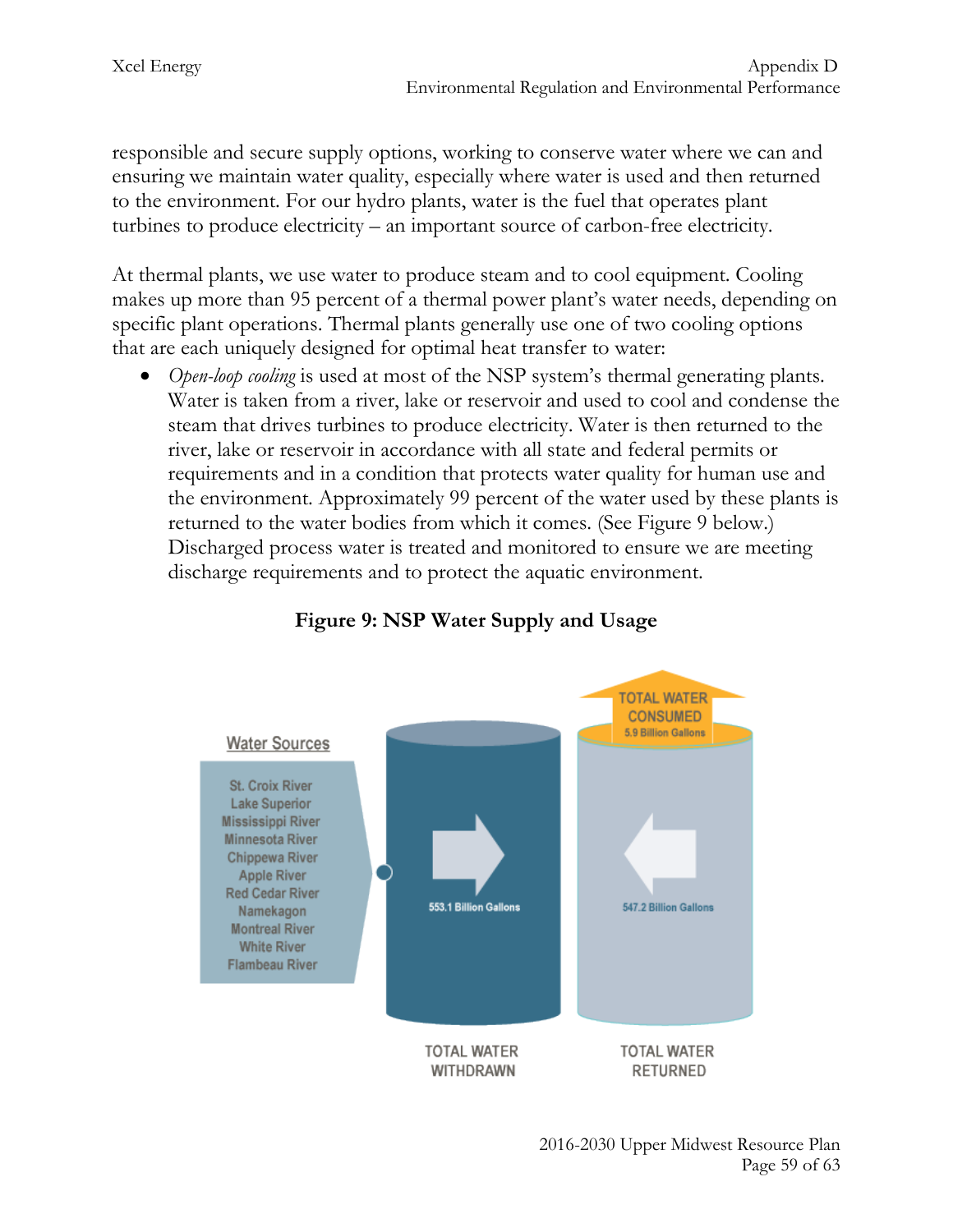responsible and secure supply options, working to conserve water where we can and ensuring we maintain water quality, especially where water is used and then returned to the environment. For our hydro plants, water is the fuel that operates plant turbines to produce electricity – an important source of carbon-free electricity.

At thermal plants, we use water to produce steam and to cool equipment. Cooling makes up more than 95 percent of a thermal power plant's water needs, depending on specific plant operations. Thermal plants generally use one of two cooling options that are each uniquely designed for optimal heat transfer to water:

• *Open-loop cooling* is used at most of the NSP system's thermal generating plants. Water is taken from a river, lake or reservoir and used to cool and condense the steam that drives turbines to produce electricity. Water is then returned to the river, lake or reservoir in accordance with all state and federal permits or requirements and in a condition that protects water quality for human use and the environment. Approximately 99 percent of the water used by these plants is returned to the water bodies from which it comes. (See Figure 9 below.) Discharged process water is treated and monitored to ensure we are meeting discharge requirements and to protect the aquatic environment.



# **Figure 9: NSP Water Supply and Usage**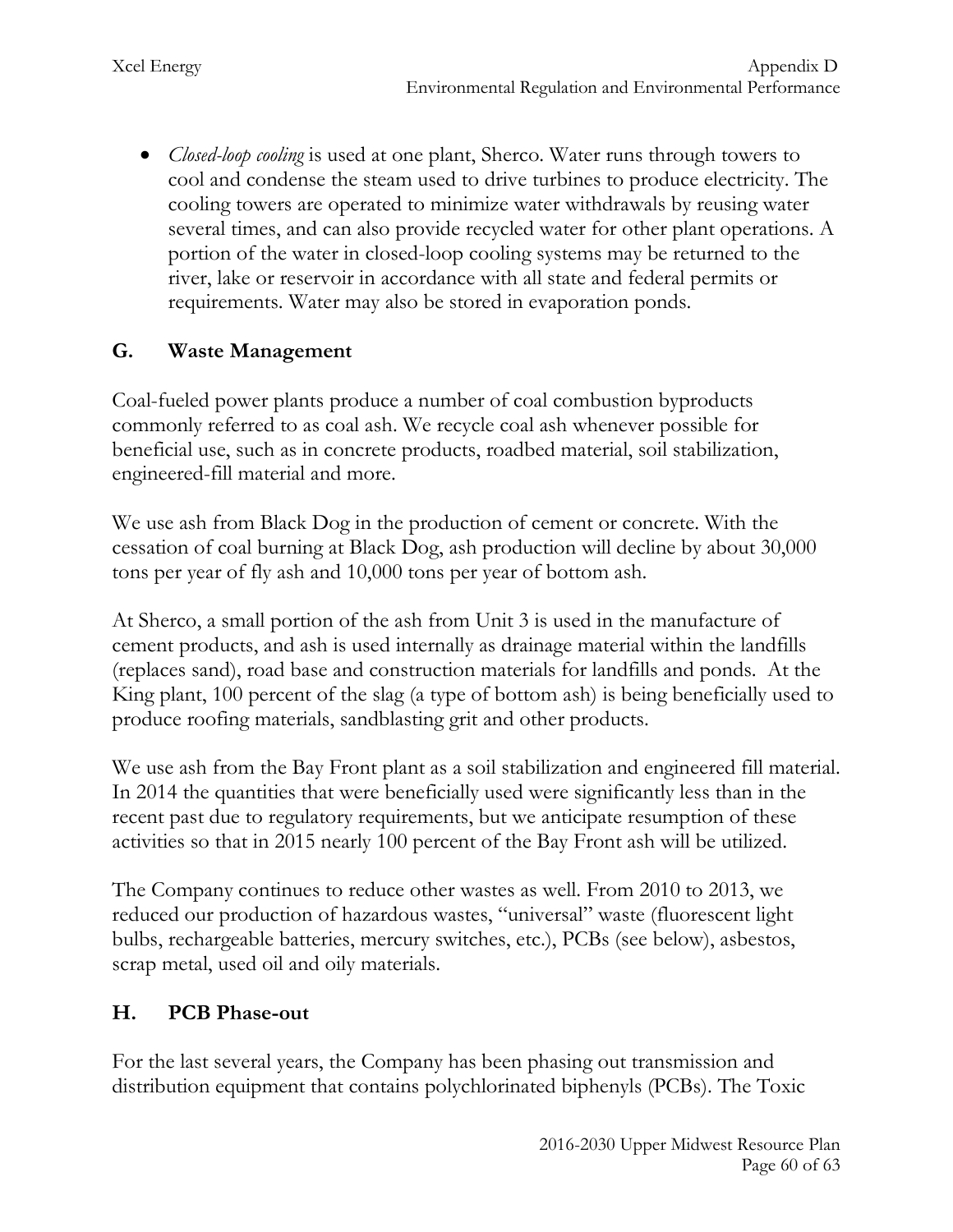• *Closed-loop cooling* is used at one plant, Sherco. Water runs through towers to cool and condense the steam used to drive turbines to produce electricity. The cooling towers are operated to minimize water withdrawals by reusing water several times, and can also provide recycled water for other plant operations. A portion of the water in closed-loop cooling systems may be returned to the river, lake or reservoir in accordance with all state and federal permits or requirements. Water may also be stored in evaporation ponds.

## **G. Waste Management**

Coal-fueled power plants produce a number of coal combustion byproducts commonly referred to as coal ash. We recycle coal ash whenever possible for beneficial use, such as in concrete products, roadbed material, soil stabilization, engineered-fill material and more.

We use ash from Black Dog in the production of cement or concrete. With the cessation of coal burning at Black Dog, ash production will decline by about 30,000 tons per year of fly ash and 10,000 tons per year of bottom ash.

At Sherco, a small portion of the ash from Unit 3 is used in the manufacture of cement products, and ash is used internally as drainage material within the landfills (replaces sand), road base and construction materials for landfills and ponds. At the King plant, 100 percent of the slag (a type of bottom ash) is being beneficially used to produce roofing materials, sandblasting grit and other products.

We use ash from the Bay Front plant as a soil stabilization and engineered fill material. In 2014 the quantities that were beneficially used were significantly less than in the recent past due to regulatory requirements, but we anticipate resumption of these activities so that in 2015 nearly 100 percent of the Bay Front ash will be utilized.

The Company continues to reduce other wastes as well. From 2010 to 2013, we reduced our production of hazardous wastes, "universal" waste (fluorescent light bulbs, rechargeable batteries, mercury switches, etc.), PCBs (see below), asbestos, scrap metal, used oil and oily materials.

## **H. PCB Phase-out**

For the last several years, the Company has been phasing out transmission and distribution equipment that contains polychlorinated biphenyls (PCBs). The Toxic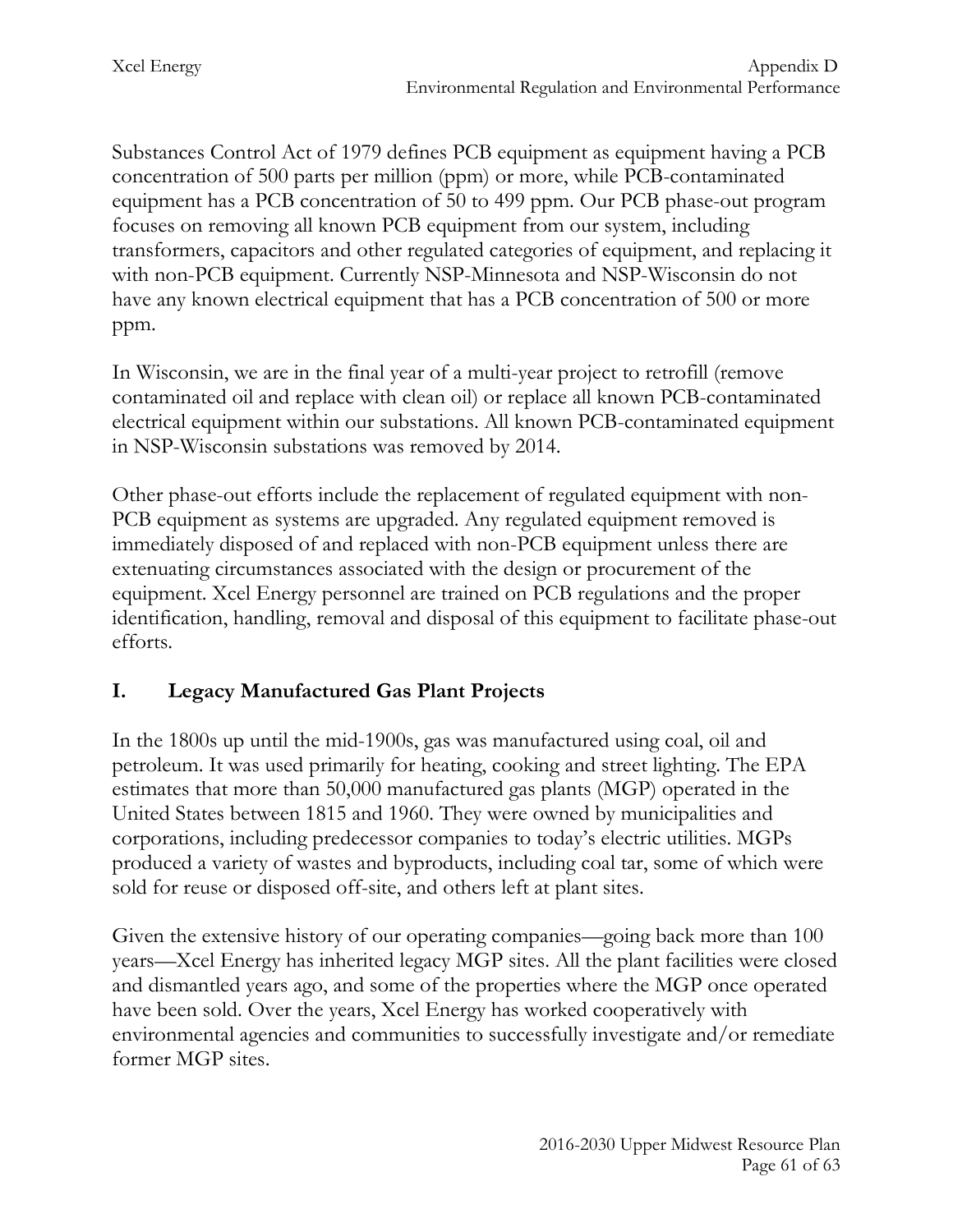Substances Control Act of 1979 defines PCB equipment as equipment having a PCB concentration of 500 parts per million (ppm) or more, while PCB-contaminated equipment has a PCB concentration of 50 to 499 ppm. Our PCB phase-out program focuses on removing all known PCB equipment from our system, including transformers, capacitors and other regulated categories of equipment, and replacing it with non-PCB equipment. Currently NSP-Minnesota and NSP-Wisconsin do not have any known electrical equipment that has a PCB concentration of 500 or more ppm.

In Wisconsin, we are in the final year of a multi-year project to retrofill (remove contaminated oil and replace with clean oil) or replace all known PCB-contaminated electrical equipment within our substations. All known PCB-contaminated equipment in NSP-Wisconsin substations was removed by 2014.

Other phase-out efforts include the replacement of regulated equipment with non-PCB equipment as systems are upgraded. Any regulated equipment removed is immediately disposed of and replaced with non-PCB equipment unless there are extenuating circumstances associated with the design or procurement of the equipment. Xcel Energy personnel are trained on PCB regulations and the proper identification, handling, removal and disposal of this equipment to facilitate phase-out efforts.

# **I. Legacy Manufactured Gas Plant Projects**

In the 1800s up until the mid-1900s, gas was manufactured using coal, oil and petroleum. It was used primarily for heating, cooking and street lighting. The EPA estimates that more than 50,000 manufactured gas plants (MGP) operated in the United States between 1815 and 1960. They were owned by municipalities and corporations, including predecessor companies to today's electric utilities. MGPs produced a variety of wastes and byproducts, including coal tar, some of which were sold for reuse or disposed off-site, and others left at plant sites.

Given the extensive history of our operating companies—going back more than 100 years—Xcel Energy has inherited legacy MGP sites. All the plant facilities were closed and dismantled years ago, and some of the properties where the MGP once operated have been sold. Over the years, Xcel Energy has worked cooperatively with environmental agencies and communities to successfully investigate and/or remediate former MGP sites.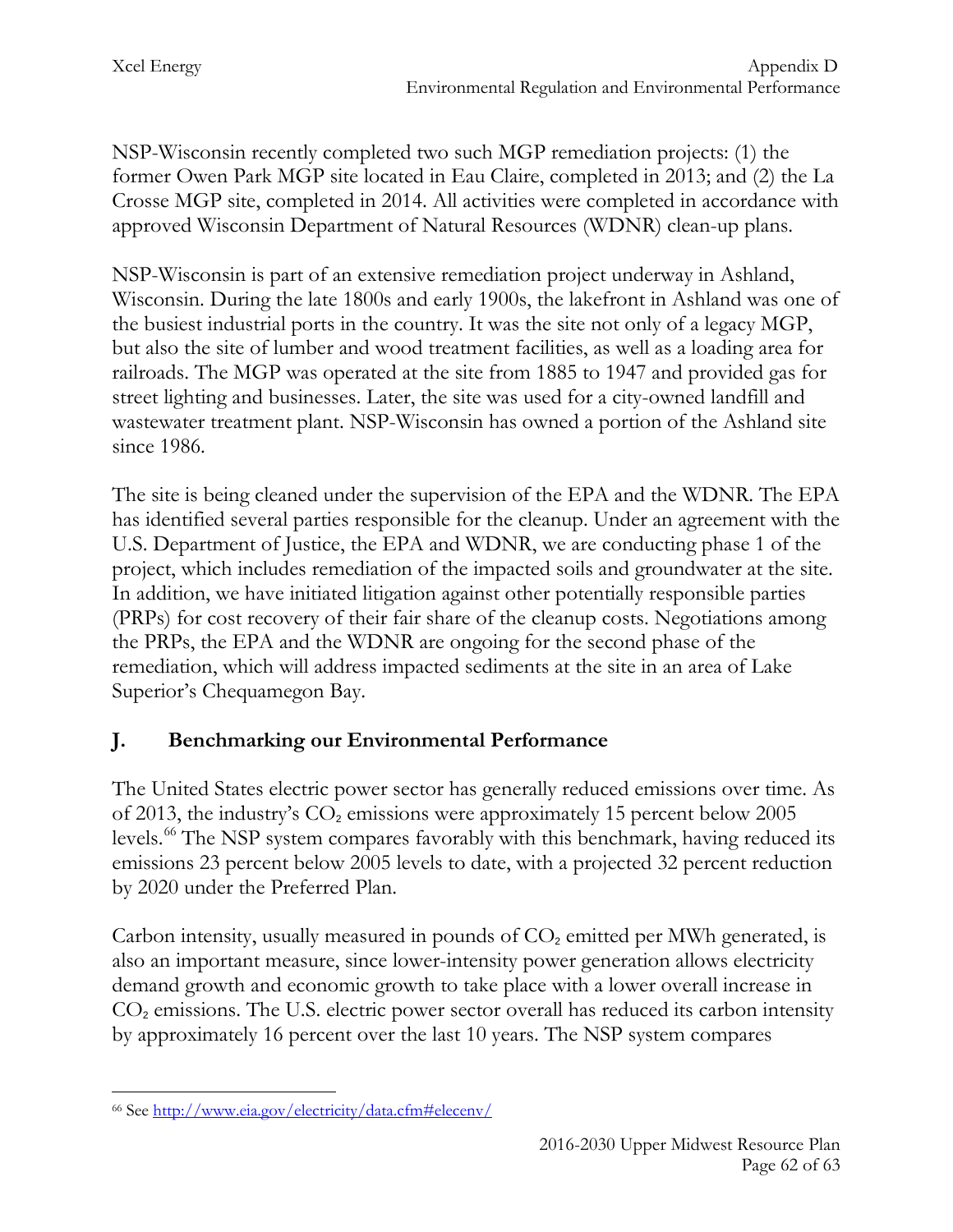NSP-Wisconsin recently completed two such MGP remediation projects: (1) the former Owen Park MGP site located in Eau Claire, completed in 2013; and (2) the La Crosse MGP site, completed in 2014. All activities were completed in accordance with approved Wisconsin Department of Natural Resources (WDNR) clean-up plans.

NSP-Wisconsin is part of an extensive remediation project underway in Ashland, Wisconsin. During the late 1800s and early 1900s, the lakefront in Ashland was one of the busiest industrial ports in the country. It was the site not only of a legacy MGP, but also the site of lumber and wood treatment facilities, as well as a loading area for railroads. The MGP was operated at the site from 1885 to 1947 and provided gas for street lighting and businesses. Later, the site was used for a city-owned landfill and wastewater treatment plant. NSP-Wisconsin has owned a portion of the Ashland site since 1986.

The site is being cleaned under the supervision of the EPA and the WDNR. The EPA has identified several parties responsible for the cleanup. Under an agreement with the U.S. Department of Justice, the EPA and WDNR, we are conducting phase 1 of the project, which includes remediation of the impacted soils and groundwater at the site. In addition, we have initiated litigation against other potentially responsible parties (PRPs) for cost recovery of their fair share of the cleanup costs. Negotiations among the PRPs, the EPA and the WDNR are ongoing for the second phase of the remediation, which will address impacted sediments at the site in an area of Lake Superior's Chequamegon Bay.

## **J. Benchmarking our Environmental Performance**

The United States electric power sector has generally reduced emissions over time. As of 2013, the industry's  $CO<sub>2</sub>$  emissions were approximately 15 percent below 2005 levels.<sup>[66](#page-62-0)</sup> The NSP system compares favorably with this benchmark, having reduced its emissions 23 percent below 2005 levels to date, with a projected 32 percent reduction by 2020 under the Preferred Plan.

Carbon intensity, usually measured in pounds of  $CO<sub>2</sub>$  emitted per MWh generated, is also an important measure, since lower-intensity power generation allows electricity demand growth and economic growth to take place with a lower overall increase in  $CO<sub>2</sub>$  emissions. The U.S. electric power sector overall has reduced its carbon intensity by approximately 16 percent over the last 10 years. The NSP system compares

<span id="page-62-0"></span><sup>66</sup> See [http://www.eia.gov/electricity/data.cfm#elecenv/](http://www.eia.gov/electricity/data.cfm%23elecenv/)  $\overline{a}$